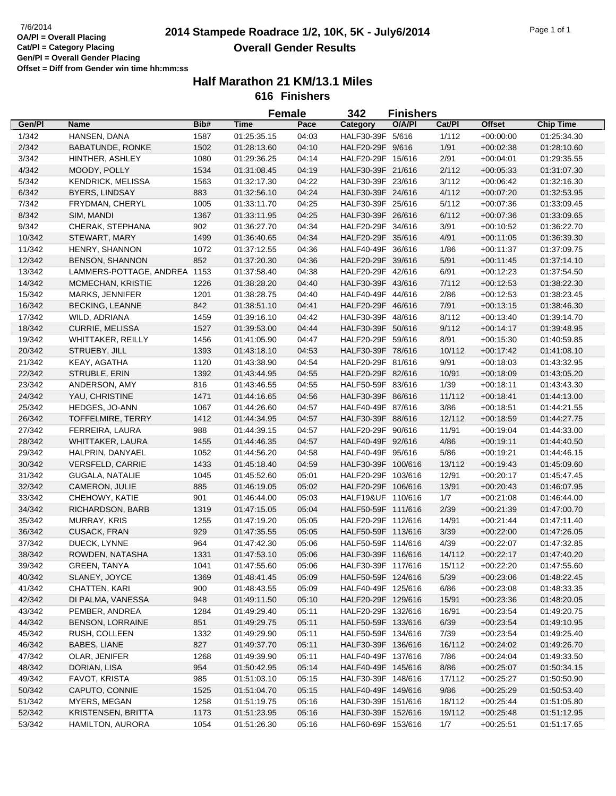## **2014 Stampede Roadrace 1/2, 10K, 5K - July6/2014** 7/6/2014 Page 1 of 1 **Overall Gender Results**

|        |                          |      | <b>Female</b> |       | 342                | <b>Finishers</b> |        |               |                  |
|--------|--------------------------|------|---------------|-------|--------------------|------------------|--------|---------------|------------------|
| Gen/Pl | Name                     | Bib# | <b>Time</b>   | Pace  | <b>Category</b>    | O/A/PI           | Cat/Pl | <b>Offset</b> | <b>Chip Time</b> |
| 1/342  | HANSEN, DANA             | 1587 | 01:25:35.15   | 04:03 | HALF30-39F 5/616   |                  | 1/112  | $+00:00:00$   | 01:25:34.30      |
| 2/342  | <b>BABATUNDE, RONKE</b>  | 1502 | 01:28:13.60   | 04:10 | HALF20-29F 9/616   |                  | 1/91   | $+00:02:38$   | 01:28:10.60      |
| 3/342  | HINTHER, ASHLEY          | 1080 | 01:29:36.25   | 04:14 | HALF20-29F 15/616  |                  | 2/91   | $+00:04:01$   | 01:29:35.55      |
| 4/342  | MOODY, POLLY             | 1534 | 01:31:08.45   | 04:19 | HALF30-39F 21/616  |                  | 2/112  | $+00:05:33$   | 01:31:07.30      |
| 5/342  | <b>KENDRICK, MELISSA</b> | 1563 | 01:32:17.30   | 04:22 | HALF30-39F 23/616  |                  | 3/112  | $+00:06:42$   | 01:32:16.30      |
| 6/342  | <b>BYERS, LINDSAY</b>    | 883  | 01:32:56.10   | 04:24 | HALF30-39F 24/616  |                  | 4/112  | $+00:07:20$   | 01:32:53.95      |
| 7/342  | FRYDMAN, CHERYL          | 1005 | 01:33:11.70   | 04:25 | HALF30-39F 25/616  |                  | 5/112  | $+00:07:36$   | 01:33:09.45      |
| 8/342  | SIM, MANDI               | 1367 | 01:33:11.95   | 04:25 | HALF30-39F 26/616  |                  | 6/112  | $+00.07:36$   | 01:33:09.65      |
| 9/342  | CHERAK, STEPHANA         | 902  | 01:36:27.70   | 04:34 | HALF20-29F 34/616  |                  | 3/91   | $+00:10:52$   | 01:36:22.70      |
| 10/342 | STEWART, MARY            | 1499 | 01:36:40.65   | 04:34 | HALF20-29F 35/616  |                  | 4/91   | $+00:11:05$   | 01:36:39.30      |
| 11/342 | HENRY, SHANNON           | 1072 | 01:37:12.55   | 04:36 | HALF40-49F 36/616  |                  | 1/86   | $+00:11:37$   | 01:37:09.75      |
| 12/342 | <b>BENSON, SHANNON</b>   | 852  | 01:37:20.30   | 04:36 | HALF20-29F 39/616  |                  | 5/91   | $+00:11:45$   | 01:37:14.10      |
| 13/342 | LAMMERS-POTTAGE, ANDREA  | 1153 | 01:37:58.40   | 04:38 | HALF20-29F 42/616  |                  | 6/91   | $+00:12:23$   | 01:37:54.50      |
| 14/342 | MCMECHAN, KRISTIE        | 1226 | 01:38:28.20   | 04:40 | HALF30-39F 43/616  |                  | 7/112  | $+00:12:53$   | 01:38:22.30      |
| 15/342 | MARKS, JENNIFER          | 1201 | 01:38:28.75   | 04:40 | HALF40-49F 44/616  |                  | 2/86   | $+00:12:53$   | 01:38:23.45      |
| 16/342 | <b>BECKING, LEANNE</b>   | 842  | 01:38:51.10   | 04:41 | HALF20-29F 46/616  |                  | 7/91   | $+00:13:15$   | 01:38:46.30      |
| 17/342 | WILD, ADRIANA            | 1459 | 01:39:16.10   | 04:42 | HALF30-39F 48/616  |                  | 8/112  | $+00:13:40$   | 01:39:14.70      |
| 18/342 | <b>CURRIE, MELISSA</b>   | 1527 | 01:39:53.00   | 04:44 | HALF30-39F 50/616  |                  | 9/112  | $+00:14:17$   | 01:39:48.95      |
|        |                          |      |               |       | HALF20-29F 59/616  |                  |        |               |                  |
| 19/342 | <b>WHITTAKER, REILLY</b> | 1456 | 01:41:05.90   | 04:47 |                    |                  | 8/91   | $+00:15:30$   | 01:40:59.85      |
| 20/342 | STRUEBY, JILL            | 1393 | 01:43:18.10   | 04:53 | HALF30-39F 78/616  |                  | 10/112 | $+00:17:42$   | 01:41:08.10      |
| 21/342 | KEAY, AGATHA             | 1120 | 01:43:38.90   | 04:54 | HALF20-29F 81/616  |                  | 9/91   | $+00:18:03$   | 01:43:32.95      |
| 22/342 | STRUBLE, ERIN            | 1392 | 01:43:44.95   | 04:55 | HALF20-29F 82/616  |                  | 10/91  | $+00:18:09$   | 01:43:05.20      |
| 23/342 | ANDERSON, AMY            | 816  | 01:43:46.55   | 04:55 | HALF50-59F 83/616  |                  | 1/39   | $+00:18:11$   | 01:43:43.30      |
| 24/342 | YAU, CHRISTINE           | 1471 | 01:44:16.65   | 04:56 | HALF30-39F 86/616  |                  | 11/112 | $+00:18:41$   | 01:44:13.00      |
| 25/342 | HEDGES, JO-ANN           | 1067 | 01:44:26.60   | 04:57 | HALF40-49F 87/616  |                  | 3/86   | $+00:18:51$   | 01:44:21.55      |
| 26/342 | TOFFELMIRE, TERRY        | 1412 | 01:44:34.95   | 04:57 | HALF30-39F 88/616  |                  | 12/112 | $+00:18:59$   | 01:44:27.75      |
| 27/342 | FERREIRA, LAURA          | 988  | 01:44:39.15   | 04:57 | HALF20-29F 90/616  |                  | 11/91  | $+00:19:04$   | 01:44:33.00      |
| 28/342 | WHITTAKER, LAURA         | 1455 | 01:44:46.35   | 04:57 | HALF40-49F 92/616  |                  | 4/86   | $+00:19:11$   | 01:44:40.50      |
| 29/342 | HALPRIN, DANYAEL         | 1052 | 01:44:56.20   | 04:58 | HALF40-49F 95/616  |                  | 5/86   | $+00:19:21$   | 01:44:46.15      |
| 30/342 | <b>VERSFELD, CARRIE</b>  | 1433 | 01:45:18.40   | 04:59 | HALF30-39F 100/616 |                  | 13/112 | $+00:19:43$   | 01:45:09.60      |
| 31/342 | GUGALA, NATALIE          | 1045 | 01:45:52.60   | 05:01 | HALF20-29F 103/616 |                  | 12/91  | $+00:20:17$   | 01:45:47.45      |
| 32/342 | CAMERON, JULIE           | 885  | 01:46:19.05   | 05:02 | HALF20-29F 106/616 |                  | 13/91  | $+00:20:43$   | 01:46:07.95      |
| 33/342 | CHEHOWY, KATIE           | 901  | 01:46:44.00   | 05:03 | HALF19&UF 110/616  |                  | 1/7    | $+00:21:08$   | 01:46:44.00      |
| 34/342 | RICHARDSON, BARB         | 1319 | 01:47:15.05   | 05:04 | HALF50-59F 111/616 |                  | 2/39   | $+00:21:39$   | 01:47:00.70      |
| 35/342 | MURRAY, KRIS             | 1255 | 01:47:19.20   | 05:05 | HALF20-29F 112/616 |                  | 14/91  | $+00:21:44$   | 01:47:11.40      |
| 36/342 | CUSACK, FRAN             | 929  | 01:47:35.55   | 05:05 | HALF50-59F 113/616 |                  | 3/39   | $+00:22:00$   | 01:47:26.05      |
| 37/342 | DUECK, LYNNE             | 964  | 01:47:42.30   | 05:06 | HALF50-59F 114/616 |                  | 4/39   | $+00:22:07$   | 01:47:32.85      |
| 38/342 | ROWDEN, NATASHA          | 1331 | 01:47:53.10   | 05:06 | HALF30-39F 116/616 |                  | 14/112 | $+00:22:17$   | 01:47:40.20      |
| 39/342 | <b>GREEN, TANYA</b>      | 1041 | 01:47:55.60   | 05:06 | HALF30-39F 117/616 |                  | 15/112 | $+00:22:20$   | 01:47:55.60      |
| 40/342 | SLANEY, JOYCE            | 1369 | 01:48:41.45   | 05:09 | HALF50-59F 124/616 |                  | 5/39   | $+00:23:06$   | 01:48:22.45      |
| 41/342 | CHATTEN, KARI            | 900  | 01:48:43.55   | 05:09 | HALF40-49F 125/616 |                  | 6/86   | $+00:23:08$   | 01:48:33.35      |
| 42/342 | DI PALMA, VANESSA        | 948  | 01:49:11.50   | 05:10 | HALF20-29F 129/616 |                  | 15/91  | $+00:23:36$   | 01:48:20.05      |
| 43/342 | PEMBER, ANDREA           | 1284 | 01:49:29.40   | 05:11 | HALF20-29F 132/616 |                  | 16/91  | $+00:23:54$   | 01:49:20.75      |
| 44/342 | <b>BENSON, LORRAINE</b>  | 851  | 01:49:29.75   | 05:11 | HALF50-59F 133/616 |                  | 6/39   | $+00:23:54$   | 01:49:10.95      |
| 45/342 | RUSH, COLLEEN            | 1332 | 01:49:29.90   | 05:11 | HALF50-59F 134/616 |                  | 7/39   | $+00:23:54$   | 01:49:25.40      |
| 46/342 | BABES, LIANE             | 827  | 01:49:37.70   | 05:11 | HALF30-39F 136/616 |                  | 16/112 | $+00:24:02$   | 01:49:26.70      |
| 47/342 | OLAR, JENIFER            | 1268 | 01:49:39.90   | 05:11 | HALF40-49F 137/616 |                  | 7/86   | $+00:24:04$   | 01:49:33.50      |
| 48/342 | DORIAN, LISA             | 954  | 01:50:42.95   | 05:14 | HALF40-49F 145/616 |                  | 8/86   | $+00:25:07$   | 01:50:34.15      |
| 49/342 | FAVOT, KRISTA            | 985  | 01:51:03.10   | 05:15 | HALF30-39F 148/616 |                  | 17/112 | $+00:25:27$   | 01:50:50.90      |
| 50/342 | CAPUTO, CONNIE           | 1525 | 01:51:04.70   | 05:15 | HALF40-49F 149/616 |                  | 9/86   | $+00:25:29$   | 01:50:53.40      |
| 51/342 | MYERS, MEGAN             | 1258 | 01:51:19.75   | 05:16 | HALF30-39F 151/616 |                  | 18/112 | $+00:25:44$   | 01:51:05.80      |
| 52/342 | KRISTENSEN, BRITTA       | 1173 | 01:51:23.95   | 05:16 | HALF30-39F 152/616 |                  | 19/112 | $+00:25:48$   | 01:51:12.95      |
| 53/342 | HAMILTON, AURORA         | 1054 | 01:51:26.30   | 05:16 | HALF60-69F 153/616 |                  | 1/7    | $+00:25:51$   | 01:51:17.65      |
|        |                          |      |               |       |                    |                  |        |               |                  |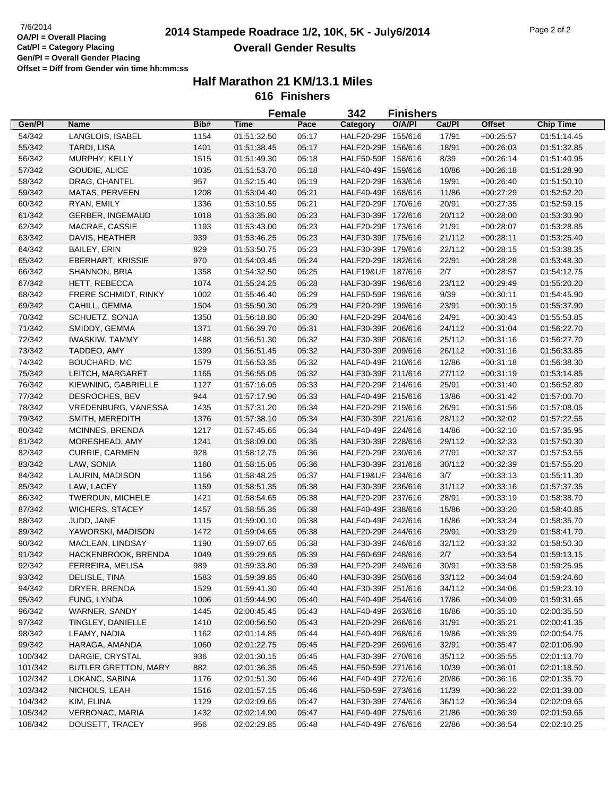## **2014 Stampede Roadrace 1/2, 10K, 5K - July6/2014** 7/6/2014 Page 2 of 2 **Overall Gender Results**

|         |                             |      |             | Female | 342                | <b>Finishers</b> |        |               |                  |  |
|---------|-----------------------------|------|-------------|--------|--------------------|------------------|--------|---------------|------------------|--|
| Gen/Pl  | <b>Name</b>                 | Bib# | Time        | Pace   | Category           | O/A/PI           | Cat/Pl | <b>Offset</b> | <b>Chip Time</b> |  |
| 54/342  | LANGLOIS, ISABEL            | 1154 | 01:51:32.50 | 05:17  | HALF20-29F 155/616 |                  | 17/91  | $+00:25:57$   | 01:51:14.45      |  |
| 55/342  | TARDI, LISA                 | 1401 | 01:51:38.45 | 05:17  | HALF20-29F 156/616 |                  | 18/91  | $+00:26:03$   | 01:51:32.85      |  |
| 56/342  | MURPHY, KELLY               | 1515 | 01:51:49.30 | 05:18  | HALF50-59F 158/616 |                  | 8/39   | $+00:26:14$   | 01:51:40.95      |  |
| 57/342  | GOUDIE, ALICE               | 1035 | 01:51:53.70 | 05:18  | HALF40-49F 159/616 |                  | 10/86  | $+00:26:18$   | 01:51:28.90      |  |
| 58/342  | DRAG, CHANTEL               | 957  | 01:52:15.40 | 05:19  | HALF20-29F 163/616 |                  | 19/91  | $+00:26:40$   | 01:51:50.10      |  |
| 59/342  | MATAS, PERVEEN              | 1208 | 01:53:04.40 | 05:21  | HALF40-49F 168/616 |                  | 11/86  | $+00:27:29$   | 01:52:52.20      |  |
| 60/342  | RYAN, EMILY                 | 1336 | 01:53:10.55 | 05:21  | HALF20-29F 170/616 |                  | 20/91  | $+00:27:35$   | 01:52:59.15      |  |
| 61/342  | GERBER, INGEMAUD            | 1018 | 01:53:35.80 | 05:23  | HALF30-39F 172/616 |                  | 20/112 | $+00:28:00$   | 01:53:30.90      |  |
| 62/342  | MACRAE, CASSIE              | 1193 | 01:53:43.00 | 05:23  | HALF20-29F 173/616 |                  | 21/91  | $+00:28:07$   | 01:53:28.85      |  |
| 63/342  | DAVIS, HEATHER              | 939  | 01:53:46.25 | 05:23  | HALF30-39F 175/616 |                  | 21/112 | $+00:28:11$   | 01:53:25.40      |  |
| 64/342  | <b>BAILEY, ERIN</b>         | 829  | 01:53:50.75 | 05:23  | HALF30-39F 179/616 |                  | 22/112 | $+00:28:15$   | 01:53:38.35      |  |
| 65/342  | <b>EBERHART, KRISSIE</b>    | 970  | 01:54:03.45 | 05:24  | HALF20-29F 182/616 |                  | 22/91  | $+00:28:28$   | 01:53:48.30      |  |
| 66/342  | SHANNON, BRIA               | 1358 | 01:54:32.50 | 05:25  | HALF19&UF 187/616  |                  | 2/7    | $+00:28:57$   | 01:54:12.75      |  |
| 67/342  | HETT, REBECCA               | 1074 | 01:55:24.25 | 05:28  | HALF30-39F 196/616 |                  | 23/112 | $+00:29:49$   | 01:55:20.20      |  |
| 68/342  | FRERE SCHMIDT, RINKY        | 1002 | 01:55:46.40 | 05:29  | HALF50-59F 198/616 |                  | 9/39   | $+00:30:11$   | 01:54:45.90      |  |
| 69/342  | CAHILL, GEMMA               | 1504 | 01:55:50.30 | 05:29  | HALF20-29F 199/616 |                  | 23/91  | $+00:30:15$   | 01:55:37.90      |  |
| 70/342  | SCHUETZ, SONJA              | 1350 | 01:56:18.80 | 05:30  | HALF20-29F 204/616 |                  | 24/91  | $+00:30:43$   | 01:55:53.85      |  |
|         |                             |      |             |        | HALF30-39F 206/616 |                  |        |               |                  |  |
| 71/342  | SMIDDY, GEMMA               | 1371 | 01:56:39.70 | 05:31  |                    |                  | 24/112 | $+00:31:04$   | 01:56:22.70      |  |
| 72/342  | <b>IWASKIW, TAMMY</b>       | 1488 | 01:56:51.30 | 05:32  | HALF30-39F 208/616 |                  | 25/112 | $+00:31:16$   | 01:56:27.70      |  |
| 73/342  | TADDEO, AMY                 | 1399 | 01:56:51.45 | 05:32  | HALF30-39F 209/616 |                  | 26/112 | $+00:31:16$   | 01:56:33.85      |  |
| 74/342  | BOUCHARD, MC                | 1579 | 01:56:53.35 | 05:32  | HALF40-49F 210/616 |                  | 12/86  | $+00:31:18$   | 01:56:38.30      |  |
| 75/342  | LEITCH, MARGARET            | 1165 | 01:56:55.05 | 05:32  | HALF30-39F 211/616 |                  | 27/112 | $+00:31:19$   | 01:53:14.85      |  |
| 76/342  | KIEWNING, GABRIELLE         | 1127 | 01:57:16.05 | 05:33  | HALF20-29F 214/616 |                  | 25/91  | $+00:31:40$   | 01:56:52.80      |  |
| 77/342  | DESROCHES, BEV              | 944  | 01:57:17.90 | 05:33  | HALF40-49F 215/616 |                  | 13/86  | $+00:31:42$   | 01:57:00.70      |  |
| 78/342  | VREDENBURG, VANESSA         | 1435 | 01:57:31.20 | 05:34  | HALF20-29F 219/616 |                  | 26/91  | $+00:31:56$   | 01:57:08.05      |  |
| 79/342  | SMITH, MEREDITH             | 1376 | 01:57:38.10 | 05:34  | HALF30-39F 221/616 |                  | 28/112 | $+00:32:02$   | 01:57:22.55      |  |
| 80/342  | MCINNES, BRENDA             | 1217 | 01:57:45.65 | 05:34  | HALF40-49F 224/616 |                  | 14/86  | $+00:32:10$   | 01:57:35.95      |  |
| 81/342  | MORESHEAD, AMY              | 1241 | 01:58:09.00 | 05:35  | HALF30-39F 228/616 |                  | 29/112 | $+00:32:33$   | 01:57:50.30      |  |
| 82/342  | <b>CURRIE, CARMEN</b>       | 928  | 01:58:12.75 | 05:36  | HALF20-29F 230/616 |                  | 27/91  | $+00:32:37$   | 01:57:53.55      |  |
| 83/342  | LAW, SONIA                  | 1160 | 01:58:15.05 | 05:36  | HALF30-39F 231/616 |                  | 30/112 | $+00:32:39$   | 01:57:55.20      |  |
| 84/342  | LAURIN, MADISON             | 1156 | 01:58:48.25 | 05:37  | HALF19&UF 234/616  |                  | 3/7    | $+00:33:13$   | 01:55:11.30      |  |
| 85/342  | LAW, LACEY                  | 1159 | 01:58:51.35 | 05:38  | HALF30-39F 236/616 |                  | 31/112 | $+00:33:16$   | 01:57:37.35      |  |
| 86/342  | TWERDUN, MICHELE            | 1421 | 01:58:54.65 | 05:38  | HALF20-29F 237/616 |                  | 28/91  | $+00:33:19$   | 01:58:38.70      |  |
| 87/342  | <b>WICHERS, STACEY</b>      | 1457 | 01:58:55.35 | 05:38  | HALF40-49F 238/616 |                  | 15/86  | $+00:33:20$   | 01:58:40.85      |  |
| 88/342  | JUDD, JANE                  | 1115 | 01:59:00.10 | 05:38  | HALF40-49F 242/616 |                  | 16/86  | $+00:33:24$   | 01:58:35.70      |  |
| 89/342  | YAWORSKI, MADISON           | 1472 | 01:59:04.65 | 05:38  | HALF20-29F 244/616 |                  | 29/91  | $+00:33:29$   | 01:58:41.70      |  |
| 90/342  | MACLEAN, LINDSAY            | 1190 | 01:59:07.65 | 05:38  | HALF30-39F 246/616 |                  | 32/112 | $+00:33:32$   | 01:58:50.30      |  |
| 91/342  | HACKENBROOK, BRENDA         | 1049 | 01:59:29.65 | 05:39  | HALF60-69F 248/616 |                  | 2/7    | $+00:33:54$   | 01:59:13.15      |  |
| 92/342  | FERREIRA, MELISA            | 989  | 01:59:33.80 | 05:39  | HALF20-29F 249/616 |                  | 30/91  | $+00:33:58$   | 01:59:25.95      |  |
| 93/342  | DELISLE, TINA               | 1583 | 01:59:39.85 | 05:40  | HALF30-39F 250/616 |                  | 33/112 | $+00:34:04$   | 01:59:24.60      |  |
| 94/342  | DRYER, BRENDA               | 1529 | 01:59:41.30 | 05:40  | HALF30-39F 251/616 |                  | 34/112 | $+00:34:06$   | 01:59:23.10      |  |
| 95/342  | FUNG, LYNDA                 | 1006 | 01:59:44.90 | 05:40  | HALF40-49F 254/616 |                  | 17/86  | $+00:34:09$   | 01:59:31.65      |  |
| 96/342  | WARNER, SANDY               | 1445 | 02:00:45.45 | 05:43  | HALF40-49F 263/616 |                  | 18/86  | $+00:35:10$   | 02:00:35.50      |  |
| 97/342  | TINGLEY, DANIELLE           | 1410 | 02:00:56.50 | 05:43  | HALF20-29F 266/616 |                  | 31/91  | $+00:35:21$   | 02:00:41.35      |  |
| 98/342  | LEAMY, NADIA                | 1162 | 02:01:14.85 | 05:44  | HALF40-49F 268/616 |                  | 19/86  | $+00:35:39$   | 02:00:54.75      |  |
| 99/342  | HARAGA, AMANDA              | 1060 | 02:01:22.75 | 05:45  | HALF20-29F 269/616 |                  | 32/91  | $+00.35:47$   | 02:01:06.90      |  |
| 100/342 | DARGIE, CRYSTAL             | 936  | 02:01:30.15 | 05:45  | HALF30-39F 270/616 |                  | 35/112 | $+00:35:55$   | 02:01:13.70      |  |
| 101/342 | <b>BUTLER GRETTON, MARY</b> | 882  | 02:01:36.35 | 05:45  | HALF50-59F 271/616 |                  | 10/39  | $+00:36:01$   | 02:01:18.50      |  |
| 102/342 | LOKANC, SABINA              | 1176 | 02:01:51.30 | 05:46  | HALF40-49F 272/616 |                  | 20/86  | $+00:36:16$   | 02:01:35.70      |  |
| 103/342 | NICHOLS, LEAH               | 1516 | 02:01:57.15 | 05:46  | HALF50-59F 273/616 |                  | 11/39  | $+00.36:22$   | 02:01:39.00      |  |
| 104/342 | KIM, ELINA                  | 1129 | 02:02:09.65 | 05:47  | HALF30-39F 274/616 |                  | 36/112 | $+00.36.34$   | 02:02:09.65      |  |
| 105/342 | VERBONAC, MARIA             | 1432 | 02:02:14.90 | 05:47  | HALF40-49F 275/616 |                  | 21/86  | $+00:36:39$   | 02:01:59.65      |  |
| 106/342 | DOUSETT, TRACEY             | 956  | 02:02:29.85 | 05:48  | HALF40-49F 276/616 |                  | 22/86  | $+00:36:54$   | 02:02:10.25      |  |
|         |                             |      |             |        |                    |                  |        |               |                  |  |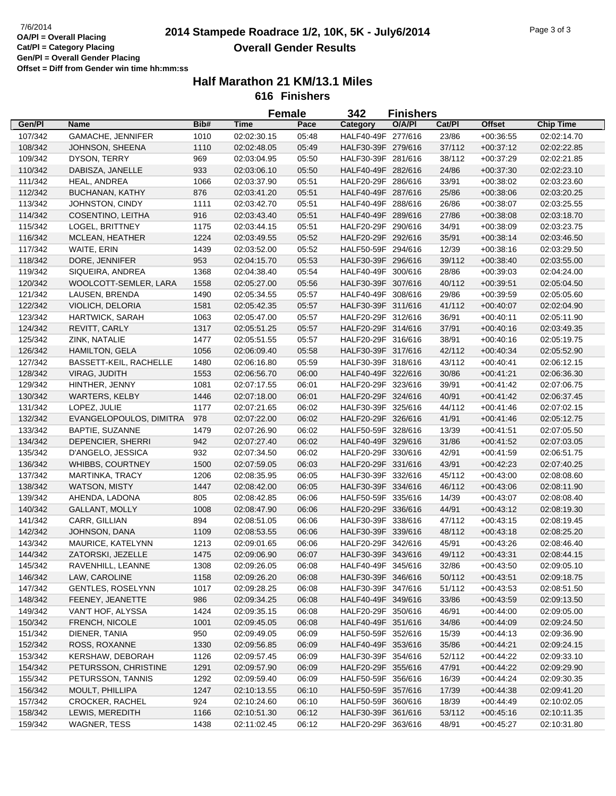## **2014 Stampede Roadrace 1/2, 10K, 5K - July6/2014** 7/6/2014 Page 3 of 3 **Overall Gender Results**

| Cat/Pl<br>Gen/Pl<br>Bib#<br><b>Time</b><br>Pace<br>O/A/PI<br><b>Chip Time</b><br><b>Name</b><br>Category<br>HALF40-49F 277/616<br>107/342<br><b>GAMACHE, JENNIFER</b><br>1010<br>02:02:30.15<br>05:48<br>23/86<br>$+00:36:55$<br>02:02:14.70<br>HALF30-39F 279/616<br>37/112<br>108/342<br>JOHNSON, SHEENA<br>1110<br>02:02:48.05<br>05:49<br>$+00:37:12$<br>02:02:22.85<br>HALF30-39F 281/616<br>109/342<br>DYSON, TERRY<br>969<br>02:03:04.95<br>05:50<br>38/112<br>$+00:37:29$<br>02:02:21.85<br>110/342<br>933<br>HALF40-49F 282/616<br>24/86<br>DABISZA, JANELLE<br>02:03:06.10<br>05:50<br>$+00:37:30$<br>02:02:23.10<br>HALF20-29F 286/616<br>33/91<br>111/342<br>HEAL, ANDREA<br>1066<br>02:03:37.90<br>05:51<br>$+00:38:02$<br>02:03:23.60<br>112/342<br>876<br>HALF40-49F 287/616<br>BUCHANAN, KATHY<br>02:03:41.20<br>05:51<br>25/86<br>$+00:38:06$<br>02:03:20.25<br>HALF40-49F 288/616<br>113/342<br>JOHNSTON, CINDY<br>1111<br>02:03:42.70<br>05:51<br>26/86<br>$+00:38:07$<br>02:03:25.55<br>114/342<br>05:51<br>HALF40-49F 289/616<br>27/86<br>COSENTINO, LEITHA<br>916<br>02:03:43.40<br>$+00:38:08$<br>02:03:18.70<br>05:51<br>HALF20-29F 290/616<br>34/91<br>115/342<br>LOGEL, BRITTNEY<br>1175<br>02:03:44.15<br>$+00:38:09$<br>02:03:23.75<br>116/342<br>1224<br>05:52<br>HALF20-29F 292/616<br>35/91<br>02:03:49.55<br>$+00:38:14$<br>02:03:46.50<br>MCLEAN, HEATHER<br>1439<br>HALF50-59F 294/616<br>12/39<br>117/342<br>WAITE, ERIN<br>02:03:52.00<br>05:52<br>$+00:38:16$<br>02:03:29.50<br>118/342<br>953<br>05:53<br>HALF30-39F 296/616<br>39/112<br>DORE, JENNIFER<br>02:04:15.70<br>$+00:38:40$<br>02:03:55.00<br>119/342<br>05:54<br>HALF40-49F 300/616<br>28/86<br>SIQUEIRA, ANDREA<br>1368<br>02:04:38.40<br>$+00:39:03$<br>02:04:24.00<br>120/342<br>HALF30-39F 307/616<br>WOOLCOTT-SEMLER, LARA<br>1558<br>02:05:27.00<br>05:56<br>40/112<br>$+00:39:51$<br>02:05:04.50<br>HALF40-49F 308/616<br>121/342<br>LAUSEN, BRENDA<br>1490<br>02:05:34.55<br>05:57<br>29/86<br>$+00:39:59$<br>02:05:05.60<br>HALF30-39F 311/616<br>122/342<br>VIOLICH, DELORIA<br>1581<br>02:05:42.35<br>05:57<br>41/112<br>$+00:40:07$<br>02:02:04.90<br>05:57<br>36/91<br>123/342<br>HARTWICK, SARAH<br>1063<br>02:05:47.00<br>HALF20-29F 312/616<br>$+00:40:11$<br>02:05:11.90<br>05:57<br>HALF20-29F 314/616<br>37/91<br>124/342<br>REVITT, CARLY<br>1317<br>02:05:51.25<br>$+00:40:16$<br>02:03:49.35<br>HALF20-29F 316/616<br>38/91<br>125/342<br>ZINK, NATALIE<br>1477<br>02:05:51.55<br>05:57<br>$+00:40:16$<br>02:05:19.75<br>HALF30-39F 317/616<br>126/342<br><b>HAMILTON, GELA</b><br>02:06:09.40<br>05:58<br>42/112<br>$+00:40:34$<br>02:05:52.90<br>1056<br>05:59<br>HALF30-39F 318/616<br>127/342<br>BASSETT-KEIL, RACHELLE<br>1480<br>02:06:16.80<br>43/112<br>$+00:40:41$<br>02:06:12.15<br>HALF40-49F 322/616<br>128/342<br>VIRAG, JUDITH<br>1553<br>06:00<br>30/86<br>$+00:41:21$<br>02:06:56.70<br>02:06:36.30<br>HALF20-29F 323/616<br>129/342<br>HINTHER, JENNY<br>1081<br>02:07:17.55<br>06:01<br>39/91<br>$+00:41:42$<br>02:07:06.75<br>130/342<br><b>WARTERS, KELBY</b><br>02:07:18.00<br>06:01<br>HALF20-29F 324/616<br>40/91<br>$+00.41:42$<br>1446<br>02:06:37.45<br>131/342<br>HALF30-39F 325/616<br>44/112<br>LOPEZ, JULIE<br>1177<br>02:07:21.65<br>06:02<br>$+00:41:46$<br>02:07:02.15<br>HALF20-29F 326/616<br>132/342<br>EVANGELOPOULOS, DIMITRA<br>02:07:22.00<br>06:02<br>41/91<br>$+00:41:46$<br>978<br>02:05:12.75<br>HALF50-59F 328/616<br>133/342<br><b>BAPTIE, SUZANNE</b><br>1479<br>02:07:26.90<br>06:02<br>13/39<br>$+00:41:51$<br>02:07:05.50<br>134/342<br>HALF40-49F 329/616<br>DEPENCIER, SHERRI<br>942<br>02:07:27.40<br>06:02<br>31/86<br>$+00:41:52$<br>02:07:03.05<br>932<br>HALF20-29F 330/616<br>42/91<br>135/342<br>D'ANGELO, JESSICA<br>02:07:34.50<br>06:02<br>$+00:41:59$<br>02:06:51.75<br>HALF20-29F 331/616<br>136/342<br>WHIBBS, COURTNEY<br>1500<br>02:07:59.05<br>06:03<br>43/91<br>$+00:42:23$<br>02:07:40.25<br>HALF30-39F 332/616<br>137/342<br>MARTINKA, TRACY<br>1206<br>02:08:35.95<br>06:05<br>45/112<br>$+00:43:00$<br>02:08:08.60<br>HALF30-39F 334/616<br>138/342<br><b>WATSON, MISTY</b><br>1447<br>02:08:42.00<br>06:05<br>46/112<br>$+00:43:06$<br>02:08:11.90<br>805<br>HALF50-59F 335/616<br>14/39<br>139/342<br>AHENDA, LADONA<br>02:08:42.85<br>06:06<br>$+00:43:07$<br>02:08:08.40<br>HALF20-29F 336/616<br>44/91<br>140/342<br>GALLANT, MOLLY<br>02:08:47.90<br>06:06<br>$+00:43:12$<br>1008<br>02:08:19.30<br>HALF30-39F 338/616<br>141/342<br>CARR, GILLIAN<br>894<br>02:08:51.05<br>06:06<br>47/112<br>$+00:43:15$<br>02:08:19.45<br>HALF30-39F 339/616<br>142/342<br>JOHNSON, DANA<br>48/112<br>$+00:43:18$<br>02:08:25.20<br>1109<br>02:08:53.55<br>06:06<br>HALF20-29F 342/616<br>143/342<br>MAURICE, KATELYNN<br>1213<br>02:09:01.65<br>06:06<br>45/91<br>$+00.43:26$<br>02:08:46.40<br>144/342<br>ZATORSKI, JEZELLE<br>1475<br>06:07<br>HALF30-39F 343/616<br>49/112<br>02:09:06.90<br>$+00:43:31$<br>02:08:44.15<br>145/342<br>RAVENHILL, LEANNE<br>1308<br>HALF40-49F 345/616<br>32/86<br>$+00:43:50$<br>02:09:26.05<br>06:08<br>02:09:05.10<br>146/342<br>LAW, CAROLINE<br>1158<br>02:09:26.20<br>06:08<br>HALF30-39F 346/616<br>50/112<br>$+00:43:51$<br>02:09:18.75<br>147/342<br><b>GENTLES, ROSELYNN</b><br>1017<br>06:08<br>HALF30-39F 347/616<br>51/112<br>$+00:43:53$<br>02:09:28.25<br>02:08:51.50<br>148/342<br>FEENEY, JEANETTE<br>06:08<br>HALF40-49F 349/616<br>33/86<br>986<br>02:09:34.25<br>$+00:43:59$<br>02:09:13.50<br>149/342<br>VAN'T HOF, ALYSSA<br>1424<br>06:08<br>HALF20-29F 350/616<br>46/91<br>$+00:44:00$<br>02:09:35.15<br>02:09:05.00<br>150/342<br>FRENCH, NICOLE<br>HALF40-49F 351/616<br>34/86<br>1001<br>02:09:45.05<br>06:08<br>$+00:44:09$<br>02:09:24.50<br>151/342<br>DIENER, TANIA<br>950<br>06:09<br>HALF50-59F 352/616<br>15/39<br>$+00.44:13$<br>02:09:49.05<br>02:09:36.90<br>152/342<br>ROSS, ROXANNE<br>HALF40-49F 353/616<br>35/86<br>1330<br>02:09:56.85<br>06:09<br>$+00:44:21$<br>02:09:24.15<br>153/342<br>KERSHAW, DEBORAH<br>1126<br>06:09<br>HALF30-39F 354/616<br>52/112<br>02:09:57.45<br>$+00:44:22$<br>02:09:33.10<br>154/342<br>PETURSSON, CHRISTINE<br>HALF20-29F 355/616<br>1291<br>02:09:57.90<br>06:09<br>47/91<br>$+00:44:22$<br>02:09:29.90<br>155/342<br>PETURSSON, TANNIS<br>1292<br>02:09:59.40<br>06:09<br>HALF50-59F 356/616<br>16/39<br>$+00:44:24$<br>02:09:30.35<br>156/342<br>MOULT, PHILLIPA<br>06:10<br>HALF50-59F 357/616<br>17/39<br>1247<br>02:10:13.55<br>$+00:44:38$<br>02:09:41.20<br>157/342<br>CROCKER, RACHEL<br>924<br>06:10<br>HALF50-59F 360/616<br>18/39<br>02:10:24.60<br>$+00:44:49$<br>02:10:02.05<br>158/342<br>LEWIS, MEREDITH<br>06:12<br>HALF30-39F 361/616<br>53/112<br>1166<br>02:10:51.30<br>$+00:45:16$<br>02:10:11.35<br>159/342<br>WAGNER, TESS<br>1438<br>02:11:02.45<br>06:12<br>HALF20-29F 363/616<br>48/91<br>$+00:45:27$<br>02:10:31.80 |  |  | <b>Female</b> | 342 | <b>Finishers</b> |               |  |
|---------------------------------------------------------------------------------------------------------------------------------------------------------------------------------------------------------------------------------------------------------------------------------------------------------------------------------------------------------------------------------------------------------------------------------------------------------------------------------------------------------------------------------------------------------------------------------------------------------------------------------------------------------------------------------------------------------------------------------------------------------------------------------------------------------------------------------------------------------------------------------------------------------------------------------------------------------------------------------------------------------------------------------------------------------------------------------------------------------------------------------------------------------------------------------------------------------------------------------------------------------------------------------------------------------------------------------------------------------------------------------------------------------------------------------------------------------------------------------------------------------------------------------------------------------------------------------------------------------------------------------------------------------------------------------------------------------------------------------------------------------------------------------------------------------------------------------------------------------------------------------------------------------------------------------------------------------------------------------------------------------------------------------------------------------------------------------------------------------------------------------------------------------------------------------------------------------------------------------------------------------------------------------------------------------------------------------------------------------------------------------------------------------------------------------------------------------------------------------------------------------------------------------------------------------------------------------------------------------------------------------------------------------------------------------------------------------------------------------------------------------------------------------------------------------------------------------------------------------------------------------------------------------------------------------------------------------------------------------------------------------------------------------------------------------------------------------------------------------------------------------------------------------------------------------------------------------------------------------------------------------------------------------------------------------------------------------------------------------------------------------------------------------------------------------------------------------------------------------------------------------------------------------------------------------------------------------------------------------------------------------------------------------------------------------------------------------------------------------------------------------------------------------------------------------------------------------------------------------------------------------------------------------------------------------------------------------------------------------------------------------------------------------------------------------------------------------------------------------------------------------------------------------------------------------------------------------------------------------------------------------------------------------------------------------------------------------------------------------------------------------------------------------------------------------------------------------------------------------------------------------------------------------------------------------------------------------------------------------------------------------------------------------------------------------------------------------------------------------------------------------------------------------------------------------------------------------------------------------------------------------------------------------------------------------------------------------------------------------------------------------------------------------------------------------------------------------------------------------------------------------------------------------------------------------------------------------------------------------------------------------------------------------------------------------------------------------------------------------------------------------------------------------------------------------------------------------------------------------------------------------------------------------------------------------------------------------------------------------------------------------------------------------------------------------------------------------------------------------------------------------------------------------------------------------------------------------------------------------------------------------------------------------------------------------------------------------------------------------------------------------------------------------------------------------------------------------------------------------------------------------------------------------------------------------------------------------------------------------------------------------------------------------------------------------------------------------------------------------------------------------------------------------------------------------------------------------------------------------------------------------------------------------------------------------------------------------------------------------------------------------------------------------------------------------------------------------------------------------------------------------------------------------------------------------------------------------------------------------------------------------------------------------------------------------------------------------|--|--|---------------|-----|------------------|---------------|--|
|                                                                                                                                                                                                                                                                                                                                                                                                                                                                                                                                                                                                                                                                                                                                                                                                                                                                                                                                                                                                                                                                                                                                                                                                                                                                                                                                                                                                                                                                                                                                                                                                                                                                                                                                                                                                                                                                                                                                                                                                                                                                                                                                                                                                                                                                                                                                                                                                                                                                                                                                                                                                                                                                                                                                                                                                                                                                                                                                                                                                                                                                                                                                                                                                                                                                                                                                                                                                                                                                                                                                                                                                                                                                                                                                                                                                                                                                                                                                                                                                                                                                                                                                                                                                                                                                                                                                                                                                                                                                                                                                                                                                                                                                                                                                                                                                                                                                                                                                                                                                                                                                                                                                                                                                                                                                                                                                                                                                                                                                                                                                                                                                                                                                                                                                                                                                                                                                                                                                                                                                                                                                                                                                                                                                                                                                                                                                                                                                                                                                                                                                                                                                                                                                                                                                                                                                                                                                                                                                                         |  |  |               |     |                  | <b>Offset</b> |  |
|                                                                                                                                                                                                                                                                                                                                                                                                                                                                                                                                                                                                                                                                                                                                                                                                                                                                                                                                                                                                                                                                                                                                                                                                                                                                                                                                                                                                                                                                                                                                                                                                                                                                                                                                                                                                                                                                                                                                                                                                                                                                                                                                                                                                                                                                                                                                                                                                                                                                                                                                                                                                                                                                                                                                                                                                                                                                                                                                                                                                                                                                                                                                                                                                                                                                                                                                                                                                                                                                                                                                                                                                                                                                                                                                                                                                                                                                                                                                                                                                                                                                                                                                                                                                                                                                                                                                                                                                                                                                                                                                                                                                                                                                                                                                                                                                                                                                                                                                                                                                                                                                                                                                                                                                                                                                                                                                                                                                                                                                                                                                                                                                                                                                                                                                                                                                                                                                                                                                                                                                                                                                                                                                                                                                                                                                                                                                                                                                                                                                                                                                                                                                                                                                                                                                                                                                                                                                                                                                                         |  |  |               |     |                  |               |  |
|                                                                                                                                                                                                                                                                                                                                                                                                                                                                                                                                                                                                                                                                                                                                                                                                                                                                                                                                                                                                                                                                                                                                                                                                                                                                                                                                                                                                                                                                                                                                                                                                                                                                                                                                                                                                                                                                                                                                                                                                                                                                                                                                                                                                                                                                                                                                                                                                                                                                                                                                                                                                                                                                                                                                                                                                                                                                                                                                                                                                                                                                                                                                                                                                                                                                                                                                                                                                                                                                                                                                                                                                                                                                                                                                                                                                                                                                                                                                                                                                                                                                                                                                                                                                                                                                                                                                                                                                                                                                                                                                                                                                                                                                                                                                                                                                                                                                                                                                                                                                                                                                                                                                                                                                                                                                                                                                                                                                                                                                                                                                                                                                                                                                                                                                                                                                                                                                                                                                                                                                                                                                                                                                                                                                                                                                                                                                                                                                                                                                                                                                                                                                                                                                                                                                                                                                                                                                                                                                                         |  |  |               |     |                  |               |  |
|                                                                                                                                                                                                                                                                                                                                                                                                                                                                                                                                                                                                                                                                                                                                                                                                                                                                                                                                                                                                                                                                                                                                                                                                                                                                                                                                                                                                                                                                                                                                                                                                                                                                                                                                                                                                                                                                                                                                                                                                                                                                                                                                                                                                                                                                                                                                                                                                                                                                                                                                                                                                                                                                                                                                                                                                                                                                                                                                                                                                                                                                                                                                                                                                                                                                                                                                                                                                                                                                                                                                                                                                                                                                                                                                                                                                                                                                                                                                                                                                                                                                                                                                                                                                                                                                                                                                                                                                                                                                                                                                                                                                                                                                                                                                                                                                                                                                                                                                                                                                                                                                                                                                                                                                                                                                                                                                                                                                                                                                                                                                                                                                                                                                                                                                                                                                                                                                                                                                                                                                                                                                                                                                                                                                                                                                                                                                                                                                                                                                                                                                                                                                                                                                                                                                                                                                                                                                                                                                                         |  |  |               |     |                  |               |  |
|                                                                                                                                                                                                                                                                                                                                                                                                                                                                                                                                                                                                                                                                                                                                                                                                                                                                                                                                                                                                                                                                                                                                                                                                                                                                                                                                                                                                                                                                                                                                                                                                                                                                                                                                                                                                                                                                                                                                                                                                                                                                                                                                                                                                                                                                                                                                                                                                                                                                                                                                                                                                                                                                                                                                                                                                                                                                                                                                                                                                                                                                                                                                                                                                                                                                                                                                                                                                                                                                                                                                                                                                                                                                                                                                                                                                                                                                                                                                                                                                                                                                                                                                                                                                                                                                                                                                                                                                                                                                                                                                                                                                                                                                                                                                                                                                                                                                                                                                                                                                                                                                                                                                                                                                                                                                                                                                                                                                                                                                                                                                                                                                                                                                                                                                                                                                                                                                                                                                                                                                                                                                                                                                                                                                                                                                                                                                                                                                                                                                                                                                                                                                                                                                                                                                                                                                                                                                                                                                                         |  |  |               |     |                  |               |  |
|                                                                                                                                                                                                                                                                                                                                                                                                                                                                                                                                                                                                                                                                                                                                                                                                                                                                                                                                                                                                                                                                                                                                                                                                                                                                                                                                                                                                                                                                                                                                                                                                                                                                                                                                                                                                                                                                                                                                                                                                                                                                                                                                                                                                                                                                                                                                                                                                                                                                                                                                                                                                                                                                                                                                                                                                                                                                                                                                                                                                                                                                                                                                                                                                                                                                                                                                                                                                                                                                                                                                                                                                                                                                                                                                                                                                                                                                                                                                                                                                                                                                                                                                                                                                                                                                                                                                                                                                                                                                                                                                                                                                                                                                                                                                                                                                                                                                                                                                                                                                                                                                                                                                                                                                                                                                                                                                                                                                                                                                                                                                                                                                                                                                                                                                                                                                                                                                                                                                                                                                                                                                                                                                                                                                                                                                                                                                                                                                                                                                                                                                                                                                                                                                                                                                                                                                                                                                                                                                                         |  |  |               |     |                  |               |  |
|                                                                                                                                                                                                                                                                                                                                                                                                                                                                                                                                                                                                                                                                                                                                                                                                                                                                                                                                                                                                                                                                                                                                                                                                                                                                                                                                                                                                                                                                                                                                                                                                                                                                                                                                                                                                                                                                                                                                                                                                                                                                                                                                                                                                                                                                                                                                                                                                                                                                                                                                                                                                                                                                                                                                                                                                                                                                                                                                                                                                                                                                                                                                                                                                                                                                                                                                                                                                                                                                                                                                                                                                                                                                                                                                                                                                                                                                                                                                                                                                                                                                                                                                                                                                                                                                                                                                                                                                                                                                                                                                                                                                                                                                                                                                                                                                                                                                                                                                                                                                                                                                                                                                                                                                                                                                                                                                                                                                                                                                                                                                                                                                                                                                                                                                                                                                                                                                                                                                                                                                                                                                                                                                                                                                                                                                                                                                                                                                                                                                                                                                                                                                                                                                                                                                                                                                                                                                                                                                                         |  |  |               |     |                  |               |  |
|                                                                                                                                                                                                                                                                                                                                                                                                                                                                                                                                                                                                                                                                                                                                                                                                                                                                                                                                                                                                                                                                                                                                                                                                                                                                                                                                                                                                                                                                                                                                                                                                                                                                                                                                                                                                                                                                                                                                                                                                                                                                                                                                                                                                                                                                                                                                                                                                                                                                                                                                                                                                                                                                                                                                                                                                                                                                                                                                                                                                                                                                                                                                                                                                                                                                                                                                                                                                                                                                                                                                                                                                                                                                                                                                                                                                                                                                                                                                                                                                                                                                                                                                                                                                                                                                                                                                                                                                                                                                                                                                                                                                                                                                                                                                                                                                                                                                                                                                                                                                                                                                                                                                                                                                                                                                                                                                                                                                                                                                                                                                                                                                                                                                                                                                                                                                                                                                                                                                                                                                                                                                                                                                                                                                                                                                                                                                                                                                                                                                                                                                                                                                                                                                                                                                                                                                                                                                                                                                                         |  |  |               |     |                  |               |  |
|                                                                                                                                                                                                                                                                                                                                                                                                                                                                                                                                                                                                                                                                                                                                                                                                                                                                                                                                                                                                                                                                                                                                                                                                                                                                                                                                                                                                                                                                                                                                                                                                                                                                                                                                                                                                                                                                                                                                                                                                                                                                                                                                                                                                                                                                                                                                                                                                                                                                                                                                                                                                                                                                                                                                                                                                                                                                                                                                                                                                                                                                                                                                                                                                                                                                                                                                                                                                                                                                                                                                                                                                                                                                                                                                                                                                                                                                                                                                                                                                                                                                                                                                                                                                                                                                                                                                                                                                                                                                                                                                                                                                                                                                                                                                                                                                                                                                                                                                                                                                                                                                                                                                                                                                                                                                                                                                                                                                                                                                                                                                                                                                                                                                                                                                                                                                                                                                                                                                                                                                                                                                                                                                                                                                                                                                                                                                                                                                                                                                                                                                                                                                                                                                                                                                                                                                                                                                                                                                                         |  |  |               |     |                  |               |  |
|                                                                                                                                                                                                                                                                                                                                                                                                                                                                                                                                                                                                                                                                                                                                                                                                                                                                                                                                                                                                                                                                                                                                                                                                                                                                                                                                                                                                                                                                                                                                                                                                                                                                                                                                                                                                                                                                                                                                                                                                                                                                                                                                                                                                                                                                                                                                                                                                                                                                                                                                                                                                                                                                                                                                                                                                                                                                                                                                                                                                                                                                                                                                                                                                                                                                                                                                                                                                                                                                                                                                                                                                                                                                                                                                                                                                                                                                                                                                                                                                                                                                                                                                                                                                                                                                                                                                                                                                                                                                                                                                                                                                                                                                                                                                                                                                                                                                                                                                                                                                                                                                                                                                                                                                                                                                                                                                                                                                                                                                                                                                                                                                                                                                                                                                                                                                                                                                                                                                                                                                                                                                                                                                                                                                                                                                                                                                                                                                                                                                                                                                                                                                                                                                                                                                                                                                                                                                                                                                                         |  |  |               |     |                  |               |  |
|                                                                                                                                                                                                                                                                                                                                                                                                                                                                                                                                                                                                                                                                                                                                                                                                                                                                                                                                                                                                                                                                                                                                                                                                                                                                                                                                                                                                                                                                                                                                                                                                                                                                                                                                                                                                                                                                                                                                                                                                                                                                                                                                                                                                                                                                                                                                                                                                                                                                                                                                                                                                                                                                                                                                                                                                                                                                                                                                                                                                                                                                                                                                                                                                                                                                                                                                                                                                                                                                                                                                                                                                                                                                                                                                                                                                                                                                                                                                                                                                                                                                                                                                                                                                                                                                                                                                                                                                                                                                                                                                                                                                                                                                                                                                                                                                                                                                                                                                                                                                                                                                                                                                                                                                                                                                                                                                                                                                                                                                                                                                                                                                                                                                                                                                                                                                                                                                                                                                                                                                                                                                                                                                                                                                                                                                                                                                                                                                                                                                                                                                                                                                                                                                                                                                                                                                                                                                                                                                                         |  |  |               |     |                  |               |  |
|                                                                                                                                                                                                                                                                                                                                                                                                                                                                                                                                                                                                                                                                                                                                                                                                                                                                                                                                                                                                                                                                                                                                                                                                                                                                                                                                                                                                                                                                                                                                                                                                                                                                                                                                                                                                                                                                                                                                                                                                                                                                                                                                                                                                                                                                                                                                                                                                                                                                                                                                                                                                                                                                                                                                                                                                                                                                                                                                                                                                                                                                                                                                                                                                                                                                                                                                                                                                                                                                                                                                                                                                                                                                                                                                                                                                                                                                                                                                                                                                                                                                                                                                                                                                                                                                                                                                                                                                                                                                                                                                                                                                                                                                                                                                                                                                                                                                                                                                                                                                                                                                                                                                                                                                                                                                                                                                                                                                                                                                                                                                                                                                                                                                                                                                                                                                                                                                                                                                                                                                                                                                                                                                                                                                                                                                                                                                                                                                                                                                                                                                                                                                                                                                                                                                                                                                                                                                                                                                                         |  |  |               |     |                  |               |  |
|                                                                                                                                                                                                                                                                                                                                                                                                                                                                                                                                                                                                                                                                                                                                                                                                                                                                                                                                                                                                                                                                                                                                                                                                                                                                                                                                                                                                                                                                                                                                                                                                                                                                                                                                                                                                                                                                                                                                                                                                                                                                                                                                                                                                                                                                                                                                                                                                                                                                                                                                                                                                                                                                                                                                                                                                                                                                                                                                                                                                                                                                                                                                                                                                                                                                                                                                                                                                                                                                                                                                                                                                                                                                                                                                                                                                                                                                                                                                                                                                                                                                                                                                                                                                                                                                                                                                                                                                                                                                                                                                                                                                                                                                                                                                                                                                                                                                                                                                                                                                                                                                                                                                                                                                                                                                                                                                                                                                                                                                                                                                                                                                                                                                                                                                                                                                                                                                                                                                                                                                                                                                                                                                                                                                                                                                                                                                                                                                                                                                                                                                                                                                                                                                                                                                                                                                                                                                                                                                                         |  |  |               |     |                  |               |  |
|                                                                                                                                                                                                                                                                                                                                                                                                                                                                                                                                                                                                                                                                                                                                                                                                                                                                                                                                                                                                                                                                                                                                                                                                                                                                                                                                                                                                                                                                                                                                                                                                                                                                                                                                                                                                                                                                                                                                                                                                                                                                                                                                                                                                                                                                                                                                                                                                                                                                                                                                                                                                                                                                                                                                                                                                                                                                                                                                                                                                                                                                                                                                                                                                                                                                                                                                                                                                                                                                                                                                                                                                                                                                                                                                                                                                                                                                                                                                                                                                                                                                                                                                                                                                                                                                                                                                                                                                                                                                                                                                                                                                                                                                                                                                                                                                                                                                                                                                                                                                                                                                                                                                                                                                                                                                                                                                                                                                                                                                                                                                                                                                                                                                                                                                                                                                                                                                                                                                                                                                                                                                                                                                                                                                                                                                                                                                                                                                                                                                                                                                                                                                                                                                                                                                                                                                                                                                                                                                                         |  |  |               |     |                  |               |  |
|                                                                                                                                                                                                                                                                                                                                                                                                                                                                                                                                                                                                                                                                                                                                                                                                                                                                                                                                                                                                                                                                                                                                                                                                                                                                                                                                                                                                                                                                                                                                                                                                                                                                                                                                                                                                                                                                                                                                                                                                                                                                                                                                                                                                                                                                                                                                                                                                                                                                                                                                                                                                                                                                                                                                                                                                                                                                                                                                                                                                                                                                                                                                                                                                                                                                                                                                                                                                                                                                                                                                                                                                                                                                                                                                                                                                                                                                                                                                                                                                                                                                                                                                                                                                                                                                                                                                                                                                                                                                                                                                                                                                                                                                                                                                                                                                                                                                                                                                                                                                                                                                                                                                                                                                                                                                                                                                                                                                                                                                                                                                                                                                                                                                                                                                                                                                                                                                                                                                                                                                                                                                                                                                                                                                                                                                                                                                                                                                                                                                                                                                                                                                                                                                                                                                                                                                                                                                                                                                                         |  |  |               |     |                  |               |  |
|                                                                                                                                                                                                                                                                                                                                                                                                                                                                                                                                                                                                                                                                                                                                                                                                                                                                                                                                                                                                                                                                                                                                                                                                                                                                                                                                                                                                                                                                                                                                                                                                                                                                                                                                                                                                                                                                                                                                                                                                                                                                                                                                                                                                                                                                                                                                                                                                                                                                                                                                                                                                                                                                                                                                                                                                                                                                                                                                                                                                                                                                                                                                                                                                                                                                                                                                                                                                                                                                                                                                                                                                                                                                                                                                                                                                                                                                                                                                                                                                                                                                                                                                                                                                                                                                                                                                                                                                                                                                                                                                                                                                                                                                                                                                                                                                                                                                                                                                                                                                                                                                                                                                                                                                                                                                                                                                                                                                                                                                                                                                                                                                                                                                                                                                                                                                                                                                                                                                                                                                                                                                                                                                                                                                                                                                                                                                                                                                                                                                                                                                                                                                                                                                                                                                                                                                                                                                                                                                                         |  |  |               |     |                  |               |  |
|                                                                                                                                                                                                                                                                                                                                                                                                                                                                                                                                                                                                                                                                                                                                                                                                                                                                                                                                                                                                                                                                                                                                                                                                                                                                                                                                                                                                                                                                                                                                                                                                                                                                                                                                                                                                                                                                                                                                                                                                                                                                                                                                                                                                                                                                                                                                                                                                                                                                                                                                                                                                                                                                                                                                                                                                                                                                                                                                                                                                                                                                                                                                                                                                                                                                                                                                                                                                                                                                                                                                                                                                                                                                                                                                                                                                                                                                                                                                                                                                                                                                                                                                                                                                                                                                                                                                                                                                                                                                                                                                                                                                                                                                                                                                                                                                                                                                                                                                                                                                                                                                                                                                                                                                                                                                                                                                                                                                                                                                                                                                                                                                                                                                                                                                                                                                                                                                                                                                                                                                                                                                                                                                                                                                                                                                                                                                                                                                                                                                                                                                                                                                                                                                                                                                                                                                                                                                                                                                                         |  |  |               |     |                  |               |  |
|                                                                                                                                                                                                                                                                                                                                                                                                                                                                                                                                                                                                                                                                                                                                                                                                                                                                                                                                                                                                                                                                                                                                                                                                                                                                                                                                                                                                                                                                                                                                                                                                                                                                                                                                                                                                                                                                                                                                                                                                                                                                                                                                                                                                                                                                                                                                                                                                                                                                                                                                                                                                                                                                                                                                                                                                                                                                                                                                                                                                                                                                                                                                                                                                                                                                                                                                                                                                                                                                                                                                                                                                                                                                                                                                                                                                                                                                                                                                                                                                                                                                                                                                                                                                                                                                                                                                                                                                                                                                                                                                                                                                                                                                                                                                                                                                                                                                                                                                                                                                                                                                                                                                                                                                                                                                                                                                                                                                                                                                                                                                                                                                                                                                                                                                                                                                                                                                                                                                                                                                                                                                                                                                                                                                                                                                                                                                                                                                                                                                                                                                                                                                                                                                                                                                                                                                                                                                                                                                                         |  |  |               |     |                  |               |  |
|                                                                                                                                                                                                                                                                                                                                                                                                                                                                                                                                                                                                                                                                                                                                                                                                                                                                                                                                                                                                                                                                                                                                                                                                                                                                                                                                                                                                                                                                                                                                                                                                                                                                                                                                                                                                                                                                                                                                                                                                                                                                                                                                                                                                                                                                                                                                                                                                                                                                                                                                                                                                                                                                                                                                                                                                                                                                                                                                                                                                                                                                                                                                                                                                                                                                                                                                                                                                                                                                                                                                                                                                                                                                                                                                                                                                                                                                                                                                                                                                                                                                                                                                                                                                                                                                                                                                                                                                                                                                                                                                                                                                                                                                                                                                                                                                                                                                                                                                                                                                                                                                                                                                                                                                                                                                                                                                                                                                                                                                                                                                                                                                                                                                                                                                                                                                                                                                                                                                                                                                                                                                                                                                                                                                                                                                                                                                                                                                                                                                                                                                                                                                                                                                                                                                                                                                                                                                                                                                                         |  |  |               |     |                  |               |  |
|                                                                                                                                                                                                                                                                                                                                                                                                                                                                                                                                                                                                                                                                                                                                                                                                                                                                                                                                                                                                                                                                                                                                                                                                                                                                                                                                                                                                                                                                                                                                                                                                                                                                                                                                                                                                                                                                                                                                                                                                                                                                                                                                                                                                                                                                                                                                                                                                                                                                                                                                                                                                                                                                                                                                                                                                                                                                                                                                                                                                                                                                                                                                                                                                                                                                                                                                                                                                                                                                                                                                                                                                                                                                                                                                                                                                                                                                                                                                                                                                                                                                                                                                                                                                                                                                                                                                                                                                                                                                                                                                                                                                                                                                                                                                                                                                                                                                                                                                                                                                                                                                                                                                                                                                                                                                                                                                                                                                                                                                                                                                                                                                                                                                                                                                                                                                                                                                                                                                                                                                                                                                                                                                                                                                                                                                                                                                                                                                                                                                                                                                                                                                                                                                                                                                                                                                                                                                                                                                                         |  |  |               |     |                  |               |  |
|                                                                                                                                                                                                                                                                                                                                                                                                                                                                                                                                                                                                                                                                                                                                                                                                                                                                                                                                                                                                                                                                                                                                                                                                                                                                                                                                                                                                                                                                                                                                                                                                                                                                                                                                                                                                                                                                                                                                                                                                                                                                                                                                                                                                                                                                                                                                                                                                                                                                                                                                                                                                                                                                                                                                                                                                                                                                                                                                                                                                                                                                                                                                                                                                                                                                                                                                                                                                                                                                                                                                                                                                                                                                                                                                                                                                                                                                                                                                                                                                                                                                                                                                                                                                                                                                                                                                                                                                                                                                                                                                                                                                                                                                                                                                                                                                                                                                                                                                                                                                                                                                                                                                                                                                                                                                                                                                                                                                                                                                                                                                                                                                                                                                                                                                                                                                                                                                                                                                                                                                                                                                                                                                                                                                                                                                                                                                                                                                                                                                                                                                                                                                                                                                                                                                                                                                                                                                                                                                                         |  |  |               |     |                  |               |  |
|                                                                                                                                                                                                                                                                                                                                                                                                                                                                                                                                                                                                                                                                                                                                                                                                                                                                                                                                                                                                                                                                                                                                                                                                                                                                                                                                                                                                                                                                                                                                                                                                                                                                                                                                                                                                                                                                                                                                                                                                                                                                                                                                                                                                                                                                                                                                                                                                                                                                                                                                                                                                                                                                                                                                                                                                                                                                                                                                                                                                                                                                                                                                                                                                                                                                                                                                                                                                                                                                                                                                                                                                                                                                                                                                                                                                                                                                                                                                                                                                                                                                                                                                                                                                                                                                                                                                                                                                                                                                                                                                                                                                                                                                                                                                                                                                                                                                                                                                                                                                                                                                                                                                                                                                                                                                                                                                                                                                                                                                                                                                                                                                                                                                                                                                                                                                                                                                                                                                                                                                                                                                                                                                                                                                                                                                                                                                                                                                                                                                                                                                                                                                                                                                                                                                                                                                                                                                                                                                                         |  |  |               |     |                  |               |  |
|                                                                                                                                                                                                                                                                                                                                                                                                                                                                                                                                                                                                                                                                                                                                                                                                                                                                                                                                                                                                                                                                                                                                                                                                                                                                                                                                                                                                                                                                                                                                                                                                                                                                                                                                                                                                                                                                                                                                                                                                                                                                                                                                                                                                                                                                                                                                                                                                                                                                                                                                                                                                                                                                                                                                                                                                                                                                                                                                                                                                                                                                                                                                                                                                                                                                                                                                                                                                                                                                                                                                                                                                                                                                                                                                                                                                                                                                                                                                                                                                                                                                                                                                                                                                                                                                                                                                                                                                                                                                                                                                                                                                                                                                                                                                                                                                                                                                                                                                                                                                                                                                                                                                                                                                                                                                                                                                                                                                                                                                                                                                                                                                                                                                                                                                                                                                                                                                                                                                                                                                                                                                                                                                                                                                                                                                                                                                                                                                                                                                                                                                                                                                                                                                                                                                                                                                                                                                                                                                                         |  |  |               |     |                  |               |  |
|                                                                                                                                                                                                                                                                                                                                                                                                                                                                                                                                                                                                                                                                                                                                                                                                                                                                                                                                                                                                                                                                                                                                                                                                                                                                                                                                                                                                                                                                                                                                                                                                                                                                                                                                                                                                                                                                                                                                                                                                                                                                                                                                                                                                                                                                                                                                                                                                                                                                                                                                                                                                                                                                                                                                                                                                                                                                                                                                                                                                                                                                                                                                                                                                                                                                                                                                                                                                                                                                                                                                                                                                                                                                                                                                                                                                                                                                                                                                                                                                                                                                                                                                                                                                                                                                                                                                                                                                                                                                                                                                                                                                                                                                                                                                                                                                                                                                                                                                                                                                                                                                                                                                                                                                                                                                                                                                                                                                                                                                                                                                                                                                                                                                                                                                                                                                                                                                                                                                                                                                                                                                                                                                                                                                                                                                                                                                                                                                                                                                                                                                                                                                                                                                                                                                                                                                                                                                                                                                                         |  |  |               |     |                  |               |  |
|                                                                                                                                                                                                                                                                                                                                                                                                                                                                                                                                                                                                                                                                                                                                                                                                                                                                                                                                                                                                                                                                                                                                                                                                                                                                                                                                                                                                                                                                                                                                                                                                                                                                                                                                                                                                                                                                                                                                                                                                                                                                                                                                                                                                                                                                                                                                                                                                                                                                                                                                                                                                                                                                                                                                                                                                                                                                                                                                                                                                                                                                                                                                                                                                                                                                                                                                                                                                                                                                                                                                                                                                                                                                                                                                                                                                                                                                                                                                                                                                                                                                                                                                                                                                                                                                                                                                                                                                                                                                                                                                                                                                                                                                                                                                                                                                                                                                                                                                                                                                                                                                                                                                                                                                                                                                                                                                                                                                                                                                                                                                                                                                                                                                                                                                                                                                                                                                                                                                                                                                                                                                                                                                                                                                                                                                                                                                                                                                                                                                                                                                                                                                                                                                                                                                                                                                                                                                                                                                                         |  |  |               |     |                  |               |  |
|                                                                                                                                                                                                                                                                                                                                                                                                                                                                                                                                                                                                                                                                                                                                                                                                                                                                                                                                                                                                                                                                                                                                                                                                                                                                                                                                                                                                                                                                                                                                                                                                                                                                                                                                                                                                                                                                                                                                                                                                                                                                                                                                                                                                                                                                                                                                                                                                                                                                                                                                                                                                                                                                                                                                                                                                                                                                                                                                                                                                                                                                                                                                                                                                                                                                                                                                                                                                                                                                                                                                                                                                                                                                                                                                                                                                                                                                                                                                                                                                                                                                                                                                                                                                                                                                                                                                                                                                                                                                                                                                                                                                                                                                                                                                                                                                                                                                                                                                                                                                                                                                                                                                                                                                                                                                                                                                                                                                                                                                                                                                                                                                                                                                                                                                                                                                                                                                                                                                                                                                                                                                                                                                                                                                                                                                                                                                                                                                                                                                                                                                                                                                                                                                                                                                                                                                                                                                                                                                                         |  |  |               |     |                  |               |  |
|                                                                                                                                                                                                                                                                                                                                                                                                                                                                                                                                                                                                                                                                                                                                                                                                                                                                                                                                                                                                                                                                                                                                                                                                                                                                                                                                                                                                                                                                                                                                                                                                                                                                                                                                                                                                                                                                                                                                                                                                                                                                                                                                                                                                                                                                                                                                                                                                                                                                                                                                                                                                                                                                                                                                                                                                                                                                                                                                                                                                                                                                                                                                                                                                                                                                                                                                                                                                                                                                                                                                                                                                                                                                                                                                                                                                                                                                                                                                                                                                                                                                                                                                                                                                                                                                                                                                                                                                                                                                                                                                                                                                                                                                                                                                                                                                                                                                                                                                                                                                                                                                                                                                                                                                                                                                                                                                                                                                                                                                                                                                                                                                                                                                                                                                                                                                                                                                                                                                                                                                                                                                                                                                                                                                                                                                                                                                                                                                                                                                                                                                                                                                                                                                                                                                                                                                                                                                                                                                                         |  |  |               |     |                  |               |  |
|                                                                                                                                                                                                                                                                                                                                                                                                                                                                                                                                                                                                                                                                                                                                                                                                                                                                                                                                                                                                                                                                                                                                                                                                                                                                                                                                                                                                                                                                                                                                                                                                                                                                                                                                                                                                                                                                                                                                                                                                                                                                                                                                                                                                                                                                                                                                                                                                                                                                                                                                                                                                                                                                                                                                                                                                                                                                                                                                                                                                                                                                                                                                                                                                                                                                                                                                                                                                                                                                                                                                                                                                                                                                                                                                                                                                                                                                                                                                                                                                                                                                                                                                                                                                                                                                                                                                                                                                                                                                                                                                                                                                                                                                                                                                                                                                                                                                                                                                                                                                                                                                                                                                                                                                                                                                                                                                                                                                                                                                                                                                                                                                                                                                                                                                                                                                                                                                                                                                                                                                                                                                                                                                                                                                                                                                                                                                                                                                                                                                                                                                                                                                                                                                                                                                                                                                                                                                                                                                                         |  |  |               |     |                  |               |  |
|                                                                                                                                                                                                                                                                                                                                                                                                                                                                                                                                                                                                                                                                                                                                                                                                                                                                                                                                                                                                                                                                                                                                                                                                                                                                                                                                                                                                                                                                                                                                                                                                                                                                                                                                                                                                                                                                                                                                                                                                                                                                                                                                                                                                                                                                                                                                                                                                                                                                                                                                                                                                                                                                                                                                                                                                                                                                                                                                                                                                                                                                                                                                                                                                                                                                                                                                                                                                                                                                                                                                                                                                                                                                                                                                                                                                                                                                                                                                                                                                                                                                                                                                                                                                                                                                                                                                                                                                                                                                                                                                                                                                                                                                                                                                                                                                                                                                                                                                                                                                                                                                                                                                                                                                                                                                                                                                                                                                                                                                                                                                                                                                                                                                                                                                                                                                                                                                                                                                                                                                                                                                                                                                                                                                                                                                                                                                                                                                                                                                                                                                                                                                                                                                                                                                                                                                                                                                                                                                                         |  |  |               |     |                  |               |  |
|                                                                                                                                                                                                                                                                                                                                                                                                                                                                                                                                                                                                                                                                                                                                                                                                                                                                                                                                                                                                                                                                                                                                                                                                                                                                                                                                                                                                                                                                                                                                                                                                                                                                                                                                                                                                                                                                                                                                                                                                                                                                                                                                                                                                                                                                                                                                                                                                                                                                                                                                                                                                                                                                                                                                                                                                                                                                                                                                                                                                                                                                                                                                                                                                                                                                                                                                                                                                                                                                                                                                                                                                                                                                                                                                                                                                                                                                                                                                                                                                                                                                                                                                                                                                                                                                                                                                                                                                                                                                                                                                                                                                                                                                                                                                                                                                                                                                                                                                                                                                                                                                                                                                                                                                                                                                                                                                                                                                                                                                                                                                                                                                                                                                                                                                                                                                                                                                                                                                                                                                                                                                                                                                                                                                                                                                                                                                                                                                                                                                                                                                                                                                                                                                                                                                                                                                                                                                                                                                                         |  |  |               |     |                  |               |  |
|                                                                                                                                                                                                                                                                                                                                                                                                                                                                                                                                                                                                                                                                                                                                                                                                                                                                                                                                                                                                                                                                                                                                                                                                                                                                                                                                                                                                                                                                                                                                                                                                                                                                                                                                                                                                                                                                                                                                                                                                                                                                                                                                                                                                                                                                                                                                                                                                                                                                                                                                                                                                                                                                                                                                                                                                                                                                                                                                                                                                                                                                                                                                                                                                                                                                                                                                                                                                                                                                                                                                                                                                                                                                                                                                                                                                                                                                                                                                                                                                                                                                                                                                                                                                                                                                                                                                                                                                                                                                                                                                                                                                                                                                                                                                                                                                                                                                                                                                                                                                                                                                                                                                                                                                                                                                                                                                                                                                                                                                                                                                                                                                                                                                                                                                                                                                                                                                                                                                                                                                                                                                                                                                                                                                                                                                                                                                                                                                                                                                                                                                                                                                                                                                                                                                                                                                                                                                                                                                                         |  |  |               |     |                  |               |  |
|                                                                                                                                                                                                                                                                                                                                                                                                                                                                                                                                                                                                                                                                                                                                                                                                                                                                                                                                                                                                                                                                                                                                                                                                                                                                                                                                                                                                                                                                                                                                                                                                                                                                                                                                                                                                                                                                                                                                                                                                                                                                                                                                                                                                                                                                                                                                                                                                                                                                                                                                                                                                                                                                                                                                                                                                                                                                                                                                                                                                                                                                                                                                                                                                                                                                                                                                                                                                                                                                                                                                                                                                                                                                                                                                                                                                                                                                                                                                                                                                                                                                                                                                                                                                                                                                                                                                                                                                                                                                                                                                                                                                                                                                                                                                                                                                                                                                                                                                                                                                                                                                                                                                                                                                                                                                                                                                                                                                                                                                                                                                                                                                                                                                                                                                                                                                                                                                                                                                                                                                                                                                                                                                                                                                                                                                                                                                                                                                                                                                                                                                                                                                                                                                                                                                                                                                                                                                                                                                                         |  |  |               |     |                  |               |  |
|                                                                                                                                                                                                                                                                                                                                                                                                                                                                                                                                                                                                                                                                                                                                                                                                                                                                                                                                                                                                                                                                                                                                                                                                                                                                                                                                                                                                                                                                                                                                                                                                                                                                                                                                                                                                                                                                                                                                                                                                                                                                                                                                                                                                                                                                                                                                                                                                                                                                                                                                                                                                                                                                                                                                                                                                                                                                                                                                                                                                                                                                                                                                                                                                                                                                                                                                                                                                                                                                                                                                                                                                                                                                                                                                                                                                                                                                                                                                                                                                                                                                                                                                                                                                                                                                                                                                                                                                                                                                                                                                                                                                                                                                                                                                                                                                                                                                                                                                                                                                                                                                                                                                                                                                                                                                                                                                                                                                                                                                                                                                                                                                                                                                                                                                                                                                                                                                                                                                                                                                                                                                                                                                                                                                                                                                                                                                                                                                                                                                                                                                                                                                                                                                                                                                                                                                                                                                                                                                                         |  |  |               |     |                  |               |  |
|                                                                                                                                                                                                                                                                                                                                                                                                                                                                                                                                                                                                                                                                                                                                                                                                                                                                                                                                                                                                                                                                                                                                                                                                                                                                                                                                                                                                                                                                                                                                                                                                                                                                                                                                                                                                                                                                                                                                                                                                                                                                                                                                                                                                                                                                                                                                                                                                                                                                                                                                                                                                                                                                                                                                                                                                                                                                                                                                                                                                                                                                                                                                                                                                                                                                                                                                                                                                                                                                                                                                                                                                                                                                                                                                                                                                                                                                                                                                                                                                                                                                                                                                                                                                                                                                                                                                                                                                                                                                                                                                                                                                                                                                                                                                                                                                                                                                                                                                                                                                                                                                                                                                                                                                                                                                                                                                                                                                                                                                                                                                                                                                                                                                                                                                                                                                                                                                                                                                                                                                                                                                                                                                                                                                                                                                                                                                                                                                                                                                                                                                                                                                                                                                                                                                                                                                                                                                                                                                                         |  |  |               |     |                  |               |  |
|                                                                                                                                                                                                                                                                                                                                                                                                                                                                                                                                                                                                                                                                                                                                                                                                                                                                                                                                                                                                                                                                                                                                                                                                                                                                                                                                                                                                                                                                                                                                                                                                                                                                                                                                                                                                                                                                                                                                                                                                                                                                                                                                                                                                                                                                                                                                                                                                                                                                                                                                                                                                                                                                                                                                                                                                                                                                                                                                                                                                                                                                                                                                                                                                                                                                                                                                                                                                                                                                                                                                                                                                                                                                                                                                                                                                                                                                                                                                                                                                                                                                                                                                                                                                                                                                                                                                                                                                                                                                                                                                                                                                                                                                                                                                                                                                                                                                                                                                                                                                                                                                                                                                                                                                                                                                                                                                                                                                                                                                                                                                                                                                                                                                                                                                                                                                                                                                                                                                                                                                                                                                                                                                                                                                                                                                                                                                                                                                                                                                                                                                                                                                                                                                                                                                                                                                                                                                                                                                                         |  |  |               |     |                  |               |  |
|                                                                                                                                                                                                                                                                                                                                                                                                                                                                                                                                                                                                                                                                                                                                                                                                                                                                                                                                                                                                                                                                                                                                                                                                                                                                                                                                                                                                                                                                                                                                                                                                                                                                                                                                                                                                                                                                                                                                                                                                                                                                                                                                                                                                                                                                                                                                                                                                                                                                                                                                                                                                                                                                                                                                                                                                                                                                                                                                                                                                                                                                                                                                                                                                                                                                                                                                                                                                                                                                                                                                                                                                                                                                                                                                                                                                                                                                                                                                                                                                                                                                                                                                                                                                                                                                                                                                                                                                                                                                                                                                                                                                                                                                                                                                                                                                                                                                                                                                                                                                                                                                                                                                                                                                                                                                                                                                                                                                                                                                                                                                                                                                                                                                                                                                                                                                                                                                                                                                                                                                                                                                                                                                                                                                                                                                                                                                                                                                                                                                                                                                                                                                                                                                                                                                                                                                                                                                                                                                                         |  |  |               |     |                  |               |  |
|                                                                                                                                                                                                                                                                                                                                                                                                                                                                                                                                                                                                                                                                                                                                                                                                                                                                                                                                                                                                                                                                                                                                                                                                                                                                                                                                                                                                                                                                                                                                                                                                                                                                                                                                                                                                                                                                                                                                                                                                                                                                                                                                                                                                                                                                                                                                                                                                                                                                                                                                                                                                                                                                                                                                                                                                                                                                                                                                                                                                                                                                                                                                                                                                                                                                                                                                                                                                                                                                                                                                                                                                                                                                                                                                                                                                                                                                                                                                                                                                                                                                                                                                                                                                                                                                                                                                                                                                                                                                                                                                                                                                                                                                                                                                                                                                                                                                                                                                                                                                                                                                                                                                                                                                                                                                                                                                                                                                                                                                                                                                                                                                                                                                                                                                                                                                                                                                                                                                                                                                                                                                                                                                                                                                                                                                                                                                                                                                                                                                                                                                                                                                                                                                                                                                                                                                                                                                                                                                                         |  |  |               |     |                  |               |  |
|                                                                                                                                                                                                                                                                                                                                                                                                                                                                                                                                                                                                                                                                                                                                                                                                                                                                                                                                                                                                                                                                                                                                                                                                                                                                                                                                                                                                                                                                                                                                                                                                                                                                                                                                                                                                                                                                                                                                                                                                                                                                                                                                                                                                                                                                                                                                                                                                                                                                                                                                                                                                                                                                                                                                                                                                                                                                                                                                                                                                                                                                                                                                                                                                                                                                                                                                                                                                                                                                                                                                                                                                                                                                                                                                                                                                                                                                                                                                                                                                                                                                                                                                                                                                                                                                                                                                                                                                                                                                                                                                                                                                                                                                                                                                                                                                                                                                                                                                                                                                                                                                                                                                                                                                                                                                                                                                                                                                                                                                                                                                                                                                                                                                                                                                                                                                                                                                                                                                                                                                                                                                                                                                                                                                                                                                                                                                                                                                                                                                                                                                                                                                                                                                                                                                                                                                                                                                                                                                                         |  |  |               |     |                  |               |  |
|                                                                                                                                                                                                                                                                                                                                                                                                                                                                                                                                                                                                                                                                                                                                                                                                                                                                                                                                                                                                                                                                                                                                                                                                                                                                                                                                                                                                                                                                                                                                                                                                                                                                                                                                                                                                                                                                                                                                                                                                                                                                                                                                                                                                                                                                                                                                                                                                                                                                                                                                                                                                                                                                                                                                                                                                                                                                                                                                                                                                                                                                                                                                                                                                                                                                                                                                                                                                                                                                                                                                                                                                                                                                                                                                                                                                                                                                                                                                                                                                                                                                                                                                                                                                                                                                                                                                                                                                                                                                                                                                                                                                                                                                                                                                                                                                                                                                                                                                                                                                                                                                                                                                                                                                                                                                                                                                                                                                                                                                                                                                                                                                                                                                                                                                                                                                                                                                                                                                                                                                                                                                                                                                                                                                                                                                                                                                                                                                                                                                                                                                                                                                                                                                                                                                                                                                                                                                                                                                                         |  |  |               |     |                  |               |  |
|                                                                                                                                                                                                                                                                                                                                                                                                                                                                                                                                                                                                                                                                                                                                                                                                                                                                                                                                                                                                                                                                                                                                                                                                                                                                                                                                                                                                                                                                                                                                                                                                                                                                                                                                                                                                                                                                                                                                                                                                                                                                                                                                                                                                                                                                                                                                                                                                                                                                                                                                                                                                                                                                                                                                                                                                                                                                                                                                                                                                                                                                                                                                                                                                                                                                                                                                                                                                                                                                                                                                                                                                                                                                                                                                                                                                                                                                                                                                                                                                                                                                                                                                                                                                                                                                                                                                                                                                                                                                                                                                                                                                                                                                                                                                                                                                                                                                                                                                                                                                                                                                                                                                                                                                                                                                                                                                                                                                                                                                                                                                                                                                                                                                                                                                                                                                                                                                                                                                                                                                                                                                                                                                                                                                                                                                                                                                                                                                                                                                                                                                                                                                                                                                                                                                                                                                                                                                                                                                                         |  |  |               |     |                  |               |  |
|                                                                                                                                                                                                                                                                                                                                                                                                                                                                                                                                                                                                                                                                                                                                                                                                                                                                                                                                                                                                                                                                                                                                                                                                                                                                                                                                                                                                                                                                                                                                                                                                                                                                                                                                                                                                                                                                                                                                                                                                                                                                                                                                                                                                                                                                                                                                                                                                                                                                                                                                                                                                                                                                                                                                                                                                                                                                                                                                                                                                                                                                                                                                                                                                                                                                                                                                                                                                                                                                                                                                                                                                                                                                                                                                                                                                                                                                                                                                                                                                                                                                                                                                                                                                                                                                                                                                                                                                                                                                                                                                                                                                                                                                                                                                                                                                                                                                                                                                                                                                                                                                                                                                                                                                                                                                                                                                                                                                                                                                                                                                                                                                                                                                                                                                                                                                                                                                                                                                                                                                                                                                                                                                                                                                                                                                                                                                                                                                                                                                                                                                                                                                                                                                                                                                                                                                                                                                                                                                                         |  |  |               |     |                  |               |  |
|                                                                                                                                                                                                                                                                                                                                                                                                                                                                                                                                                                                                                                                                                                                                                                                                                                                                                                                                                                                                                                                                                                                                                                                                                                                                                                                                                                                                                                                                                                                                                                                                                                                                                                                                                                                                                                                                                                                                                                                                                                                                                                                                                                                                                                                                                                                                                                                                                                                                                                                                                                                                                                                                                                                                                                                                                                                                                                                                                                                                                                                                                                                                                                                                                                                                                                                                                                                                                                                                                                                                                                                                                                                                                                                                                                                                                                                                                                                                                                                                                                                                                                                                                                                                                                                                                                                                                                                                                                                                                                                                                                                                                                                                                                                                                                                                                                                                                                                                                                                                                                                                                                                                                                                                                                                                                                                                                                                                                                                                                                                                                                                                                                                                                                                                                                                                                                                                                                                                                                                                                                                                                                                                                                                                                                                                                                                                                                                                                                                                                                                                                                                                                                                                                                                                                                                                                                                                                                                                                         |  |  |               |     |                  |               |  |
|                                                                                                                                                                                                                                                                                                                                                                                                                                                                                                                                                                                                                                                                                                                                                                                                                                                                                                                                                                                                                                                                                                                                                                                                                                                                                                                                                                                                                                                                                                                                                                                                                                                                                                                                                                                                                                                                                                                                                                                                                                                                                                                                                                                                                                                                                                                                                                                                                                                                                                                                                                                                                                                                                                                                                                                                                                                                                                                                                                                                                                                                                                                                                                                                                                                                                                                                                                                                                                                                                                                                                                                                                                                                                                                                                                                                                                                                                                                                                                                                                                                                                                                                                                                                                                                                                                                                                                                                                                                                                                                                                                                                                                                                                                                                                                                                                                                                                                                                                                                                                                                                                                                                                                                                                                                                                                                                                                                                                                                                                                                                                                                                                                                                                                                                                                                                                                                                                                                                                                                                                                                                                                                                                                                                                                                                                                                                                                                                                                                                                                                                                                                                                                                                                                                                                                                                                                                                                                                                                         |  |  |               |     |                  |               |  |
|                                                                                                                                                                                                                                                                                                                                                                                                                                                                                                                                                                                                                                                                                                                                                                                                                                                                                                                                                                                                                                                                                                                                                                                                                                                                                                                                                                                                                                                                                                                                                                                                                                                                                                                                                                                                                                                                                                                                                                                                                                                                                                                                                                                                                                                                                                                                                                                                                                                                                                                                                                                                                                                                                                                                                                                                                                                                                                                                                                                                                                                                                                                                                                                                                                                                                                                                                                                                                                                                                                                                                                                                                                                                                                                                                                                                                                                                                                                                                                                                                                                                                                                                                                                                                                                                                                                                                                                                                                                                                                                                                                                                                                                                                                                                                                                                                                                                                                                                                                                                                                                                                                                                                                                                                                                                                                                                                                                                                                                                                                                                                                                                                                                                                                                                                                                                                                                                                                                                                                                                                                                                                                                                                                                                                                                                                                                                                                                                                                                                                                                                                                                                                                                                                                                                                                                                                                                                                                                                                         |  |  |               |     |                  |               |  |
|                                                                                                                                                                                                                                                                                                                                                                                                                                                                                                                                                                                                                                                                                                                                                                                                                                                                                                                                                                                                                                                                                                                                                                                                                                                                                                                                                                                                                                                                                                                                                                                                                                                                                                                                                                                                                                                                                                                                                                                                                                                                                                                                                                                                                                                                                                                                                                                                                                                                                                                                                                                                                                                                                                                                                                                                                                                                                                                                                                                                                                                                                                                                                                                                                                                                                                                                                                                                                                                                                                                                                                                                                                                                                                                                                                                                                                                                                                                                                                                                                                                                                                                                                                                                                                                                                                                                                                                                                                                                                                                                                                                                                                                                                                                                                                                                                                                                                                                                                                                                                                                                                                                                                                                                                                                                                                                                                                                                                                                                                                                                                                                                                                                                                                                                                                                                                                                                                                                                                                                                                                                                                                                                                                                                                                                                                                                                                                                                                                                                                                                                                                                                                                                                                                                                                                                                                                                                                                                                                         |  |  |               |     |                  |               |  |
|                                                                                                                                                                                                                                                                                                                                                                                                                                                                                                                                                                                                                                                                                                                                                                                                                                                                                                                                                                                                                                                                                                                                                                                                                                                                                                                                                                                                                                                                                                                                                                                                                                                                                                                                                                                                                                                                                                                                                                                                                                                                                                                                                                                                                                                                                                                                                                                                                                                                                                                                                                                                                                                                                                                                                                                                                                                                                                                                                                                                                                                                                                                                                                                                                                                                                                                                                                                                                                                                                                                                                                                                                                                                                                                                                                                                                                                                                                                                                                                                                                                                                                                                                                                                                                                                                                                                                                                                                                                                                                                                                                                                                                                                                                                                                                                                                                                                                                                                                                                                                                                                                                                                                                                                                                                                                                                                                                                                                                                                                                                                                                                                                                                                                                                                                                                                                                                                                                                                                                                                                                                                                                                                                                                                                                                                                                                                                                                                                                                                                                                                                                                                                                                                                                                                                                                                                                                                                                                                                         |  |  |               |     |                  |               |  |
|                                                                                                                                                                                                                                                                                                                                                                                                                                                                                                                                                                                                                                                                                                                                                                                                                                                                                                                                                                                                                                                                                                                                                                                                                                                                                                                                                                                                                                                                                                                                                                                                                                                                                                                                                                                                                                                                                                                                                                                                                                                                                                                                                                                                                                                                                                                                                                                                                                                                                                                                                                                                                                                                                                                                                                                                                                                                                                                                                                                                                                                                                                                                                                                                                                                                                                                                                                                                                                                                                                                                                                                                                                                                                                                                                                                                                                                                                                                                                                                                                                                                                                                                                                                                                                                                                                                                                                                                                                                                                                                                                                                                                                                                                                                                                                                                                                                                                                                                                                                                                                                                                                                                                                                                                                                                                                                                                                                                                                                                                                                                                                                                                                                                                                                                                                                                                                                                                                                                                                                                                                                                                                                                                                                                                                                                                                                                                                                                                                                                                                                                                                                                                                                                                                                                                                                                                                                                                                                                                         |  |  |               |     |                  |               |  |
|                                                                                                                                                                                                                                                                                                                                                                                                                                                                                                                                                                                                                                                                                                                                                                                                                                                                                                                                                                                                                                                                                                                                                                                                                                                                                                                                                                                                                                                                                                                                                                                                                                                                                                                                                                                                                                                                                                                                                                                                                                                                                                                                                                                                                                                                                                                                                                                                                                                                                                                                                                                                                                                                                                                                                                                                                                                                                                                                                                                                                                                                                                                                                                                                                                                                                                                                                                                                                                                                                                                                                                                                                                                                                                                                                                                                                                                                                                                                                                                                                                                                                                                                                                                                                                                                                                                                                                                                                                                                                                                                                                                                                                                                                                                                                                                                                                                                                                                                                                                                                                                                                                                                                                                                                                                                                                                                                                                                                                                                                                                                                                                                                                                                                                                                                                                                                                                                                                                                                                                                                                                                                                                                                                                                                                                                                                                                                                                                                                                                                                                                                                                                                                                                                                                                                                                                                                                                                                                                                         |  |  |               |     |                  |               |  |
|                                                                                                                                                                                                                                                                                                                                                                                                                                                                                                                                                                                                                                                                                                                                                                                                                                                                                                                                                                                                                                                                                                                                                                                                                                                                                                                                                                                                                                                                                                                                                                                                                                                                                                                                                                                                                                                                                                                                                                                                                                                                                                                                                                                                                                                                                                                                                                                                                                                                                                                                                                                                                                                                                                                                                                                                                                                                                                                                                                                                                                                                                                                                                                                                                                                                                                                                                                                                                                                                                                                                                                                                                                                                                                                                                                                                                                                                                                                                                                                                                                                                                                                                                                                                                                                                                                                                                                                                                                                                                                                                                                                                                                                                                                                                                                                                                                                                                                                                                                                                                                                                                                                                                                                                                                                                                                                                                                                                                                                                                                                                                                                                                                                                                                                                                                                                                                                                                                                                                                                                                                                                                                                                                                                                                                                                                                                                                                                                                                                                                                                                                                                                                                                                                                                                                                                                                                                                                                                                                         |  |  |               |     |                  |               |  |
|                                                                                                                                                                                                                                                                                                                                                                                                                                                                                                                                                                                                                                                                                                                                                                                                                                                                                                                                                                                                                                                                                                                                                                                                                                                                                                                                                                                                                                                                                                                                                                                                                                                                                                                                                                                                                                                                                                                                                                                                                                                                                                                                                                                                                                                                                                                                                                                                                                                                                                                                                                                                                                                                                                                                                                                                                                                                                                                                                                                                                                                                                                                                                                                                                                                                                                                                                                                                                                                                                                                                                                                                                                                                                                                                                                                                                                                                                                                                                                                                                                                                                                                                                                                                                                                                                                                                                                                                                                                                                                                                                                                                                                                                                                                                                                                                                                                                                                                                                                                                                                                                                                                                                                                                                                                                                                                                                                                                                                                                                                                                                                                                                                                                                                                                                                                                                                                                                                                                                                                                                                                                                                                                                                                                                                                                                                                                                                                                                                                                                                                                                                                                                                                                                                                                                                                                                                                                                                                                                         |  |  |               |     |                  |               |  |
|                                                                                                                                                                                                                                                                                                                                                                                                                                                                                                                                                                                                                                                                                                                                                                                                                                                                                                                                                                                                                                                                                                                                                                                                                                                                                                                                                                                                                                                                                                                                                                                                                                                                                                                                                                                                                                                                                                                                                                                                                                                                                                                                                                                                                                                                                                                                                                                                                                                                                                                                                                                                                                                                                                                                                                                                                                                                                                                                                                                                                                                                                                                                                                                                                                                                                                                                                                                                                                                                                                                                                                                                                                                                                                                                                                                                                                                                                                                                                                                                                                                                                                                                                                                                                                                                                                                                                                                                                                                                                                                                                                                                                                                                                                                                                                                                                                                                                                                                                                                                                                                                                                                                                                                                                                                                                                                                                                                                                                                                                                                                                                                                                                                                                                                                                                                                                                                                                                                                                                                                                                                                                                                                                                                                                                                                                                                                                                                                                                                                                                                                                                                                                                                                                                                                                                                                                                                                                                                                                         |  |  |               |     |                  |               |  |
|                                                                                                                                                                                                                                                                                                                                                                                                                                                                                                                                                                                                                                                                                                                                                                                                                                                                                                                                                                                                                                                                                                                                                                                                                                                                                                                                                                                                                                                                                                                                                                                                                                                                                                                                                                                                                                                                                                                                                                                                                                                                                                                                                                                                                                                                                                                                                                                                                                                                                                                                                                                                                                                                                                                                                                                                                                                                                                                                                                                                                                                                                                                                                                                                                                                                                                                                                                                                                                                                                                                                                                                                                                                                                                                                                                                                                                                                                                                                                                                                                                                                                                                                                                                                                                                                                                                                                                                                                                                                                                                                                                                                                                                                                                                                                                                                                                                                                                                                                                                                                                                                                                                                                                                                                                                                                                                                                                                                                                                                                                                                                                                                                                                                                                                                                                                                                                                                                                                                                                                                                                                                                                                                                                                                                                                                                                                                                                                                                                                                                                                                                                                                                                                                                                                                                                                                                                                                                                                                                         |  |  |               |     |                  |               |  |
|                                                                                                                                                                                                                                                                                                                                                                                                                                                                                                                                                                                                                                                                                                                                                                                                                                                                                                                                                                                                                                                                                                                                                                                                                                                                                                                                                                                                                                                                                                                                                                                                                                                                                                                                                                                                                                                                                                                                                                                                                                                                                                                                                                                                                                                                                                                                                                                                                                                                                                                                                                                                                                                                                                                                                                                                                                                                                                                                                                                                                                                                                                                                                                                                                                                                                                                                                                                                                                                                                                                                                                                                                                                                                                                                                                                                                                                                                                                                                                                                                                                                                                                                                                                                                                                                                                                                                                                                                                                                                                                                                                                                                                                                                                                                                                                                                                                                                                                                                                                                                                                                                                                                                                                                                                                                                                                                                                                                                                                                                                                                                                                                                                                                                                                                                                                                                                                                                                                                                                                                                                                                                                                                                                                                                                                                                                                                                                                                                                                                                                                                                                                                                                                                                                                                                                                                                                                                                                                                                         |  |  |               |     |                  |               |  |
|                                                                                                                                                                                                                                                                                                                                                                                                                                                                                                                                                                                                                                                                                                                                                                                                                                                                                                                                                                                                                                                                                                                                                                                                                                                                                                                                                                                                                                                                                                                                                                                                                                                                                                                                                                                                                                                                                                                                                                                                                                                                                                                                                                                                                                                                                                                                                                                                                                                                                                                                                                                                                                                                                                                                                                                                                                                                                                                                                                                                                                                                                                                                                                                                                                                                                                                                                                                                                                                                                                                                                                                                                                                                                                                                                                                                                                                                                                                                                                                                                                                                                                                                                                                                                                                                                                                                                                                                                                                                                                                                                                                                                                                                                                                                                                                                                                                                                                                                                                                                                                                                                                                                                                                                                                                                                                                                                                                                                                                                                                                                                                                                                                                                                                                                                                                                                                                                                                                                                                                                                                                                                                                                                                                                                                                                                                                                                                                                                                                                                                                                                                                                                                                                                                                                                                                                                                                                                                                                                         |  |  |               |     |                  |               |  |
|                                                                                                                                                                                                                                                                                                                                                                                                                                                                                                                                                                                                                                                                                                                                                                                                                                                                                                                                                                                                                                                                                                                                                                                                                                                                                                                                                                                                                                                                                                                                                                                                                                                                                                                                                                                                                                                                                                                                                                                                                                                                                                                                                                                                                                                                                                                                                                                                                                                                                                                                                                                                                                                                                                                                                                                                                                                                                                                                                                                                                                                                                                                                                                                                                                                                                                                                                                                                                                                                                                                                                                                                                                                                                                                                                                                                                                                                                                                                                                                                                                                                                                                                                                                                                                                                                                                                                                                                                                                                                                                                                                                                                                                                                                                                                                                                                                                                                                                                                                                                                                                                                                                                                                                                                                                                                                                                                                                                                                                                                                                                                                                                                                                                                                                                                                                                                                                                                                                                                                                                                                                                                                                                                                                                                                                                                                                                                                                                                                                                                                                                                                                                                                                                                                                                                                                                                                                                                                                                                         |  |  |               |     |                  |               |  |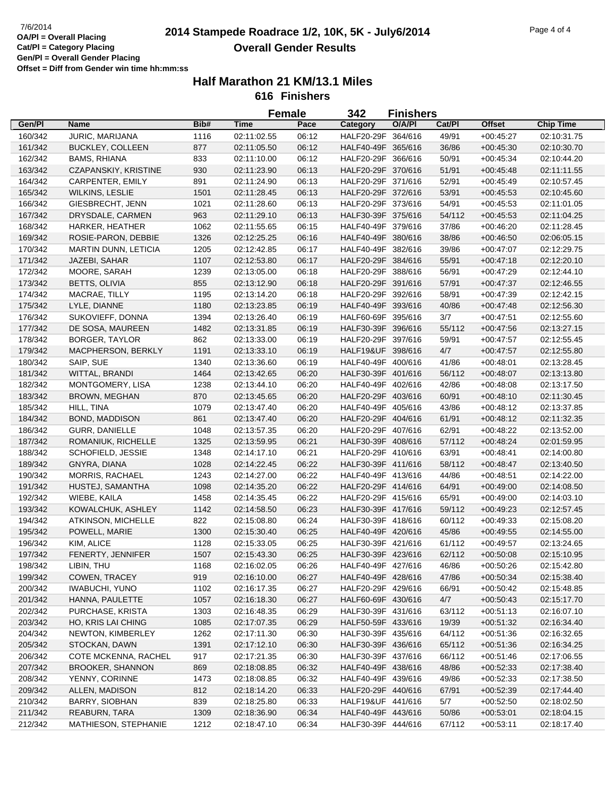## **2014 Stampede Roadrace 1/2, 10K, 5K - July6/2014** 7/6/2014 Page 4 of 4 **Overall Gender Results**

|         |                             |      |             | <b>Female</b> | 342                | <b>Finishers</b> |        |               |                  |
|---------|-----------------------------|------|-------------|---------------|--------------------|------------------|--------|---------------|------------------|
| Gen/Pl  | Name                        | Bib# | <b>Time</b> | Pace          | Category           | O/A/PI           | Cat/PI | <b>Offset</b> | <b>Chip Time</b> |
| 160/342 | JURIC, MARIJANA             | 1116 | 02:11:02.55 | 06:12         | HALF20-29F 364/616 |                  | 49/91  | $+00:45:27$   | 02:10:31.75      |
| 161/342 | <b>BUCKLEY, COLLEEN</b>     | 877  | 02:11:05.50 | 06:12         | HALF40-49F 365/616 |                  | 36/86  | $+00:45:30$   | 02:10:30.70      |
| 162/342 | <b>BAMS, RHIANA</b>         | 833  | 02:11:10.00 | 06:12         | HALF20-29F 366/616 |                  | 50/91  | $+00:45:34$   | 02:10:44.20      |
| 163/342 | CZAPANSKIY, KRISTINE        | 930  | 02:11:23.90 | 06:13         | HALF20-29F 370/616 |                  | 51/91  | $+00:45:48$   | 02:11:11.55      |
| 164/342 | CARPENTER, EMILY            | 891  | 02:11:24.90 | 06:13         | HALF20-29F 371/616 |                  | 52/91  | $+00:45:49$   | 02:10:57.45      |
| 165/342 | <b>WILKINS, LESLIE</b>      | 1501 | 02:11:28.45 | 06:13         | HALF20-29F 372/616 |                  | 53/91  | $+00:45:53$   | 02:10:45.60      |
| 166/342 | GIESBRECHT, JENN            | 1021 | 02:11:28.60 | 06:13         | HALF20-29F 373/616 |                  | 54/91  | $+00:45:53$   | 02:11:01.05      |
| 167/342 | DRYSDALE, CARMEN            | 963  | 02:11:29.10 | 06:13         | HALF30-39F 375/616 |                  | 54/112 | $+00:45:53$   | 02:11:04.25      |
| 168/342 | HARKER, HEATHER             | 1062 | 02:11:55.65 | 06:15         | HALF40-49F 379/616 |                  | 37/86  | $+00:46:20$   | 02:11:28.45      |
| 169/342 | ROSIE-PARON, DEBBIE         | 1326 | 02:12:25.25 | 06:16         | HALF40-49F 380/616 |                  | 38/86  | $+00:46:50$   | 02:06:05.15      |
| 170/342 | <b>MARTIN DUNN, LETICIA</b> | 1205 | 02:12:42.85 | 06:17         | HALF40-49F 382/616 |                  | 39/86  | $+00:47:07$   | 02:12:29.75      |
| 171/342 | JAZEBI, SAHAR               | 1107 | 02:12:53.80 | 06:17         | HALF20-29F 384/616 |                  | 55/91  | $+00.47:18$   | 02:12:20.10      |
| 172/342 | MOORE, SARAH                | 1239 | 02:13:05.00 | 06:18         | HALF20-29F 388/616 |                  | 56/91  | $+00:47:29$   | 02:12:44.10      |
| 173/342 | <b>BETTS, OLIVIA</b>        | 855  | 02:13:12.90 | 06:18         | HALF20-29F 391/616 |                  | 57/91  | $+00:47:37$   | 02:12:46.55      |
| 174/342 | MACRAE, TILLY               | 1195 | 02:13:14.20 | 06:18         | HALF20-29F 392/616 |                  | 58/91  | $+00:47:39$   | 02:12:42.15      |
| 175/342 | LYLE, DIANNE                | 1180 | 02:13:23.85 | 06:19         | HALF40-49F 393/616 |                  | 40/86  | $+00:47:48$   | 02:12:56.30      |
| 176/342 | SUKOVIEFF, DONNA            | 1394 | 02:13:26.40 | 06:19         | HALF60-69F 395/616 |                  | 3/7    | $+00:47:51$   | 02:12:55.60      |
| 177/342 | DE SOSA, MAUREEN            | 1482 | 02:13:31.85 | 06:19         | HALF30-39F 396/616 |                  | 55/112 | $+00:47:56$   | 02:13:27.15      |
| 178/342 | <b>BORGER, TAYLOR</b>       | 862  | 02:13:33.00 | 06:19         | HALF20-29F 397/616 |                  | 59/91  | $+00:47:57$   | 02:12:55.45      |
| 179/342 | MACPHERSON, BERKLY          | 1191 | 02:13:33.10 | 06:19         | HALF19&UF 398/616  |                  | 4/7    | $+00:47:57$   | 02:12:55.80      |
| 180/342 | SAIP, SUE                   | 1340 | 02:13:36.60 | 06:19         | HALF40-49F 400/616 |                  | 41/86  | $+00:48:01$   | 02:13:28.45      |
| 181/342 | WITTAL, BRANDI              | 1464 | 02:13:42.65 | 06:20         | HALF30-39F 401/616 |                  | 56/112 | $+00:48:07$   | 02:13:13.80      |
| 182/342 | MONTGOMERY, LISA            | 1238 | 02:13:44.10 | 06:20         | HALF40-49F 402/616 |                  | 42/86  | $+00:48:08$   | 02:13:17.50      |
| 183/342 | <b>BROWN, MEGHAN</b>        | 870  | 02:13:45.65 | 06:20         | HALF20-29F 403/616 |                  | 60/91  | $+00:48:10$   | 02:11:30.45      |
| 185/342 | HILL, TINA                  | 1079 | 02:13:47.40 | 06:20         | HALF40-49F 405/616 |                  | 43/86  | $+00:48:12$   | 02:13:37.85      |
| 184/342 | <b>BOND, MADDISON</b>       | 861  | 02:13:47.40 | 06:20         | HALF20-29F 404/616 |                  | 61/91  | $+00:48:12$   | 02:11:32.35      |
| 186/342 | <b>GURR, DANIELLE</b>       | 1048 | 02:13:57.35 | 06:20         | HALF20-29F 407/616 |                  | 62/91  | $+00:48:22$   | 02:13:52.00      |
| 187/342 | ROMANIUK, RICHELLE          | 1325 | 02:13:59.95 | 06:21         | HALF30-39F 408/616 |                  | 57/112 | $+00:48:24$   | 02:01:59.95      |
| 188/342 | SCHOFIELD, JESSIE           | 1348 | 02:14:17.10 | 06:21         | HALF20-29F 410/616 |                  | 63/91  | $+00:48:41$   | 02:14:00.80      |
| 189/342 | GNYRA, DIANA                | 1028 | 02:14:22.45 | 06:22         | HALF30-39F 411/616 |                  | 58/112 | $+00:48:47$   | 02:13:40.50      |
| 190/342 | <b>MORRIS, RACHAEL</b>      | 1243 | 02:14:27.00 | 06:22         | HALF40-49F 413/616 |                  | 44/86  | $+00:48:51$   | 02:14:22.00      |
| 191/342 | HUSTEJ, SAMANTHA            | 1098 | 02:14:35.20 | 06:22         | HALF20-29F 414/616 |                  | 64/91  | $+00:49:00$   | 02:14:08.50      |
| 192/342 | WIEBE, KAILA                | 1458 | 02:14:35.45 | 06:22         | HALF20-29F 415/616 |                  | 65/91  | $+00:49:00$   | 02:14:03.10      |
| 193/342 | KOWALCHUK, ASHLEY           | 1142 | 02:14:58.50 | 06:23         | HALF30-39F 417/616 |                  | 59/112 | $+00:49:23$   | 02:12:57.45      |
| 194/342 | <b>ATKINSON, MICHELLE</b>   | 822  | 02:15:08.80 | 06:24         | HALF30-39F 418/616 |                  | 60/112 | $+00:49:33$   | 02:15:08.20      |
| 195/342 | POWELL, MARIE               | 1300 | 02:15:30.40 | 06:25         | HALF40-49F 420/616 |                  | 45/86  | $+00:49:55$   | 02:14:55.00      |
| 196/342 | KIM, ALICE                  | 1128 | 02:15:33.05 | 06:25         | HALF30-39F 421/616 |                  | 61/112 | $+00:49:57$   | 02:13:24.65      |
| 197/342 | FENERTY, JENNIFER           | 1507 | 02:15:43.30 | 06:25         | HALF30-39F 423/616 |                  | 62/112 | $+00:50:08$   | 02:15:10.95      |
| 198/342 | LIBIN, THU                  | 1168 | 02:16:02.05 | 06:26         | HALF40-49F 427/616 |                  | 46/86  | $+00:50:26$   | 02:15:42.80      |
| 199/342 | COWEN, TRACEY               | 919  | 02:16:10.00 | 06:27         | HALF40-49F 428/616 |                  | 47/86  | $+00:50:34$   | 02:15:38.40      |
| 200/342 | <b>IWABUCHI, YUNO</b>       | 1102 | 02:16:17.35 | 06:27         | HALF20-29F 429/616 |                  | 66/91  | $+00:50:42$   | 02:15:48.85      |
| 201/342 | HANNA, PAULETTE             | 1057 | 02:16:18.30 | 06:27         | HALF60-69F 430/616 |                  | 4/7    | $+00:50:43$   | 02:15:17.70      |
| 202/342 | PURCHASE, KRISTA            | 1303 | 02:16:48.35 | 06:29         | HALF30-39F 431/616 |                  | 63/112 | $+00.51:13$   | 02:16:07.10      |
| 203/342 | HO, KRIS LAI CHING          | 1085 | 02:17:07.35 | 06:29         | HALF50-59F 433/616 |                  | 19/39  | $+00:51:32$   | 02:16:34.40      |
| 204/342 | NEWTON, KIMBERLEY           | 1262 | 02:17:11.30 | 06:30         | HALF30-39F 435/616 |                  | 64/112 | $+00.51:36$   | 02:16:32.65      |
| 205/342 | STOCKAN, DAWN               | 1391 | 02:17:12.10 | 06:30         | HALF30-39F 436/616 |                  | 65/112 | $+00.51:36$   | 02:16:34.25      |
| 206/342 | COTE MCKENNA, RACHEL        | 917  | 02:17:21.35 | 06:30         | HALF30-39F 437/616 |                  | 66/112 | $+00.51:46$   | 02:17:06.55      |
| 207/342 | <b>BROOKER, SHANNON</b>     | 869  | 02:18:08.85 | 06:32         | HALF40-49F 438/616 |                  | 48/86  | $+00:52:33$   | 02:17:38.40      |
| 208/342 | YENNY, CORINNE              | 1473 | 02:18:08.85 | 06:32         | HALF40-49F 439/616 |                  | 49/86  | $+00:52:33$   | 02:17:38.50      |
| 209/342 | ALLEN, MADISON              | 812  | 02:18:14.20 | 06:33         | HALF20-29F 440/616 |                  | 67/91  | $+00:52:39$   | 02:17:44.40      |
| 210/342 | BARRY, SIOBHAN              | 839  | 02:18:25.80 | 06:33         | HALF19&UF 441/616  |                  | 5/7    | $+00:52:50$   | 02:18:02.50      |
| 211/342 | REABURN, TARA               | 1309 | 02:18:36.90 | 06:34         | HALF40-49F 443/616 |                  | 50/86  | $+00:53:01$   | 02:18:04.15      |
| 212/342 | MATHIESON, STEPHANIE        | 1212 | 02:18:47.10 | 06:34         | HALF30-39F 444/616 |                  | 67/112 | $+00:53:11$   | 02:18:17.40      |
|         |                             |      |             |               |                    |                  |        |               |                  |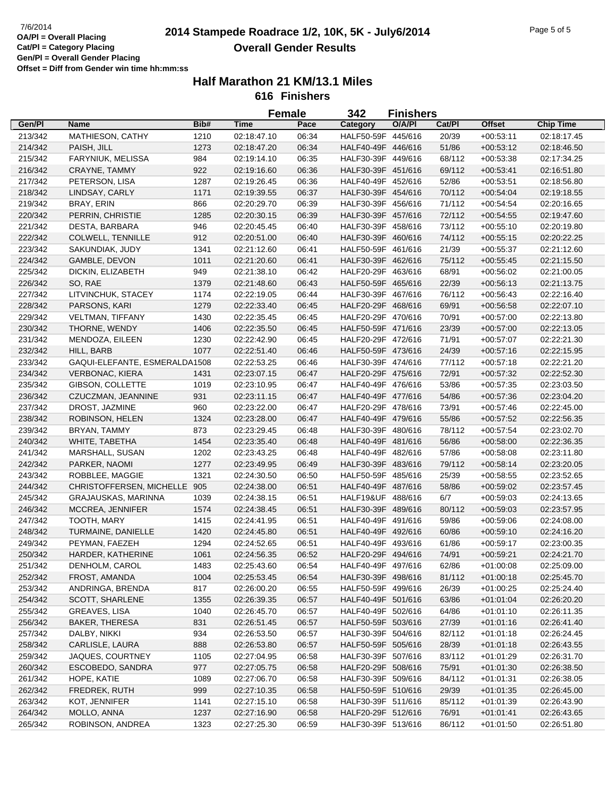# **2014 Stampede Roadrace 1/2, 10K, 5K - July6/2014** 7/6/2014 Page 5 of 5 **Overall Gender Results**

|         |                               |      |             | <b>Female</b> | 342                | <b>Finishers</b> |        |               |                  |
|---------|-------------------------------|------|-------------|---------------|--------------------|------------------|--------|---------------|------------------|
| Gen/Pl  | <b>Name</b>                   | Bib# | <b>Time</b> | Pace          | Category           | O/A/PI           | Cat/Pl | <b>Offset</b> | <b>Chip Time</b> |
| 213/342 | MATHIESON, CATHY              | 1210 | 02:18:47.10 | 06:34         | HALF50-59F 445/616 |                  | 20/39  | $+00:53:11$   | 02:18:17.45      |
| 214/342 | PAISH, JILL                   | 1273 | 02:18:47.20 | 06:34         | HALF40-49F 446/616 |                  | 51/86  | $+00:53:12$   | 02:18:46.50      |
| 215/342 | FARYNIUK, MELISSA             | 984  | 02:19:14.10 | 06:35         | HALF30-39F 449/616 |                  | 68/112 | $+00:53:38$   | 02:17:34.25      |
| 216/342 | CRAYNE, TAMMY                 | 922  | 02:19:16.60 | 06:36         | HALF30-39F 451/616 |                  | 69/112 | $+00:53:41$   | 02:16:51.80      |
| 217/342 | PETERSON, LISA                | 1287 | 02:19:26.45 | 06:36         | HALF40-49F 452/616 |                  | 52/86  | $+00:53:51$   | 02:18:56.80      |
| 218/342 | LINDSAY, CARLY                | 1171 | 02:19:39.55 | 06:37         | HALF30-39F 454/616 |                  | 70/112 | $+00.54:04$   | 02:19:18.55      |
| 219/342 | BRAY, ERIN                    | 866  | 02:20:29.70 | 06:39         | HALF30-39F 456/616 |                  | 71/112 | $+00.54:54$   | 02:20:16.65      |
| 220/342 | PERRIN, CHRISTIE              | 1285 | 02:20:30.15 | 06:39         | HALF30-39F 457/616 |                  | 72/112 | $+00:54:55$   | 02:19:47.60      |
| 221/342 | DESTA, BARBARA                | 946  | 02:20:45.45 | 06:40         | HALF30-39F 458/616 |                  | 73/112 | $+00:55:10$   | 02:20:19.80      |
| 222/342 | COLWELL, TENNILLE             | 912  | 02:20:51.00 | 06:40         | HALF30-39F 460/616 |                  | 74/112 | $+00:55:15$   | 02:20:22.25      |
| 223/342 | SAKUNDIAK, JUDY               | 1341 | 02:21:12.60 | 06:41         | HALF50-59F 461/616 |                  | 21/39  | $+00:55:37$   | 02:21:12.60      |
| 224/342 | GAMBLE, DEVON                 | 1011 | 02:21:20.60 | 06:41         | HALF30-39F 462/616 |                  | 75/112 | $+00:55:45$   | 02:21:15.50      |
| 225/342 | DICKIN, ELIZABETH             | 949  | 02:21:38.10 | 06:42         | HALF20-29F 463/616 |                  | 68/91  | $+00:56:02$   | 02:21:00.05      |
| 226/342 | SO, RAE                       | 1379 | 02:21:48.60 | 06:43         | HALF50-59F 465/616 |                  | 22/39  | $+00.56:13$   | 02:21:13.75      |
| 227/342 | LITVINCHUK, STACEY            | 1174 | 02:22:19.05 | 06:44         | HALF30-39F 467/616 |                  | 76/112 | $+00.56:43$   | 02:22:16.40      |
| 228/342 | PARSONS, KARI                 | 1279 | 02:22:33.40 | 06:45         | HALF20-29F 468/616 |                  | 69/91  | $+00:56:58$   | 02:22:07.10      |
| 229/342 | <b>VELTMAN, TIFFANY</b>       | 1430 | 02:22:35.45 | 06:45         | HALF20-29F 470/616 |                  | 70/91  | $+00:57:00$   | 02:22:13.80      |
| 230/342 | THORNE, WENDY                 | 1406 | 02:22:35.50 | 06:45         | HALF50-59F 471/616 |                  | 23/39  | $+00:57:00$   | 02:22:13.05      |
|         |                               |      |             |               |                    |                  |        |               |                  |
| 231/342 | MENDOZA, EILEEN               | 1230 | 02:22:42.90 | 06:45         | HALF20-29F 472/616 |                  | 71/91  | $+00:57:07$   | 02:22:21.30      |
| 232/342 | HILL, BARB                    | 1077 | 02:22:51.40 | 06:46         | HALF50-59F 473/616 |                  | 24/39  | $+00:57:16$   | 02:22:15.95      |
| 233/342 | GAQUI-ELEFANTE, ESMERALDA1508 |      | 02:22:53.25 | 06:46         | HALF30-39F 474/616 |                  | 77/112 | $+00:57:18$   | 02:22:21.20      |
| 234/342 | <b>VERBONAC, KIERA</b>        | 1431 | 02:23:07.15 | 06:47         | HALF20-29F 475/616 |                  | 72/91  | $+00.57:32$   | 02:22:52.30      |
| 235/342 | GIBSON, COLLETTE              | 1019 | 02:23:10.95 | 06:47         | HALF40-49F 476/616 |                  | 53/86  | $+00:57:35$   | 02:23:03.50      |
| 236/342 | CZUCZMAN, JEANNINE            | 931  | 02:23:11.15 | 06:47         | HALF40-49F 477/616 |                  | 54/86  | $+00.57:36$   | 02:23:04.20      |
| 237/342 | DROST, JAZMINE                | 960  | 02:23:22.00 | 06:47         | HALF20-29F 478/616 |                  | 73/91  | $+00:57:46$   | 02:22:45.00      |
| 238/342 | ROBINSON, HELEN               | 1324 | 02:23:28.00 | 06:47         | HALF40-49F 479/616 |                  | 55/86  | $+00:57:52$   | 02:22:56.35      |
| 239/342 | BRYAN, TAMMY                  | 873  | 02:23:29.45 | 06:48         | HALF30-39F 480/616 |                  | 78/112 | $+00:57:54$   | 02:23:02.70      |
| 240/342 | WHITE, TABETHA                | 1454 | 02:23:35.40 | 06:48         | HALF40-49F 481/616 |                  | 56/86  | $+00:58:00$   | 02:22:36.35      |
| 241/342 | MARSHALL, SUSAN               | 1202 | 02:23:43.25 | 06:48         | HALF40-49F 482/616 |                  | 57/86  | $+00:58:08$   | 02:23:11.80      |
| 242/342 | PARKER, NAOMI                 | 1277 | 02:23:49.95 | 06:49         | HALF30-39F 483/616 |                  | 79/112 | $+00.58:14$   | 02:23:20.05      |
| 243/342 | ROBBLEE, MAGGIE               | 1321 | 02:24:30.50 | 06:50         | HALF50-59F 485/616 |                  | 25/39  | $+00:58:55$   | 02:23:52.65      |
| 244/342 | CHRISTOFFERSEN, MICHELLE 905  |      | 02:24:38.00 | 06:51         | HALF40-49F 487/616 |                  | 58/86  | $+00:59:02$   | 02:23:57.45      |
| 245/342 | GRAJAUSKAS, MARINNA           | 1039 | 02:24:38.15 | 06:51         | HALF19&UF 488/616  |                  | 6/7    | $+00:59:03$   | 02:24:13.65      |
| 246/342 | MCCREA, JENNIFER              | 1574 | 02:24:38.45 | 06:51         | HALF30-39F 489/616 |                  | 80/112 | $+00:59:03$   | 02:23:57.95      |
| 247/342 | TOOTH, MARY                   | 1415 | 02:24:41.95 | 06:51         | HALF40-49F 491/616 |                  | 59/86  | $+00:59:06$   | 02:24:08.00      |
| 248/342 | TURMAINE, DANIELLE            | 1420 | 02:24:45.80 | 06:51         | HALF40-49F 492/616 |                  | 60/86  | $+00:59:10$   | 02:24:16.20      |
| 249/342 | PEYMAN, FAEZEH                | 1294 | 02:24:52.65 | 06:51         | HALF40-49F 493/616 |                  | 61/86  | $+00:59:17$   | 02:23:00.35      |
| 250/342 | HARDER, KATHERINE             | 1061 | 02:24:56.35 | 06:52         | HALF20-29F 494/616 |                  | 74/91  | $+00:59:21$   | 02:24:21.70      |
| 251/342 | DENHOLM, CAROL                | 1483 | 02:25:43.60 | 06:54         | HALF40-49F 497/616 |                  | 62/86  | $+01:00:08$   | 02:25:09.00      |
| 252/342 | FROST, AMANDA                 | 1004 | 02:25:53.45 | 06:54         | HALF30-39F 498/616 |                  | 81/112 | $+01:00:18$   | 02:25:45.70      |
| 253/342 | ANDRINGA, BRENDA              | 817  | 02:26:00.20 | 06:55         | HALF50-59F 499/616 |                  | 26/39  | $+01:00:25$   | 02:25:24.40      |
| 254/342 | SCOTT, SHARLENE               | 1355 | 02:26:39.35 | 06:57         | HALF40-49F 501/616 |                  | 63/86  | $+01:01:04$   | 02:26:20.20      |
| 255/342 | GREAVES, LISA                 | 1040 | 02:26:45.70 | 06:57         | HALF40-49F 502/616 |                  | 64/86  | $+01:01:10$   | 02:26:11.35      |
| 256/342 | <b>BAKER, THERESA</b>         | 831  | 02:26:51.45 | 06:57         | HALF50-59F 503/616 |                  | 27/39  | $+01:01:16$   | 02:26:41.40      |
| 257/342 | DALBY, NIKKI                  | 934  | 02:26:53.50 | 06:57         | HALF30-39F 504/616 |                  | 82/112 | $+01:01:18$   | 02:26:24.45      |
| 258/342 | CARLISLE, LAURA               | 888  | 02:26:53.80 | 06:57         | HALF50-59F 505/616 |                  | 28/39  | $+01:01:18$   | 02:26:43.55      |
| 259/342 | JAQUES, COURTNEY              | 1105 | 02:27:04.95 | 06:58         | HALF30-39F 507/616 |                  | 83/112 | $+01:01:29$   | 02:26:31.70      |
| 260/342 | ESCOBEDO, SANDRA              | 977  | 02:27:05.75 | 06:58         | HALF20-29F 508/616 |                  | 75/91  | $+01:01:30$   | 02:26:38.50      |
| 261/342 | HOPE, KATIE                   | 1089 | 02:27:06.70 | 06:58         | HALF30-39F 509/616 |                  | 84/112 | $+01:01:31$   | 02:26:38.05      |
| 262/342 | FREDREK, RUTH                 | 999  | 02:27:10.35 | 06:58         | HALF50-59F 510/616 |                  | 29/39  | $+01:01:35$   | 02:26:45.00      |
| 263/342 | KOT, JENNIFER                 | 1141 | 02:27:15.10 | 06:58         | HALF30-39F 511/616 |                  | 85/112 | $+01:01:39$   | 02:26:43.90      |
| 264/342 | MOLLO, ANNA                   | 1237 | 02:27:16.90 | 06:58         | HALF20-29F 512/616 |                  | 76/91  | $+01:01:41$   | 02:26:43.65      |
| 265/342 | ROBINSON, ANDREA              | 1323 | 02:27:25.30 | 06:59         | HALF30-39F 513/616 |                  | 86/112 | $+01:01:50$   | 02:26:51.80      |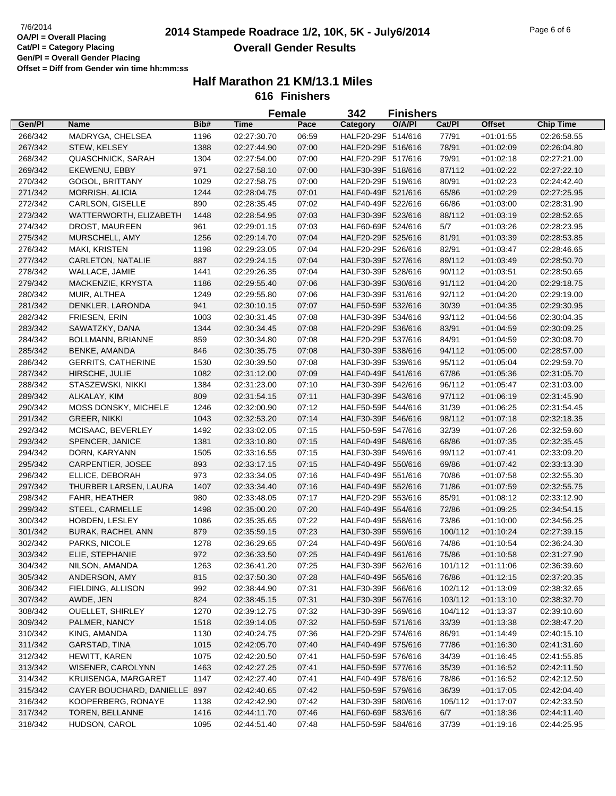# **2014 Stampede Roadrace 1/2, 10K, 5K - July6/2014** 7/6/2014 Page 6 of 6 **Overall Gender Results**

|         |                              |      |             | <b>Female</b> | 342                | <b>Finishers</b> |         |               |                  |
|---------|------------------------------|------|-------------|---------------|--------------------|------------------|---------|---------------|------------------|
| Gen/Pl  | <b>Name</b>                  | Bib# | <b>Time</b> | Pace          | Category           | O/A/PI           | Cat/Pl  | <b>Offset</b> | <b>Chip Time</b> |
| 266/342 | MADRYGA, CHELSEA             | 1196 | 02:27:30.70 | 06:59         | HALF20-29F 514/616 |                  | 77/91   | $+01:01:55$   | 02:26:58.55      |
| 267/342 | STEW, KELSEY                 | 1388 | 02:27:44.90 | 07:00         | HALF20-29F 516/616 |                  | 78/91   | $+01:02:09$   | 02:26:04.80      |
| 268/342 | <b>QUASCHNICK, SARAH</b>     | 1304 | 02:27:54.00 | 07:00         | HALF20-29F 517/616 |                  | 79/91   | $+01:02:18$   | 02:27:21.00      |
| 269/342 | EKEWENU, EBBY                | 971  | 02:27:58.10 | 07:00         | HALF30-39F 518/616 |                  | 87/112  | $+01:02:22$   | 02:27:22.10      |
| 270/342 | GOGOL, BRITTANY              | 1029 | 02:27:58.75 | 07:00         | HALF20-29F 519/616 |                  | 80/91   | $+01:02:23$   | 02:24:42.40      |
| 271/342 | MORRISH, ALICIA              | 1244 | 02:28:04.75 | 07:01         | HALF40-49F 521/616 |                  | 65/86   | $+01:02:29$   | 02:27:25.95      |
| 272/342 | CARLSON, GISELLE             | 890  | 02:28:35.45 | 07:02         | HALF40-49F 522/616 |                  | 66/86   | $+01:03:00$   | 02:28:31.90      |
| 273/342 | WATTERWORTH, ELIZABETH       | 1448 | 02:28:54.95 | 07:03         | HALF30-39F 523/616 |                  | 88/112  | $+01:03:19$   | 02:28:52.65      |
| 274/342 | DROST, MAUREEN               | 961  | 02:29:01.15 | 07:03         | HALF60-69F 524/616 |                  | 5/7     | $+01:03:26$   | 02:28:23.95      |
| 275/342 | MURSCHELL, AMY               | 1256 | 02:29:14.70 | 07:04         | HALF20-29F 525/616 |                  | 81/91   | $+01:03:39$   | 02:28:53.85      |
| 276/342 | MAKI, KRISTEN                | 1198 | 02:29:23.05 | 07:04         | HALF20-29F 526/616 |                  | 82/91   | $+01:03:47$   | 02:28:46.65      |
| 277/342 | CARLETON, NATALIE            | 887  | 02:29:24.15 | 07:04         | HALF30-39F 527/616 |                  | 89/112  | $+01:03:49$   | 02:28:50.70      |
| 278/342 | WALLACE, JAMIE               | 1441 | 02:29:26.35 | 07:04         | HALF30-39F 528/616 |                  | 90/112  | $+01:03:51$   | 02:28:50.65      |
| 279/342 | MACKENZIE, KRYSTA            | 1186 | 02:29:55.40 | 07:06         | HALF30-39F 530/616 |                  | 91/112  | $+01:04:20$   | 02:29:18.75      |
| 280/342 | MUIR, ALTHEA                 | 1249 | 02:29:55.80 | 07:06         | HALF30-39F 531/616 |                  | 92/112  | $+01:04:20$   | 02:29:19.00      |
| 281/342 | DENKLER, LARONDA             | 941  | 02:30:10.15 | 07:07         | HALF50-59F 532/616 |                  | 30/39   | $+01:04:35$   | 02:29:30.95      |
| 282/342 | FRIESEN, ERIN                | 1003 | 02:30:31.45 | 07:08         | HALF30-39F 534/616 |                  | 93/112  | $+01:04:56$   | 02:30:04.35      |
| 283/342 | SAWATZKY, DANA               | 1344 | 02:30:34.45 | 07:08         | HALF20-29F 536/616 |                  | 83/91   | $+01:04:59$   | 02:30:09.25      |
| 284/342 | BOLLMANN, BRIANNE            | 859  | 02:30:34.80 | 07:08         | HALF20-29F 537/616 |                  | 84/91   | $+01:04:59$   | 02:30:08.70      |
| 285/342 | <b>BENKE, AMANDA</b>         | 846  | 02:30:35.75 | 07:08         | HALF30-39F 538/616 |                  | 94/112  | $+01:05:00$   | 02:28:57.00      |
| 286/342 | <b>GERRITS, CATHERINE</b>    | 1530 | 02:30:39.50 | 07:08         | HALF30-39F 539/616 |                  | 95/112  | $+01:05:04$   | 02:29:59.70      |
| 287/342 | HIRSCHE, JULIE               | 1082 | 02:31:12.00 | 07:09         | HALF40-49F 541/616 |                  | 67/86   | $+01:05:36$   | 02:31:05.70      |
| 288/342 | STASZEWSKI, NIKKI            | 1384 | 02:31:23.00 | 07:10         | HALF30-39F 542/616 |                  | 96/112  | $+01:05:47$   | 02:31:03.00      |
| 289/342 | ALKALAY, KIM                 | 809  | 02:31:54.15 | 07:11         | HALF30-39F 543/616 |                  | 97/112  | $+01:06:19$   | 02:31:45.90      |
| 290/342 | MOSS DONSKY, MICHELE         | 1246 | 02:32:00.90 | 07:12         | HALF50-59F 544/616 |                  | 31/39   | $+01:06:25$   | 02:31:54.45      |
| 291/342 | <b>GREER, NIKKI</b>          | 1043 | 02:32:53.20 | 07:14         | HALF30-39F 546/616 |                  | 98/112  | $+01:07:18$   | 02:32:18.35      |
| 292/342 | MCISAAC, BEVERLEY            | 1492 | 02:33:02.05 | 07:15         | HALF50-59F 547/616 |                  | 32/39   | $+01:07:26$   | 02:32:59.60      |
| 293/342 | SPENCER, JANICE              | 1381 | 02:33:10.80 | 07:15         | HALF40-49F 548/616 |                  | 68/86   | $+01:07:35$   | 02:32:35.45      |
| 294/342 | DORN, KARYANN                | 1505 | 02:33:16.55 | 07:15         | HALF30-39F 549/616 |                  | 99/112  | $+01:07:41$   | 02:33:09.20      |
| 295/342 | CARPENTIER, JOSEE            | 893  | 02:33:17.15 | 07:15         | HALF40-49F 550/616 |                  | 69/86   | $+01:07:42$   | 02:33:13.30      |
| 296/342 | ELLICE, DEBORAH              | 973  | 02:33:34.05 | 07:16         | HALF40-49F 551/616 |                  | 70/86   | $+01:07:58$   | 02:32:55.30      |
| 297/342 | THURBER LARSEN, LAURA        | 1407 | 02:33:34.40 | 07:16         | HALF40-49F 552/616 |                  | 71/86   | $+01:07:59$   | 02:32:55.75      |
| 298/342 | FAHR, HEATHER                | 980  | 02:33:48.05 | 07:17         | HALF20-29F 553/616 |                  | 85/91   | $+01:08:12$   | 02:33:12.90      |
| 299/342 | STEEL, CARMELLE              | 1498 | 02:35:00.20 | 07:20         | HALF40-49F 554/616 |                  | 72/86   | $+01:09:25$   | 02:34:54.15      |
| 300/342 | HOBDEN, LESLEY               | 1086 | 02:35:35.65 | 07:22         | HALF40-49F 558/616 |                  | 73/86   | $+01:10:00$   | 02:34:56.25      |
| 301/342 | <b>BURAK, RACHEL ANN</b>     | 879  | 02:35:59.15 | 07:23         | HALF30-39F 559/616 |                  | 100/112 | $+01:10:24$   | 02:27:39.15      |
| 302/342 | PARKS, NICOLE                | 1278 | 02:36:29.65 | 07:24         | HALF40-49F 560/616 |                  | 74/86   | $+01:10:54$   | 02:36:24.30      |
| 303/342 | ELIE, STEPHANIE              | 972  | 02:36:33.50 | 07:25         | HALF40-49F 561/616 |                  | 75/86   | $+01:10:58$   | 02:31:27.90      |
| 304/342 | NILSON, AMANDA               | 1263 | 02:36:41.20 | 07:25         | HALF30-39F 562/616 |                  | 101/112 | $+01:11:06$   | 02:36:39.60      |
| 305/342 | ANDERSON, AMY                | 815  | 02:37:50.30 | 07:28         | HALF40-49F 565/616 |                  | 76/86   | $+01:12:15$   | 02:37:20.35      |
| 306/342 | FIELDING, ALLISON            | 992  | 02:38:44.90 | 07:31         | HALF30-39F 566/616 |                  | 102/112 | $+01:13:09$   | 02:38:32.65      |
| 307/342 | AWDE, JEN                    | 824  | 02:38:45.15 | 07:31         | HALF30-39F 567/616 |                  | 103/112 | $+01:13:10$   | 02:38:32.70      |
| 308/342 | OUELLET, SHIRLEY             | 1270 | 02:39:12.75 | 07:32         | HALF30-39F 569/616 |                  | 104/112 | $+01:13:37$   | 02:39:10.60      |
| 309/342 | PALMER, NANCY                | 1518 | 02:39:14.05 | 07:32         | HALF50-59F 571/616 |                  | 33/39   | $+01:13:38$   | 02:38:47.20      |
| 310/342 | KING, AMANDA                 | 1130 | 02:40:24.75 | 07:36         | HALF20-29F 574/616 |                  | 86/91   | $+01:14:49$   | 02:40:15.10      |
| 311/342 | GARSTAD, TINA                | 1015 | 02:42:05.70 | 07:40         | HALF40-49F 575/616 |                  | 77/86   | $+01:16:30$   | 02:41:31.60      |
| 312/342 | HEWITT, KAREN                | 1075 | 02:42:20.50 | 07:41         | HALF50-59F 576/616 |                  | 34/39   | $+01:16:45$   | 02:41:55.85      |
| 313/342 | WISENER, CAROLYNN            | 1463 | 02:42:27.25 | 07:41         | HALF50-59F 577/616 |                  | 35/39   | $+01:16:52$   | 02:42:11.50      |
| 314/342 | KRUISENGA, MARGARET          | 1147 | 02:42:27.40 | 07:41         | HALF40-49F 578/616 |                  | 78/86   | $+01:16:52$   | 02:42:12.50      |
| 315/342 | CAYER BOUCHARD, DANIELLE 897 |      | 02:42:40.65 | 07:42         | HALF50-59F 579/616 |                  | 36/39   | $+01:17:05$   | 02:42:04.40      |
| 316/342 | KOOPERBERG, RONAYE           | 1138 | 02:42:42.90 | 07:42         | HALF30-39F 580/616 |                  | 105/112 | $+01:17:07$   | 02:42:33.50      |
| 317/342 | TOREN, BELLANNE              | 1416 | 02:44:11.70 | 07:46         | HALF60-69F 583/616 |                  | 6/7     | $+01:18:36$   | 02:44:11.40      |
| 318/342 | HUDSON, CAROL                | 1095 | 02:44:51.40 | 07:48         | HALF50-59F 584/616 |                  | 37/39   | $+01:19:16$   | 02:44:25.95      |
|         |                              |      |             |               |                    |                  |         |               |                  |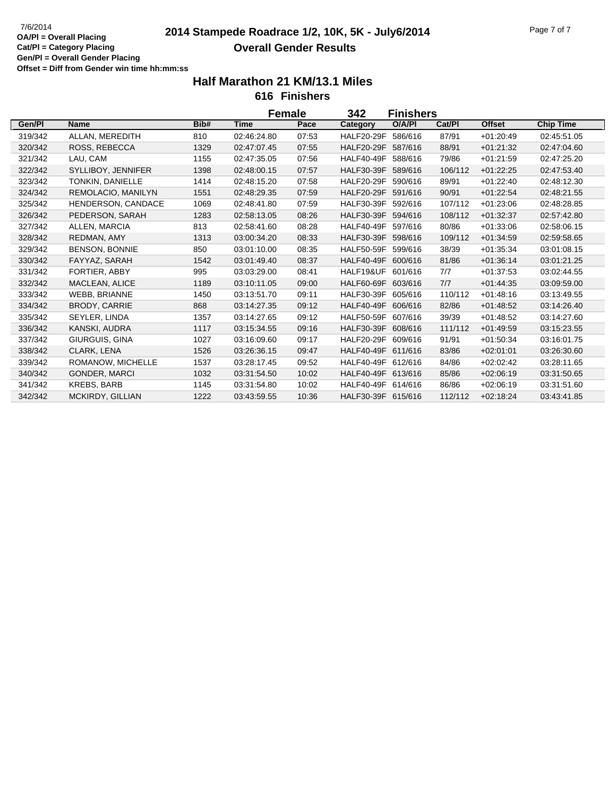# **2014 Stampede Roadrace 1/2, 10K, 5K - July6/2014** 7/6/2014 Page 7 of 7 **Overall Gender Results**

|         |                       |      |             | Female | 342                | <b>Finishers</b> |         |               |                  |
|---------|-----------------------|------|-------------|--------|--------------------|------------------|---------|---------------|------------------|
| Gen/PI  | <b>Name</b>           | Bib# | <b>Time</b> | Pace   | <b>Category</b>    | O/A/PI           | Cat/PI  | <b>Offset</b> | <b>Chip Time</b> |
| 319/342 | ALLAN, MEREDITH       | 810  | 02:46:24.80 | 07:53  | HALF20-29F 586/616 |                  | 87/91   | $+01:20:49$   | 02:45:51.05      |
| 320/342 | <b>ROSS, REBECCA</b>  | 1329 | 02:47:07.45 | 07:55  | HALF20-29F 587/616 |                  | 88/91   | $+01:21:32$   | 02:47:04.60      |
| 321/342 | LAU. CAM              | 1155 | 02:47:35.05 | 07:56  | HALF40-49F 588/616 |                  | 79/86   | $+01:21:59$   | 02:47:25.20      |
| 322/342 | SYLLIBOY, JENNIFER    | 1398 | 02:48:00.15 | 07:57  | HALF30-39F 589/616 |                  | 106/112 | $+01:22:25$   | 02:47:53.40      |
| 323/342 | TONKIN, DANIELLE      | 1414 | 02:48:15.20 | 07:58  | HALF20-29F 590/616 |                  | 89/91   | $+01:22:40$   | 02:48:12.30      |
| 324/342 | REMOLACIO, MANILYN    | 1551 | 02:48:29.35 | 07:59  | HALF20-29F 591/616 |                  | 90/91   | $+01:22:54$   | 02:48:21.55      |
| 325/342 | HENDERSON, CANDACE    | 1069 | 02:48:41.80 | 07:59  | HALF30-39F 592/616 |                  | 107/112 | $+01:23:06$   | 02:48:28.85      |
| 326/342 | PEDERSON, SARAH       | 1283 | 02:58:13.05 | 08:26  | HALF30-39F 594/616 |                  | 108/112 | $+01:32:37$   | 02:57:42.80      |
| 327/342 | ALLEN, MARCIA         | 813  | 02:58:41.60 | 08:28  | HALF40-49F 597/616 |                  | 80/86   | $+01:33:06$   | 02:58:06.15      |
| 328/342 | REDMAN, AMY           | 1313 | 03:00:34.20 | 08:33  | HALF30-39F 598/616 |                  | 109/112 | $+01.34.59$   | 02:59:58.65      |
| 329/342 | <b>BENSON, BONNIE</b> | 850  | 03:01:10.00 | 08:35  | HALF50-59F 599/616 |                  | 38/39   | $+01.35.34$   | 03:01:08.15      |
| 330/342 | FAYYAZ, SARAH         | 1542 | 03:01:49.40 | 08:37  | HALF40-49F 600/616 |                  | 81/86   | $+01:36:14$   | 03:01:21.25      |
| 331/342 | FORTIER, ABBY         | 995  | 03:03:29.00 | 08:41  | HALF19&UF 601/616  |                  | 7/7     | $+01:37:53$   | 03:02:44.55      |
| 332/342 | MACLEAN, ALICE        | 1189 | 03:10:11.05 | 09:00  | HALF60-69F 603/616 |                  | 7/7     | $+01.44.35$   | 03:09:59.00      |
| 333/342 | WEBB, BRIANNE         | 1450 | 03:13:51.70 | 09:11  | HALF30-39F 605/616 |                  | 110/112 | $+01.48:16$   | 03:13:49.55      |
| 334/342 | BRODY, CARRIE         | 868  | 03:14:27.35 | 09:12  | HALF40-49F 606/616 |                  | 82/86   | $+01.48.52$   | 03:14:26.40      |
| 335/342 | SEYLER, LINDA         | 1357 | 03:14:27.65 | 09:12  | HALF50-59F 607/616 |                  | 39/39   | $+01.48.52$   | 03:14:27.60      |
| 336/342 | KANSKI, AUDRA         | 1117 | 03:15:34.55 | 09:16  | HALF30-39F 608/616 |                  | 111/112 | $+01.49.59$   | 03:15:23.55      |
| 337/342 | GIURGUIS, GINA        | 1027 | 03:16:09.60 | 09:17  | HALF20-29F 609/616 |                  | 91/91   | $+01:50:34$   | 03:16:01.75      |
| 338/342 | CLARK, LENA           | 1526 | 03:26:36.15 | 09:47  | HALF40-49F 611/616 |                  | 83/86   | $+02:01:01$   | 03:26:30.60      |
| 339/342 | ROMANOW, MICHELLE     | 1537 | 03:28:17.45 | 09:52  | HALF40-49F 612/616 |                  | 84/86   | $+02:02:42$   | 03:28:11.65      |
| 340/342 | <b>GONDER, MARCI</b>  | 1032 | 03:31:54.50 | 10:02  | HALF40-49F 613/616 |                  | 85/86   | $+02:06:19$   | 03:31:50.65      |
| 341/342 | <b>KREBS, BARB</b>    | 1145 | 03:31:54.80 | 10:02  | HALF40-49F 614/616 |                  | 86/86   | $+02:06:19$   | 03:31:51.60      |
| 342/342 | MCKIRDY, GILLIAN      | 1222 | 03:43:59.55 | 10:36  | HALF30-39F 615/616 |                  | 112/112 | $+02:18:24$   | 03:43:41.85      |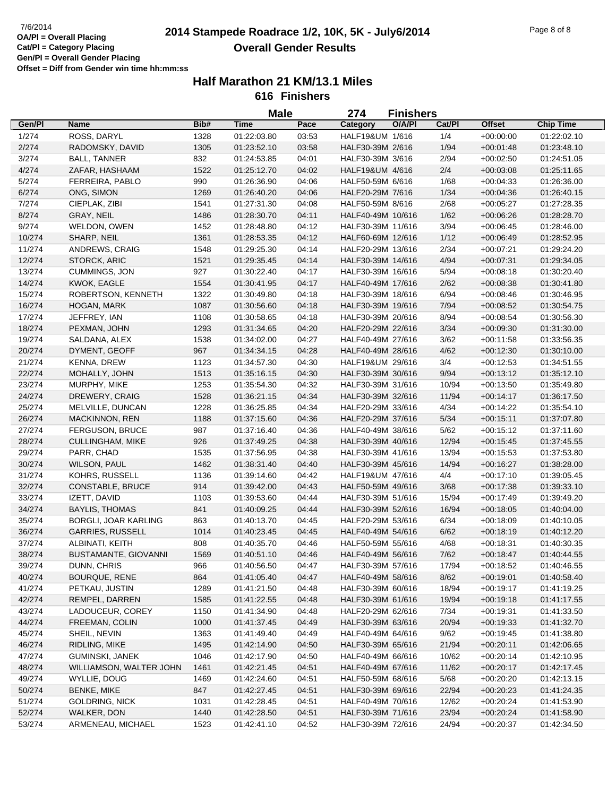### **2014 Stampede Roadrace 1/2, 10K, 5K - July6/2014** 7/6/2014 Page 8 of 8 **Overall Gender Results**

|        |                         |      | <b>Male</b> |       | 274               | <b>Finishers</b> |        |               |                  |
|--------|-------------------------|------|-------------|-------|-------------------|------------------|--------|---------------|------------------|
| Gen/Pl | Name                    | Bib# | <b>Time</b> | Pace  | Category          | O/A/PI           | Cat/Pl | <b>Offset</b> | <b>Chip Time</b> |
| 1/274  | ROSS, DARYL             | 1328 | 01:22:03.80 | 03:53 | HALF19&UM 1/616   |                  | 1/4    | $+00:00:00$   | 01:22:02.10      |
| 2/274  | RADOMSKY, DAVID         | 1305 | 01:23:52.10 | 03:58 | HALF30-39M 2/616  |                  | 1/94   | $+00:01:48$   | 01:23:48.10      |
| 3/274  | <b>BALL, TANNER</b>     | 832  | 01:24:53.85 | 04:01 | HALF30-39M 3/616  |                  | 2/94   | $+00:02:50$   | 01:24:51.05      |
| 4/274  | ZAFAR, HASHAAM          | 1522 | 01:25:12.70 | 04:02 | HALF19&UM 4/616   |                  | 2/4    | $+00:03:08$   | 01:25:11.65      |
| 5/274  | FERREIRA, PABLO         | 990  | 01:26:36.90 | 04:06 | HALF50-59M 6/616  |                  | 1/68   | $+00:04:33$   | 01:26:36.00      |
| 6/274  | ONG, SIMON              | 1269 | 01:26:40.20 | 04:06 | HALF20-29M 7/616  |                  | 1/34   | $+00:04:36$   | 01:26:40.15      |
| 7/274  | CIEPLAK, ZIBI           | 1541 | 01:27:31.30 | 04:08 | HALF50-59M 8/616  |                  | 2/68   | $+00:05:27$   | 01:27:28.35      |
| 8/274  | GRAY, NEIL              | 1486 | 01:28:30.70 | 04:11 | HALF40-49M 10/616 |                  | 1/62   | $+00:06:26$   | 01:28:28.70      |
| 9/274  | WELDON, OWEN            | 1452 | 01:28:48.80 | 04:12 | HALF30-39M 11/616 |                  | 3/94   | $+00.06:45$   | 01:28:46.00      |
| 10/274 | SHARP, NEIL             | 1361 | 01:28:53.35 | 04:12 | HALF60-69M 12/616 |                  | 1/12   | $+00:06:49$   | 01:28:52.95      |
| 11/274 | ANDREWS, CRAIG          | 1548 | 01:29:25.30 | 04:14 | HALF20-29M 13/616 |                  | 2/34   | $+00:07:21$   | 01:29:24.20      |
| 12/274 | STORCK, ARIC            | 1521 | 01:29:35.45 | 04:14 | HALF30-39M 14/616 |                  | 4/94   | $+00:07:31$   | 01:29:34.05      |
| 13/274 | CUMMINGS, JON           | 927  | 01:30:22.40 | 04:17 | HALF30-39M 16/616 |                  | 5/94   | $+00:08:18$   | 01:30:20.40      |
| 14/274 | KWOK, EAGLE             | 1554 | 01:30:41.95 | 04:17 | HALF40-49M 17/616 |                  | 2/62   | $+00:08:38$   | 01:30:41.80      |
| 15/274 | ROBERTSON, KENNETH      | 1322 | 01:30:49.80 | 04:18 | HALF30-39M 18/616 |                  | 6/94   | $+00:08:46$   | 01:30:46.95      |
| 16/274 | <b>HOGAN, MARK</b>      | 1087 | 01:30:56.60 | 04:18 | HALF30-39M 19/616 |                  | 7/94   | $+00:08:52$   | 01:30:54.75      |
| 17/274 | JEFFREY, IAN            | 1108 | 01:30:58.65 | 04:18 | HALF30-39M 20/616 |                  | 8/94   | $+00:08:54$   | 01:30:56.30      |
|        |                         | 1293 | 01:31:34.65 | 04:20 | HALF20-29M 22/616 |                  | 3/34   | $+00:09:30$   |                  |
| 18/274 | PEXMAN, JOHN            |      |             |       |                   |                  |        |               | 01:31:30.00      |
| 19/274 | SALDANA, ALEX           | 1538 | 01:34:02.00 | 04:27 | HALF40-49M 27/616 |                  | 3/62   | $+00.11.58$   | 01:33:56.35      |
| 20/274 | DYMENT, GEOFF           | 967  | 01:34:34.15 | 04:28 | HALF40-49M 28/616 |                  | 4/62   | $+00:12:30$   | 01:30:10.00      |
| 21/274 | <b>KENNA, DREW</b>      | 1123 | 01:34:57.30 | 04:30 | HALF19&UM 29/616  |                  | 3/4    | $+00:12:53$   | 01:34:51.55      |
| 22/274 | MOHALLY, JOHN           | 1513 | 01:35:16.15 | 04:30 | HALF30-39M 30/616 |                  | 9/94   | $+00:13:12$   | 01:35:12.10      |
| 23/274 | MURPHY, MIKE            | 1253 | 01:35:54.30 | 04:32 | HALF30-39M 31/616 |                  | 10/94  | $+00:13:50$   | 01:35:49.80      |
| 24/274 | DREWERY, CRAIG          | 1528 | 01:36:21.15 | 04:34 | HALF30-39M 32/616 |                  | 11/94  | $+00:14:17$   | 01:36:17.50      |
| 25/274 | MELVILLE, DUNCAN        | 1228 | 01:36:25.85 | 04:34 | HALF20-29M 33/616 |                  | 4/34   | $+00:14:22$   | 01:35:54.10      |
| 26/274 | MACKINNON, REN          | 1188 | 01:37:15.60 | 04:36 | HALF20-29M 37/616 |                  | 5/34   | $+00:15:11$   | 01:37:07.80      |
| 27/274 | FERGUSON, BRUCE         | 987  | 01:37:16.40 | 04:36 | HALF40-49M 38/616 |                  | 5/62   | $+00:15:12$   | 01:37:11.60      |
| 28/274 | <b>CULLINGHAM, MIKE</b> | 926  | 01:37:49.25 | 04:38 | HALF30-39M 40/616 |                  | 12/94  | $+00:15:45$   | 01:37:45.55      |
| 29/274 | PARR, CHAD              | 1535 | 01:37:56.95 | 04:38 | HALF30-39M 41/616 |                  | 13/94  | $+00:15:53$   | 01:37:53.80      |
| 30/274 | WILSON, PAUL            | 1462 | 01:38:31.40 | 04:40 | HALF30-39M 45/616 |                  | 14/94  | $+00:16:27$   | 01:38:28.00      |
| 31/274 | KOHRS, RUSSELL          | 1136 | 01:39:14.60 | 04:42 | HALF19&UM 47/616  |                  | 4/4    | $+00:17:10$   | 01:39:05.45      |
| 32/274 | <b>CONSTABLE, BRUCE</b> | 914  | 01:39:42.00 | 04:43 | HALF50-59M 49/616 |                  | 3/68   | $+00:17:38$   | 01:39:33.10      |
| 33/274 | IZETT, DAVID            | 1103 | 01:39:53.60 | 04:44 | HALF30-39M 51/616 |                  | 15/94  | $+00:17:49$   | 01:39:49.20      |
| 34/274 | <b>BAYLIS, THOMAS</b>   | 841  | 01:40:09.25 | 04:44 | HALF30-39M 52/616 |                  | 16/94  | $+00:18:05$   | 01:40:04.00      |
| 35/274 | BORGLI, JOAR KARLING    | 863  | 01:40:13.70 | 04:45 | HALF20-29M 53/616 |                  | 6/34   | $+00:18:09$   | 01:40:10.05      |
| 36/274 | <b>GARRIES, RUSSELL</b> | 1014 | 01:40:23.45 | 04:45 | HALF40-49M 54/616 |                  | 6/62   | $+00:18:19$   | 01:40:12.20      |
| 37/274 | ALBINATI, KEITH         | 808  | 01:40:35.70 | 04:46 | HALF50-59M 55/616 |                  | 4/68   | $+00:18:31$   | 01:40:30.35      |
| 38/274 | BUSTAMANTE, GIOVANNI    | 1569 | 01:40:51.10 | 04:46 | HALF40-49M 56/616 |                  | 7/62   | $+00:18:47$   | 01:40:44.55      |
| 39/274 | DUNN, CHRIS             | 966  | 01:40:56.50 | 04:47 | HALF30-39M 57/616 |                  | 17/94  | $+00:18:52$   | 01:40:46.55      |
| 40/274 | BOURQUE, RENE           | 864  | 01:41:05.40 | 04:47 | HALF40-49M 58/616 |                  | 8/62   | $+00:19:01$   | 01:40:58.40      |
| 41/274 | PETKAU, JUSTIN          | 1289 | 01:41:21.50 | 04:48 | HALF30-39M 60/616 |                  | 18/94  | $+00:19:17$   | 01:41:19.25      |
| 42/274 | REMPEL, DARREN          | 1585 | 01:41:22.55 | 04:48 | HALF30-39M 61/616 |                  | 19/94  | $+00:19:18$   | 01:41:17.55      |
| 43/274 | LADOUCEUR, COREY        | 1150 | 01:41:34.90 | 04:48 | HALF20-29M 62/616 |                  | 7/34   | $+00:19:31$   | 01:41:33.50      |
| 44/274 | FREEMAN, COLIN          | 1000 | 01:41:37.45 | 04:49 | HALF30-39M 63/616 |                  | 20/94  | $+00:19:33$   | 01:41:32.70      |
| 45/274 | SHEIL, NEVIN            | 1363 | 01:41:49.40 | 04:49 | HALF40-49M 64/616 |                  | 9/62   | $+00:19:45$   | 01:41:38.80      |
| 46/274 | RIDLING, MIKE           | 1495 | 01:42:14.90 | 04:50 | HALF30-39M 65/616 |                  | 21/94  | $+00:20:11$   | 01:42:06.65      |
| 47/274 | GUMINSKI, JANEK         | 1046 | 01:42:17.90 | 04:50 | HALF40-49M 66/616 |                  | 10/62  | $+00:20:14$   | 01:42:10.95      |
| 48/274 | WILLIAMSON, WALTER JOHN | 1461 | 01:42:21.45 | 04:51 | HALF40-49M 67/616 |                  | 11/62  | $+00:20:17$   | 01:42:17.45      |
| 49/274 | WYLLIE, DOUG            | 1469 | 01:42:24.60 | 04:51 | HALF50-59M 68/616 |                  | 5/68   | $+00:20:20$   | 01:42:13.15      |
| 50/274 | <b>BENKE, MIKE</b>      | 847  | 01:42:27.45 | 04:51 | HALF30-39M 69/616 |                  | 22/94  | $+00:20:23$   | 01:41:24.35      |
| 51/274 | <b>GOLDRING, NICK</b>   | 1031 | 01:42:28.45 | 04:51 | HALF40-49M 70/616 |                  | 12/62  | $+00:20:24$   | 01:41:53.90      |
| 52/274 | WALKER, DON             | 1440 | 01:42:28.50 | 04:51 | HALF30-39M 71/616 |                  | 23/94  | $+00:20:24$   | 01:41:58.90      |
| 53/274 | ARMENEAU, MICHAEL       | 1523 | 01:42:41.10 | 04:52 | HALF30-39M 72/616 |                  | 24/94  | $+00:20:37$   | 01:42:34.50      |
|        |                         |      |             |       |                   |                  |        |               |                  |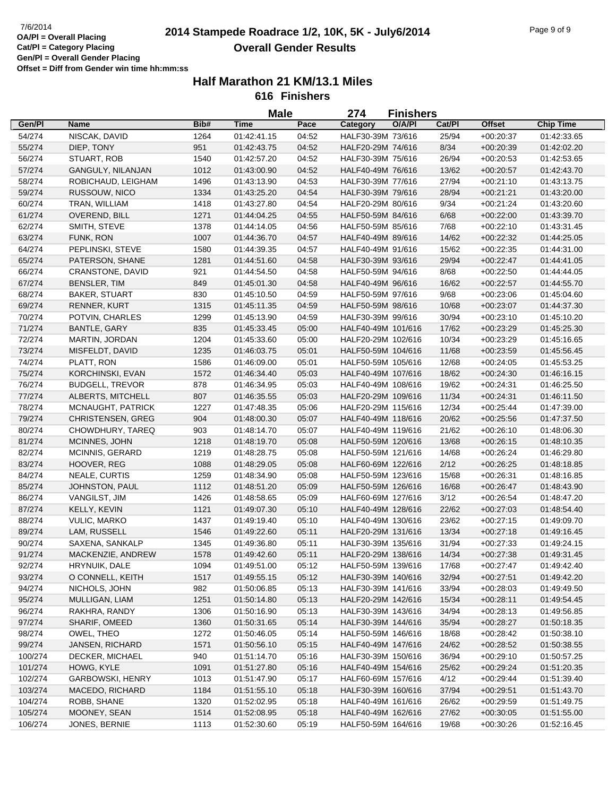### **2014 Stampede Roadrace 1/2, 10K, 5K - July6/2014** 7/6/2014 Page 9 of 9 **Overall Gender Results**

|                    |                          |      | <b>Male</b> |       | 274                | <b>Finishers</b> |        |               |                  |
|--------------------|--------------------------|------|-------------|-------|--------------------|------------------|--------|---------------|------------------|
| Gen/Pl             | <b>Name</b>              | Bib# | <b>Time</b> | Pace  | Category           | O/A/PI           | Cat/Pl | <b>Offset</b> | <b>Chip Time</b> |
| 54/274             | NISCAK, DAVID            | 1264 | 01:42:41.15 | 04:52 | HALF30-39M 73/616  |                  | 25/94  | $+00:20:37$   | 01:42:33.65      |
| 55/274             | DIEP, TONY               | 951  | 01:42:43.75 | 04:52 | HALF20-29M 74/616  |                  | 8/34   | $+00:20:39$   | 01:42:02.20      |
| 56/274             | STUART, ROB              | 1540 | 01:42:57.20 | 04:52 | HALF30-39M 75/616  |                  | 26/94  | $+00:20:53$   | 01:42:53.65      |
| 57/274             | GANGULY, NILANJAN        | 1012 | 01:43:00.90 | 04:52 | HALF40-49M 76/616  |                  | 13/62  | $+00:20:57$   | 01:42:43.70      |
| 58/274             | ROBICHAUD, LEIGHAM       | 1496 | 01:43:13.90 | 04:53 | HALF30-39M 77/616  |                  | 27/94  | $+00:21:10$   | 01:43:13.75      |
| 59/274             | RUSSOUW, NICO            | 1334 | 01:43:25.20 | 04:54 | HALF30-39M 79/616  |                  | 28/94  | $+00:21:21$   | 01:43:20.00      |
| 60/274             | TRAN, WILLIAM            | 1418 | 01:43:27.80 | 04:54 | HALF20-29M 80/616  |                  | 9/34   | $+00:21:24$   | 01:43:20.60      |
| 61/274             | OVEREND, BILL            | 1271 | 01:44:04.25 | 04:55 | HALF50-59M 84/616  |                  | 6/68   | $+00:22:00$   | 01:43:39.70      |
| 62/274             | SMITH, STEVE             | 1378 | 01:44:14.05 | 04:56 | HALF50-59M 85/616  |                  | 7/68   | $+00:22:10$   | 01:43:31.45      |
| 63/274             | FUNK, RON                | 1007 | 01:44:36.70 | 04:57 | HALF40-49M 89/616  |                  | 14/62  | $+00:22:32$   | 01:44:25.05      |
| 64/274             | PEPLINSKI, STEVE         | 1580 | 01:44:39.35 | 04:57 | HALF40-49M 91/616  |                  | 15/62  | $+00:22:35$   | 01:44:31.00      |
| 65/274             | PATERSON, SHANE          | 1281 | 01:44:51.60 | 04:58 | HALF30-39M 93/616  |                  | 29/94  | $+00:22:47$   | 01:44:41.05      |
| 66/274             | CRANSTONE, DAVID         | 921  | 01:44:54.50 | 04:58 | HALF50-59M 94/616  |                  | 8/68   | $+00:22:50$   | 01:44:44.05      |
|                    |                          |      |             |       |                    |                  |        |               |                  |
| 67/274             | <b>BENSLER, TIM</b>      | 849  | 01:45:01.30 | 04:58 | HALF40-49M 96/616  |                  | 16/62  | $+00:22:57$   | 01:44:55.70      |
| 68/274             | <b>BAKER, STUART</b>     | 830  | 01:45:10.50 | 04:59 | HALF50-59M 97/616  |                  | 9/68   | $+00:23:06$   | 01:45:04.60      |
| 69/274             | RENNER, KURT             | 1315 | 01:45:11.35 | 04:59 | HALF50-59M 98/616  |                  | 10/68  | $+00:23:07$   | 01:44:37.30      |
| 70/274             | POTVIN, CHARLES          | 1299 | 01:45:13.90 | 04:59 | HALF30-39M 99/616  |                  | 30/94  | $+00:23:10$   | 01:45:10.20      |
| 71/274             | <b>BANTLE, GARY</b>      | 835  | 01:45:33.45 | 05:00 | HALF40-49M 101/616 |                  | 17/62  | $+00:23:29$   | 01:45:25.30      |
| 72/274             | MARTIN, JORDAN           | 1204 | 01:45:33.60 | 05:00 | HALF20-29M 102/616 |                  | 10/34  | $+00:23:29$   | 01:45:16.65      |
| 73/274             | MISFELDT, DAVID          | 1235 | 01:46:03.75 | 05:01 | HALF50-59M 104/616 |                  | 11/68  | $+00:23:59$   | 01:45:56.45      |
| 74/274             | PLATT, RON               | 1586 | 01:46:09.00 | 05:01 | HALF50-59M 105/616 |                  | 12/68  | $+00:24:05$   | 01:45:53.25      |
| 75/274             | KORCHINSKI, EVAN         | 1572 | 01:46:34.40 | 05:03 | HALF40-49M 107/616 |                  | 18/62  | $+00:24:30$   | 01:46:16.15      |
| 76/274             | <b>BUDGELL, TREVOR</b>   | 878  | 01:46:34.95 | 05:03 | HALF40-49M 108/616 |                  | 19/62  | $+00:24:31$   | 01:46:25.50      |
| 77/274             | ALBERTS, MITCHELL        | 807  | 01:46:35.55 | 05:03 | HALF20-29M 109/616 |                  | 11/34  | $+00:24:31$   | 01:46:11.50      |
| 78/274             | MCNAUGHT, PATRICK        | 1227 | 01:47:48.35 | 05:06 | HALF20-29M 115/616 |                  | 12/34  | $+00:25:44$   | 01:47:39.00      |
| 79/274             | <b>CHRISTENSEN, GREG</b> | 904  | 01:48:00.30 | 05:07 | HALF40-49M 118/616 |                  | 20/62  | $+00:25:56$   | 01:47:37.50      |
| 80/274             | CHOWDHURY, TAREQ         | 903  | 01:48:14.70 | 05:07 | HALF40-49M 119/616 |                  | 21/62  | $+00:26:10$   | 01:48:06.30      |
| 81/274             | MCINNES, JOHN            | 1218 | 01:48:19.70 | 05:08 | HALF50-59M 120/616 |                  | 13/68  | $+00:26:15$   | 01:48:10.35      |
| 82/274             | MCINNIS, GERARD          | 1219 | 01:48:28.75 | 05:08 | HALF50-59M 121/616 |                  | 14/68  | $+00:26:24$   | 01:46:29.80      |
| 83/274             | HOOVER, REG              | 1088 | 01:48:29.05 | 05:08 | HALF60-69M 122/616 |                  | 2/12   | $+00:26:25$   | 01:48:18.85      |
| 84/274             | NEALE, CURTIS            | 1259 | 01:48:34.90 | 05:08 | HALF50-59M 123/616 |                  | 15/68  | $+00:26:31$   | 01:48:16.85      |
| 85/274             | JOHNSTON, PAUL           | 1112 | 01:48:51.20 | 05:09 | HALF50-59M 126/616 |                  | 16/68  | $+00:26:47$   | 01:48:43.90      |
| 86/274             | VANGILST, JIM            | 1426 | 01:48:58.65 | 05:09 | HALF60-69M 127/616 |                  | 3/12   | $+00:26:54$   | 01:48:47.20      |
| 87/274             | KELLY, KEVIN             | 1121 | 01:49:07.30 | 05:10 | HALF40-49M 128/616 |                  | 22/62  | $+00:27:03$   | 01:48:54.40      |
| 88/274             | <b>VULIC, MARKO</b>      | 1437 | 01:49:19.40 | 05:10 | HALF40-49M 130/616 |                  | 23/62  | $+00:27:15$   | 01:49:09.70      |
| 89/274             | LAM, RUSSELL             | 1546 | 01:49:22.60 | 05:11 | HALF20-29M 131/616 |                  | 13/34  | $+00:27:18$   | 01:49:16.45      |
| 90/274             | SAXENA, SANKALP          | 1345 | 01:49:36.80 | 05:11 | HALF30-39M 135/616 |                  | 31/94  | $+00:27:33$   | 01:49:24.15      |
| 91/274             | MACKENZIE, ANDREW        | 1578 | 01:49:42.60 | 05:11 | HALF20-29M 138/616 |                  | 14/34  | $+00:27:38$   | 01:49:31.45      |
| 92/274             | HRYNUIK, DALE            | 1094 | 01:49:51.00 | 05:12 | HALF50-59M 139/616 |                  | 17/68  | $+00:27:47$   | 01:49:42.40      |
| 93/274             | O CONNELL, KEITH         | 1517 | 01:49:55.15 | 05:12 | HALF30-39M 140/616 |                  | 32/94  | $+00:27:51$   | 01:49:42.20      |
| 94/274             | NICHOLS, JOHN            | 982  | 01:50:06.85 | 05:13 | HALF30-39M 141/616 |                  | 33/94  | $+00:28:03$   | 01:49:49.50      |
| 95/274             | MULLIGAN, LIAM           | 1251 | 01:50:14.80 | 05:13 | HALF20-29M 142/616 |                  | 15/34  | $+00:28:11$   | 01:49:54.45      |
| 96/274             | RAKHRA, RANDY            | 1306 | 01:50:16.90 | 05:13 | HALF30-39M 143/616 |                  | 34/94  | $+00:28:13$   | 01:49:56.85      |
| 97/274             | SHARIF, OMEED            | 1360 | 01:50:31.65 | 05:14 | HALF30-39M 144/616 |                  | 35/94  | $+00:28:27$   | 01:50:18.35      |
| 98/274             | OWEL, THEO               | 1272 | 01:50:46.05 | 05:14 | HALF50-59M 146/616 |                  | 18/68  | $+00:28:42$   | 01:50:38.10      |
| 99/274             | JANSEN, RICHARD          | 1571 | 01:50:56.10 | 05:15 | HALF40-49M 147/616 |                  | 24/62  | $+00:28:52$   | 01:50:38.55      |
|                    | DECKER, MICHAEL          |      |             |       |                    |                  |        |               |                  |
| 100/274<br>101/274 |                          | 940  | 01:51:14.70 | 05:16 | HALF30-39M 150/616 |                  | 36/94  | $+00:29:10$   | 01:50:57.25      |
|                    | HOWG, KYLE               | 1091 | 01:51:27.80 | 05:16 | HALF40-49M 154/616 |                  | 25/62  | $+00:29:24$   | 01:51:20.35      |
| 102/274            | <b>GARBOWSKI, HENRY</b>  | 1013 | 01:51:47.90 | 05:17 | HALF60-69M 157/616 |                  | 4/12   | $+00:29:44$   | 01:51:39.40      |
| 103/274            | MACEDO, RICHARD          | 1184 | 01:51:55.10 | 05:18 | HALF30-39M 160/616 |                  | 37/94  | $+00:29:51$   | 01:51:43.70      |
| 104/274            | ROBB, SHANE              | 1320 | 01:52:02.95 | 05:18 | HALF40-49M 161/616 |                  | 26/62  | $+00:29:59$   | 01:51:49.75      |
| 105/274            | MOONEY, SEAN             | 1514 | 01:52:08.95 | 05:18 | HALF40-49M 162/616 |                  | 27/62  | $+00:30:05$   | 01:51:55.00      |
| 106/274            | JONES, BERNIE            | 1113 | 01:52:30.60 | 05:19 | HALF50-59M 164/616 |                  | 19/68  | $+00:30:26$   | 01:52:16.45      |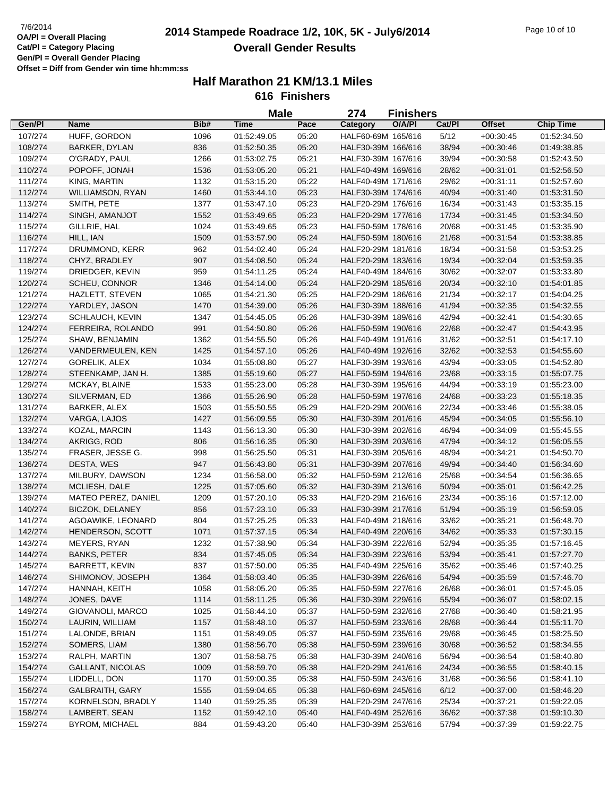## **2014 Stampede Roadrace 1/2, 10K, 5K - July6/2014** 7/6/2014 Page 10 of 10 **Overall Gender Results**

|         |                         |      | <b>Male</b> |       | 274                | <b>Finishers</b> |        |               |                  |  |
|---------|-------------------------|------|-------------|-------|--------------------|------------------|--------|---------------|------------------|--|
| Gen/Pl  | Name                    | Bib# | Time        | Pace  | Category           | O/A/PI           | Cat/Pl | <b>Offset</b> | <b>Chip Time</b> |  |
| 107/274 | HUFF, GORDON            | 1096 | 01:52:49.05 | 05:20 | HALF60-69M 165/616 |                  | 5/12   | $+00.30.45$   | 01:52:34.50      |  |
| 108/274 | <b>BARKER, DYLAN</b>    | 836  | 01:52:50.35 | 05:20 | HALF30-39M 166/616 |                  | 38/94  | $+00:30:46$   | 01:49:38.85      |  |
| 109/274 | O'GRADY, PAUL           | 1266 | 01:53:02.75 | 05:21 | HALF30-39M 167/616 |                  | 39/94  | $+00:30:58$   | 01:52:43.50      |  |
| 110/274 | POPOFF, JONAH           | 1536 | 01:53:05.20 | 05:21 | HALF40-49M 169/616 |                  | 28/62  | $+00:31:01$   | 01:52:56.50      |  |
| 111/274 | KING, MARTIN            | 1132 | 01:53:15.20 | 05:22 | HALF40-49M 171/616 |                  | 29/62  | $+00:31:11$   | 01:52:57.60      |  |
| 112/274 | <b>WILLIAMSON, RYAN</b> | 1460 | 01:53:44.10 | 05:23 | HALF30-39M 174/616 |                  | 40/94  | $+00:31:40$   | 01:53:31.50      |  |
| 113/274 | SMITH, PETE             | 1377 | 01:53:47.10 | 05:23 | HALF20-29M 176/616 |                  | 16/34  | $+00:31:43$   | 01:53:35.15      |  |
| 114/274 | SINGH, AMANJOT          | 1552 | 01:53:49.65 | 05:23 | HALF20-29M 177/616 |                  | 17/34  | $+00:31:45$   | 01:53:34.50      |  |
| 115/274 | GILLRIE, HAL            | 1024 | 01:53:49.65 | 05:23 | HALF50-59M 178/616 |                  | 20/68  | $+00:31:45$   | 01:53:35.90      |  |
| 116/274 | HILL, IAN               | 1509 | 01:53:57.90 | 05:24 | HALF50-59M 180/616 |                  | 21/68  | $+00:31:54$   | 01:53:38.85      |  |
| 117/274 | DRUMMOND, KERR          | 962  | 01:54:02.40 | 05:24 | HALF20-29M 181/616 |                  | 18/34  | $+00:31:58$   | 01:53:53.25      |  |
| 118/274 | CHYZ, BRADLEY           | 907  | 01:54:08.50 | 05:24 | HALF20-29M 183/616 |                  | 19/34  | $+00:32:04$   | 01:53:59.35      |  |
| 119/274 | DRIEDGER, KEVIN         | 959  | 01:54:11.25 | 05:24 | HALF40-49M 184/616 |                  | 30/62  | $+00:32:07$   | 01:53:33.80      |  |
| 120/274 | <b>SCHEU, CONNOR</b>    | 1346 | 01:54:14.00 | 05:24 | HALF20-29M 185/616 |                  | 20/34  | $+00:32:10$   | 01:54:01.85      |  |
| 121/274 | HAZLETT, STEVEN         | 1065 | 01:54:21.30 | 05:25 | HALF20-29M 186/616 |                  | 21/34  | $+00:32:17$   | 01:54:04.25      |  |
| 122/274 | YARDLEY, JASON          | 1470 | 01:54:39.00 | 05:26 | HALF30-39M 188/616 |                  | 41/94  | $+00:32:35$   | 01:54:32.55      |  |
| 123/274 | SCHLAUCH, KEVIN         | 1347 | 01:54:45.05 | 05:26 | HALF30-39M 189/616 |                  | 42/94  | $+00:32:41$   | 01:54:30.65      |  |
| 124/274 | FERREIRA, ROLANDO       | 991  | 01:54:50.80 | 05:26 | HALF50-59M 190/616 |                  | 22/68  | $+00:32:47$   | 01:54:43.95      |  |
| 125/274 | SHAW, BENJAMIN          | 1362 | 01:54:55.50 | 05:26 | HALF40-49M 191/616 |                  | 31/62  | $+00:32:51$   | 01:54:17.10      |  |
| 126/274 | VANDERMEULEN, KEN       | 1425 | 01:54:57.10 | 05:26 | HALF40-49M 192/616 |                  | 32/62  | $+00:32:53$   | 01:54:55.60      |  |
| 127/274 | <b>GORELIK, ALEX</b>    | 1034 | 01:55:08.80 | 05:27 | HALF30-39M 193/616 |                  | 43/94  | $+00:33:05$   | 01:54:52.80      |  |
| 128/274 | STEENKAMP, JAN H.       | 1385 | 01:55:19.60 | 05:27 | HALF50-59M 194/616 |                  | 23/68  | $+00:33:15$   | 01:55:07.75      |  |
| 129/274 | MCKAY, BLAINE           | 1533 | 01:55:23.00 | 05:28 | HALF30-39M 195/616 |                  | 44/94  | $+00:33:19$   | 01:55:23.00      |  |
| 130/274 | SILVERMAN, ED           | 1366 | 01:55:26.90 | 05:28 | HALF50-59M 197/616 |                  | 24/68  | $+00:33:23$   | 01:55:18.35      |  |
| 131/274 | BARKER, ALEX            | 1503 | 01:55:50.55 | 05:29 | HALF20-29M 200/616 |                  | 22/34  | $+00:33:46$   | 01:55:38.05      |  |
| 132/274 | VARGA, LAJOS            | 1427 | 01:56:09.55 | 05:30 | HALF30-39M 201/616 |                  | 45/94  | $+00:34:05$   | 01:55:56.10      |  |
| 133/274 | KOZAL, MARCIN           | 1143 | 01:56:13.30 | 05:30 | HALF30-39M 202/616 |                  | 46/94  | $+00:34:09$   | 01:55:45.55      |  |
| 134/274 | AKRIGG, ROD             | 806  | 01:56:16.35 | 05:30 | HALF30-39M 203/616 |                  | 47/94  | $+00:34:12$   | 01:56:05.55      |  |
| 135/274 | FRASER, JESSE G.        | 998  | 01:56:25.50 | 05:31 | HALF30-39M 205/616 |                  | 48/94  | $+00:34:21$   | 01:54:50.70      |  |
| 136/274 | DESTA, WES              | 947  | 01:56:43.80 | 05:31 | HALF30-39M 207/616 |                  | 49/94  | $+00:34:40$   | 01:56:34.60      |  |
| 137/274 | MILBURY, DAWSON         | 1234 | 01:56:58.00 | 05:32 | HALF50-59M 212/616 |                  | 25/68  | $+00:34:54$   | 01:56:36.65      |  |
| 138/274 | MCLIESH, DALE           | 1225 | 01:57:05.60 | 05:32 | HALF30-39M 213/616 |                  | 50/94  | $+00:35:01$   | 01:56:42.25      |  |
| 139/274 | MATEO PEREZ, DANIEL     | 1209 | 01:57:20.10 | 05:33 | HALF20-29M 216/616 |                  | 23/34  | $+00:35:16$   | 01:57:12.00      |  |
| 140/274 | BICZOK, DELANEY         | 856  | 01:57:23.10 | 05:33 | HALF30-39M 217/616 |                  | 51/94  | $+00:35:19$   | 01:56:59.05      |  |
| 141/274 | AGOAWIKE, LEONARD       | 804  | 01:57:25.25 | 05:33 | HALF40-49M 218/616 |                  | 33/62  | $+00:35:21$   | 01:56:48.70      |  |
| 142/274 | HENDERSON, SCOTT        | 1071 | 01:57:37.15 | 05:34 | HALF40-49M 220/616 |                  | 34/62  | $+00:35:33$   | 01:57:30.15      |  |
| 143/274 | MEYERS, RYAN            | 1232 | 01:57:38.90 | 05:34 | HALF30-39M 222/616 |                  | 52/94  | $+00:35:35$   | 01:57:16.45      |  |
| 144/274 | <b>BANKS, PETER</b>     | 834  | 01:57:45.05 | 05:34 | HALF30-39M 223/616 |                  | 53/94  | $+00.35.41$   | 01:57:27.70      |  |
| 145/274 | BARRETT, KEVIN          | 837  | 01:57:50.00 | 05:35 | HALF40-49M 225/616 |                  | 35/62  | $+00:35:46$   | 01:57:40.25      |  |
| 146/274 | SHIMONOV, JOSEPH        | 1364 | 01:58:03.40 | 05:35 | HALF30-39M 226/616 |                  | 54/94  | $+00:35:59$   | 01:57:46.70      |  |
| 147/274 | HANNAH, KEITH           | 1058 | 01:58:05.20 | 05:35 | HALF50-59M 227/616 |                  | 26/68  | $+00:36:01$   | 01:57:45.05      |  |
| 148/274 | JONES, DAVE             | 1114 | 01:58:11.25 | 05:36 | HALF30-39M 229/616 |                  | 55/94  | $+00:36:07$   | 01:58:02.15      |  |
| 149/274 | GIOVANOLI, MARCO        | 1025 | 01:58:44.10 | 05:37 | HALF50-59M 232/616 |                  | 27/68  | $+00:36:40$   | 01:58:21.95      |  |
| 150/274 | LAURIN, WILLIAM         | 1157 | 01:58:48.10 | 05:37 | HALF50-59M 233/616 |                  | 28/68  | $+00:36:44$   | 01:55:11.70      |  |
| 151/274 | LALONDE, BRIAN          | 1151 | 01:58:49.05 | 05:37 | HALF50-59M 235/616 |                  | 29/68  | $+00:36:45$   | 01:58:25.50      |  |
| 152/274 | SOMERS, LIAM            | 1380 | 01:58:56.70 | 05:38 | HALF50-59M 239/616 |                  | 30/68  | $+00:36:52$   | 01:58:34.55      |  |
| 153/274 | RALPH, MARTIN           | 1307 | 01:58:58.75 | 05:38 | HALF30-39M 240/616 |                  | 56/94  | $+00:36:54$   | 01:58:40.80      |  |
| 154/274 | GALLANT, NICOLAS        | 1009 | 01:58:59.70 | 05:38 | HALF20-29M 241/616 |                  | 24/34  | $+00:36:55$   | 01:58:40.15      |  |
| 155/274 | LIDDELL, DON            | 1170 | 01:59:00.35 | 05:38 | HALF50-59M 243/616 |                  | 31/68  | $+00:36:56$   | 01:58:41.10      |  |
| 156/274 | <b>GALBRAITH, GARY</b>  | 1555 | 01:59:04.65 | 05:38 | HALF60-69M 245/616 |                  | 6/12   | $+00:37:00$   | 01:58:46.20      |  |
| 157/274 | KORNELSON, BRADLY       | 1140 | 01:59:25.35 | 05:39 | HALF20-29M 247/616 |                  | 25/34  | $+00:37:21$   | 01:59:22.05      |  |
| 158/274 | LAMBERT, SEAN           | 1152 | 01:59:42.10 | 05:40 | HALF40-49M 252/616 |                  | 36/62  | $+00:37:38$   | 01:59:10.30      |  |
| 159/274 | <b>BYROM, MICHAEL</b>   | 884  | 01:59:43.20 | 05:40 | HALF30-39M 253/616 |                  | 57/94  | $+00:37:39$   | 01:59:22.75      |  |
|         |                         |      |             |       |                    |                  |        |               |                  |  |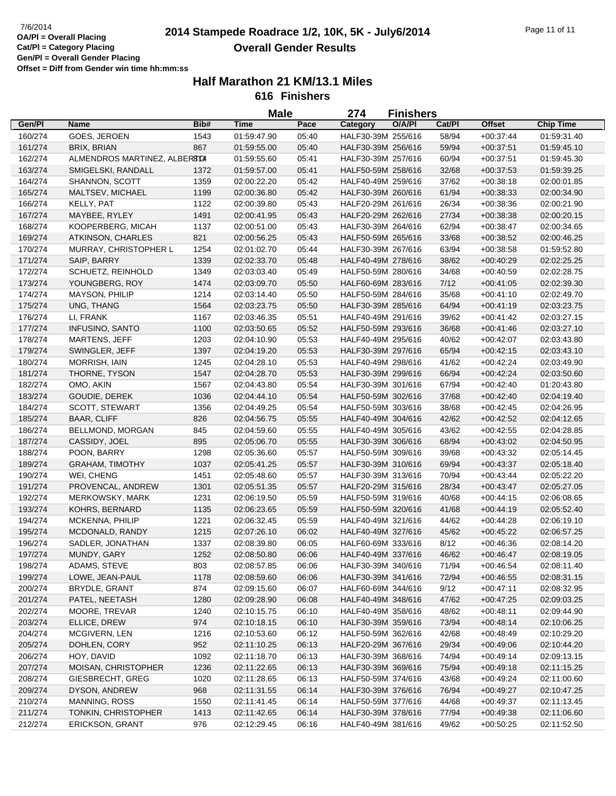## **2014 Stampede Roadrace 1/2, 10K, 5K - July6/2014** 7/6/2014 Page 11 of 11 **Overall Gender Results**

|         |                              |      | <b>Male</b> |       | 274                | <b>Finishers</b> |        |               |                  |
|---------|------------------------------|------|-------------|-------|--------------------|------------------|--------|---------------|------------------|
| Gen/Pl  | <b>Name</b>                  | Bib# | <b>Time</b> | Pace  | Category           | O/A/PI           | Cat/Pl | <b>Offset</b> | <b>Chip Time</b> |
| 160/274 | GOES, JEROEN                 | 1543 | 01:59:47.90 | 05:40 | HALF30-39M 255/616 |                  | 58/94  | $+00:37:44$   | 01:59:31.40      |
| 161/274 | BRIX, BRIAN                  | 867  | 01:59:55.00 | 05:40 | HALF30-39M 256/616 |                  | 59/94  | $+00:37:51$   | 01:59:45.10      |
| 162/274 | ALMENDROS MARTINEZ, ALBERTOI |      | 01:59:55.60 | 05:41 | HALF30-39M 257/616 |                  | 60/94  | $+00:37:51$   | 01:59:45.30      |
| 163/274 | SMIGELSKI, RANDALL           | 1372 | 01:59:57.00 | 05:41 | HALF50-59M 258/616 |                  | 32/68  | $+00:37:53$   | 01:59:39.25      |
| 164/274 | SHANNON, SCOTT               | 1359 | 02:00:22.20 | 05:42 | HALF40-49M 259/616 |                  | 37/62  | $+00:38:18$   | 02:00:01.85      |
| 165/274 | MALTSEV, MICHAEL             | 1199 | 02:00:36.80 | 05:42 | HALF30-39M 260/616 |                  | 61/94  | $+00.38.33$   | 02:00:34.90      |
| 166/274 | KELLY, PAT                   | 1122 | 02:00:39.80 | 05:43 | HALF20-29M 261/616 |                  | 26/34  | $+00:38:36$   | 02:00:21.90      |
| 167/274 | MAYBEE, RYLEY                | 1491 | 02:00:41.95 | 05:43 | HALF20-29M 262/616 |                  | 27/34  | $+00:38:38$   | 02:00:20.15      |
| 168/274 | KOOPERBERG, MICAH            | 1137 | 02:00:51.00 | 05:43 | HALF30-39M 264/616 |                  | 62/94  | $+00.38:47$   | 02:00:34.65      |
| 169/274 | <b>ATKINSON, CHARLES</b>     | 821  | 02:00:56.25 | 05:43 | HALF50-59M 265/616 |                  | 33/68  | $+00.38.52$   | 02:00:46.25      |
| 170/274 | MURRAY, CHRISTOPHER L        | 1254 | 02:01:02.70 | 05:44 | HALF30-39M 267/616 |                  | 63/94  | $+00.38.58$   | 01:59:52.80      |
| 171/274 | SAIP, BARRY                  | 1339 | 02:02:33.70 | 05:48 | HALF40-49M 278/616 |                  | 38/62  | $+00:40:29$   | 02:02:25.25      |
| 172/274 | SCHUETZ, REINHOLD            | 1349 | 02:03:03.40 | 05:49 | HALF50-59M 280/616 |                  | 34/68  | $+00:40:59$   | 02:02:28.75      |
| 173/274 | YOUNGBERG, ROY               | 1474 | 02:03:09.70 | 05:50 | HALF60-69M 283/616 |                  | 7/12   | $+00:41:05$   | 02:02:39.30      |
| 174/274 | <b>MAYSON, PHILIP</b>        | 1214 | 02:03:14.40 | 05:50 | HALF50-59M 284/616 |                  | 35/68  | $+00:41:10$   | 02:02:49.70      |
| 175/274 | UNG, THANG                   | 1564 | 02:03:23.75 | 05:50 | HALF30-39M 285/616 |                  | 64/94  | $+00:41:19$   | 02:03:23.75      |
| 176/274 | LI, FRANK                    | 1167 | 02:03:46.35 | 05:51 | HALF40-49M 291/616 |                  | 39/62  | $+00.41.42$   | 02:03:27.15      |
| 177/274 | INFUSINO, SANTO              | 1100 | 02:03:50.65 | 05:52 | HALF50-59M 293/616 |                  | 36/68  | $+00.41:46$   | 02:03:27.10      |
| 178/274 | MARTENS, JEFF                | 1203 | 02:04:10.90 | 05:53 | HALF40-49M 295/616 |                  | 40/62  | $+00:42:07$   | 02:03:43.80      |
| 179/274 | SWINGLER, JEFF               | 1397 | 02:04:19.20 | 05:53 | HALF30-39M 297/616 |                  | 65/94  | $+00:42:15$   | 02:03:43.10      |
| 180/274 | MORRISH, IAIN                | 1245 | 02:04:28.10 | 05:53 | HALF40-49M 298/616 |                  | 41/62  | $+00.42.24$   | 02:03:49.90      |
| 181/274 | THORNE, TYSON                | 1547 | 02:04:28.70 | 05:53 | HALF30-39M 299/616 |                  | 66/94  | $+00:42:24$   | 02:03:50.60      |
| 182/274 | OMO, AKIN                    | 1567 |             | 05:54 | HALF30-39M 301/616 |                  | 67/94  |               |                  |
|         |                              |      | 02:04:43.80 |       | HALF50-59M 302/616 |                  |        | $+00:42:40$   | 01:20:43.80      |
| 183/274 | GOUDIE, DEREK                | 1036 | 02:04:44.10 | 05:54 |                    |                  | 37/68  | $+00:42:40$   | 02:04:19.40      |
| 184/274 | <b>SCOTT, STEWART</b>        | 1356 | 02:04:49.25 | 05:54 | HALF50-59M 303/616 |                  | 38/68  | $+00:42:45$   | 02:04:26.95      |
| 185/274 | <b>BAAR, CLIFF</b>           | 826  | 02:04:56.75 | 05:55 | HALF40-49M 304/616 |                  | 42/62  | $+00.42:52$   | 02:04:12.65      |
| 186/274 | BELLMOND, MORGAN             | 845  | 02:04:59.60 | 05:55 | HALF40-49M 305/616 |                  | 43/62  | $+00.42:55$   | 02:04:28.85      |
| 187/274 | CASSIDY, JOEL                | 895  | 02:05:06.70 | 05:55 | HALF30-39M 306/616 |                  | 68/94  | $+00:43:02$   | 02:04:50.95      |
| 188/274 | POON, BARRY                  | 1298 | 02:05:36.60 | 05:57 | HALF50-59M 309/616 |                  | 39/68  | $+00:43:32$   | 02:05:14.45      |
| 189/274 | <b>GRAHAM, TIMOTHY</b>       | 1037 | 02:05:41.25 | 05:57 | HALF30-39M 310/616 |                  | 69/94  | $+00:43:37$   | 02:05:18.40      |
| 190/274 | WEI, CHENG                   | 1451 | 02:05:48.60 | 05:57 | HALF30-39M 313/616 |                  | 70/94  | $+00:43:44$   | 02:05:22.20      |
| 191/274 | PROVENCAL, ANDREW            | 1301 | 02:05:51.35 | 05:57 | HALF20-29M 315/616 |                  | 28/34  | $+00:43:47$   | 02:05:27.05      |
| 192/274 | MERKOWSKY, MARK              | 1231 | 02:06:19.50 | 05:59 | HALF50-59M 319/616 |                  | 40/68  | $+00:44:15$   | 02:06:08.65      |
| 193/274 | KOHRS, BERNARD               | 1135 | 02:06:23.65 | 05:59 | HALF50-59M 320/616 |                  | 41/68  | $+00.44:19$   | 02:05:52.40      |
| 194/274 | MCKENNA, PHILIP              | 1221 | 02:06:32.45 | 05:59 | HALF40-49M 321/616 |                  | 44/62  | $+00:44:28$   | 02:06:19.10      |
| 195/274 | MCDONALD, RANDY              | 1215 | 02:07:26.10 | 06:02 | HALF40-49M 327/616 |                  | 45/62  | $+00:45:22$   | 02:06:57.25      |
| 196/274 | SADLER, JONATHAN             | 1337 | 02:08:39.80 | 06:05 | HALF60-69M 333/616 |                  | 8/12   | $+00:46:36$   | 02:08:14.20      |
| 197/274 | MUNDY, GARY                  | 1252 | 02:08:50.80 | 06:06 | HALF40-49M 337/616 |                  | 46/62  | $+00.46.47$   | 02:08:19.05      |
| 198/274 | ADAMS, STEVE                 | 803  | 02:08:57.85 | 06:06 | HALF30-39M 340/616 |                  | 71/94  | $+00.46.54$   | 02:08:11.40      |
| 199/274 | LOWE, JEAN-PAUL              | 1178 | 02:08:59.60 | 06:06 | HALF30-39M 341/616 |                  | 72/94  | $+00.46:55$   | 02:08:31.15      |
| 200/274 | BRYDLE, GRANT                | 874  | 02:09:15.60 | 06:07 | HALF60-69M 344/616 |                  | 9/12   | $+00.47:11$   | 02:08:32.95      |
| 201/274 | PATEL, NEETASH               | 1280 | 02:09:28.90 | 06:08 | HALF40-49M 348/616 |                  | 47/62  | $+00.47:25$   | 02:09:03.25      |
| 202/274 | MOORE, TREVAR                | 1240 | 02:10:15.75 | 06:10 | HALF40-49M 358/616 |                  | 48/62  | $+00:48:11$   | 02:09:44.90      |
| 203/274 | ELLICE, DREW                 | 974  | 02:10:18.15 | 06:10 | HALF30-39M 359/616 |                  | 73/94  | $+00:48:14$   | 02:10:06.25      |
| 204/274 | MCGIVERN, LEN                | 1216 | 02:10:53.60 | 06:12 | HALF50-59M 362/616 |                  | 42/68  | $+00.48:49$   | 02:10:29.20      |
| 205/274 | DOHLEN, CORY                 | 952  | 02:11:10.25 | 06:13 | HALF20-29M 367/616 |                  | 29/34  | $+00.49:06$   | 02:10:44.20      |
| 206/274 | HOY, DAVID                   | 1092 | 02:11:18.70 | 06:13 | HALF30-39M 368/616 |                  | 74/94  | $+00.49:14$   | 02:09:13.15      |
| 207/274 | MOISAN, CHRISTOPHER          | 1236 | 02:11:22.65 | 06:13 | HALF30-39M 369/616 |                  | 75/94  | $+00.49:18$   | 02:11:15.25      |
| 208/274 | GIESBRECHT, GREG             | 1020 | 02:11:28.65 | 06:13 | HALF50-59M 374/616 |                  | 43/68  | $+00.49:24$   | 02:11:00.60      |
| 209/274 | DYSON, ANDREW                | 968  | 02:11:31.55 | 06:14 | HALF30-39M 376/616 |                  | 76/94  | $+00:49:27$   | 02:10:47.25      |
| 210/274 | <b>MANNING, ROSS</b>         | 1550 | 02:11:41.45 | 06:14 | HALF50-59M 377/616 |                  | 44/68  | $+00:49:37$   | 02:11:13.45      |
| 211/274 | TONKIN, CHRISTOPHER          | 1413 | 02:11:42.65 | 06:14 | HALF30-39M 378/616 |                  | 77/94  | $+00.49.38$   | 02:11:06.60      |
| 212/274 | <b>ERICKSON, GRANT</b>       | 976  | 02:12:29.45 | 06:16 | HALF40-49M 381/616 |                  | 49/62  | $+00:50:25$   | 02:11:52.50      |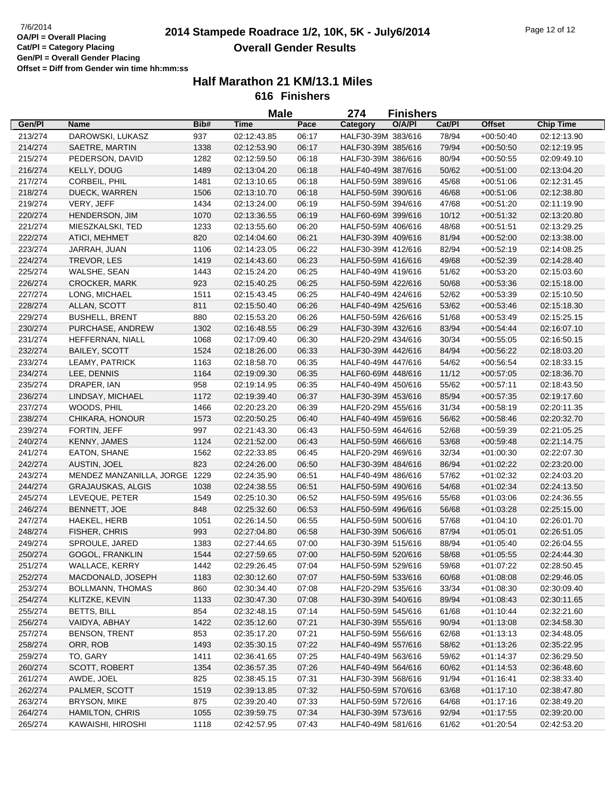## **2014 Stampede Roadrace 1/2, 10K, 5K - July6/2014** 7/6/2014 Page 12 of 12 **Overall Gender Results**

|         |                               |      | <b>Male</b> |       | 274                | <b>Finishers</b> |        |               |                  |
|---------|-------------------------------|------|-------------|-------|--------------------|------------------|--------|---------------|------------------|
| Gen/Pl  | Name                          | Bib# | <b>Time</b> | Pace  | <b>Category</b>    | O/A/PI           | Cat/PI | <b>Offset</b> | <b>Chip Time</b> |
| 213/274 | DAROWSKI, LUKASZ              | 937  | 02:12:43.85 | 06:17 | HALF30-39M 383/616 |                  | 78/94  | $+00.50.40$   | 02:12:13.90      |
| 214/274 | SAETRE, MARTIN                | 1338 | 02:12:53.90 | 06:17 | HALF30-39M 385/616 |                  | 79/94  | $+00:50:50$   | 02:12:19.95      |
| 215/274 | PEDERSON, DAVID               | 1282 | 02:12:59.50 | 06:18 | HALF30-39M 386/616 |                  | 80/94  | $+00:50:55$   | 02:09:49.10      |
| 216/274 | KELLY, DOUG                   | 1489 | 02:13:04.20 | 06:18 | HALF40-49M 387/616 |                  | 50/62  | $+00:51:00$   | 02:13:04.20      |
| 217/274 | CORBEIL, PHIL                 | 1481 | 02:13:10.65 | 06:18 | HALF50-59M 389/616 |                  | 45/68  | $+00:51:06$   | 02:12:31.45      |
| 218/274 | DUECK, WARREN                 | 1506 | 02:13:10.70 | 06:18 | HALF50-59M 390/616 |                  | 46/68  | $+00:51:06$   | 02:12:38.80      |
| 219/274 | VERY, JEFF                    | 1434 | 02:13:24.00 | 06:19 | HALF50-59M 394/616 |                  | 47/68  | $+00:51:20$   | 02:11:19.90      |
| 220/274 | HENDERSON, JIM                | 1070 | 02:13:36.55 | 06:19 | HALF60-69M 399/616 |                  | 10/12  | $+00.51:32$   | 02:13:20.80      |
| 221/274 | MIESZKALSKI, TED              | 1233 | 02:13:55.60 | 06:20 | HALF50-59M 406/616 |                  | 48/68  | $+00:51:51$   | 02:13:29.25      |
| 222/274 | <b>ATICI, MEHMET</b>          | 820  | 02:14:04.60 | 06:21 | HALF30-39M 409/616 |                  | 81/94  | $+00:52:00$   | 02:13:38.00      |
| 223/274 | JARRAH, JUAN                  | 1106 | 02:14:23.05 | 06:22 | HALF30-39M 412/616 |                  | 82/94  | $+00:52:19$   | 02:14:08.25      |
| 224/274 | TREVOR, LES                   | 1419 | 02:14:43.60 | 06:23 | HALF50-59M 416/616 |                  | 49/68  | $+00:52:39$   | 02:14:28.40      |
| 225/274 | WALSHE, SEAN                  | 1443 | 02:15:24.20 | 06:25 | HALF40-49M 419/616 |                  | 51/62  | $+00:53:20$   | 02:15:03.60      |
| 226/274 | <b>CROCKER, MARK</b>          | 923  | 02:15:40.25 | 06:25 | HALF50-59M 422/616 |                  | 50/68  | $+00:53:36$   | 02:15:18.00      |
| 227/274 | LONG, MICHAEL                 | 1511 | 02:15:43.45 | 06:25 | HALF40-49M 424/616 |                  | 52/62  | $+00:53:39$   | 02:15:10.50      |
| 228/274 | ALLAN, SCOTT                  | 811  | 02:15:50.40 | 06:26 | HALF40-49M 425/616 |                  | 53/62  | $+00.53:46$   | 02:15:18.30      |
| 229/274 | <b>BUSHELL, BRENT</b>         | 880  | 02:15:53.20 | 06:26 | HALF50-59M 426/616 |                  | 51/68  | $+00:53:49$   | 02:15:25.15      |
| 230/274 | PURCHASE, ANDREW              | 1302 | 02:16:48.55 | 06:29 | HALF30-39M 432/616 |                  | 83/94  | $+00.54:44$   | 02:16:07.10      |
| 231/274 | HEFFERNAN, NIALL              | 1068 | 02:17:09.40 | 06:30 | HALF20-29M 434/616 |                  | 30/34  | $+00:55:05$   | 02:16:50.15      |
| 232/274 | <b>BAILEY, SCOTT</b>          | 1524 | 02:18:26.00 | 06:33 | HALF30-39M 442/616 |                  | 84/94  | $+00:56:22$   | 02:18:03.20      |
| 233/274 | <b>LEAMY, PATRICK</b>         | 1163 | 02:18:58.70 | 06:35 | HALF40-49M 447/616 |                  | 54/62  | $+00:56:54$   | 02:18:33.15      |
| 234/274 | LEE, DENNIS                   | 1164 | 02:19:09.30 | 06:35 | HALF60-69M 448/616 |                  | 11/12  | $+00:57:05$   | 02:18:36.70      |
| 235/274 | DRAPER, IAN                   | 958  | 02:19:14.95 | 06:35 | HALF40-49M 450/616 |                  | 55/62  | $+00:57:11$   | 02:18:43.50      |
| 236/274 | LINDSAY, MICHAEL              | 1172 | 02:19:39.40 | 06:37 | HALF30-39M 453/616 |                  | 85/94  | $+00:57:35$   | 02:19:17.60      |
| 237/274 | WOODS, PHIL                   | 1466 | 02:20:23.20 | 06:39 | HALF20-29M 455/616 |                  | 31/34  | $+00:58:19$   | 02:20:11.35      |
| 238/274 | CHIKARA, HONOUR               | 1573 | 02:20:50.25 | 06:40 | HALF40-49M 459/616 |                  | 56/62  | $+00:58:46$   | 02:20:32.70      |
| 239/274 | FORTIN, JEFF                  | 997  | 02:21:43.30 | 06:43 | HALF50-59M 464/616 |                  | 52/68  | $+00:59:39$   | 02:21:05.25      |
| 240/274 | <b>KENNY, JAMES</b>           | 1124 | 02:21:52.00 | 06:43 | HALF50-59M 466/616 |                  | 53/68  | $+00:59:48$   | 02:21:14.75      |
| 241/274 | EATON, SHANE                  | 1562 | 02:22:33.85 | 06:45 | HALF20-29M 469/616 |                  | 32/34  | $+01:00:30$   | 02:22:07.30      |
| 242/274 | AUSTIN, JOEL                  | 823  | 02:24:26.00 | 06:50 | HALF30-39M 484/616 |                  | 86/94  | $+01:02:22$   | 02:23:20.00      |
| 243/274 | MENDEZ MANZANILLA, JORGE 1229 |      | 02:24:35.90 | 06:51 | HALF40-49M 486/616 |                  | 57/62  | $+01:02:32$   | 02:24:03.20      |
| 244/274 | <b>GRAJAUSKAS, ALGIS</b>      | 1038 | 02:24:38.55 | 06:51 | HALF50-59M 490/616 |                  | 54/68  | $+01:02:34$   | 02:24:13.50      |
| 245/274 | LEVEQUE, PETER                | 1549 | 02:25:10.30 | 06:52 | HALF50-59M 495/616 |                  | 55/68  | $+01:03:06$   | 02:24:36.55      |
| 246/274 | BENNETT, JOE                  | 848  | 02:25:32.60 | 06:53 | HALF50-59M 496/616 |                  | 56/68  | $+01:03:28$   | 02:25:15.00      |
| 247/274 | HAEKEL, HERB                  | 1051 | 02:26:14.50 | 06:55 | HALF50-59M 500/616 |                  | 57/68  | $+01:04:10$   | 02:26:01.70      |
| 248/274 | <b>FISHER, CHRIS</b>          | 993  | 02:27:04.80 | 06:58 | HALF30-39M 506/616 |                  | 87/94  | $+01:05:01$   | 02:26:51.05      |
| 249/274 | SPROULE, JARED                | 1383 | 02:27:44.65 | 07:00 | HALF30-39M 515/616 |                  | 88/94  | $+01:05:40$   | 02:26:04.55      |
| 250/274 | GOGOL, FRANKLIN               | 1544 | 02:27:59.65 | 07:00 | HALF50-59M 520/616 |                  | 58/68  | $+01:05:55$   | 02:24:44.30      |
| 251/274 | WALLACE, KERRY                | 1442 | 02:29:26.45 | 07:04 | HALF50-59M 529/616 |                  | 59/68  | $+01:07:22$   | 02:28:50.45      |
| 252/274 | MACDONALD, JOSEPH             | 1183 | 02:30:12.60 | 07:07 | HALF50-59M 533/616 |                  | 60/68  | $+01:08:08$   | 02:29:46.05      |
| 253/274 | <b>BOLLMANN, THOMAS</b>       | 860  | 02:30:34.40 | 07:08 | HALF20-29M 535/616 |                  | 33/34  | $+01:08:30$   | 02:30:09.40      |
| 254/274 | KLITZKE, KEVIN                | 1133 | 02:30:47.30 | 07:08 | HALF30-39M 540/616 |                  | 89/94  | $+01:08:43$   | 02:30:11.65      |
| 255/274 | <b>BETTS, BILL</b>            | 854  | 02:32:48.15 | 07:14 | HALF50-59M 545/616 |                  | 61/68  | $+01:10:44$   | 02:32:21.60      |
| 256/274 | VAIDYA, ABHAY                 | 1422 | 02:35:12.60 | 07:21 | HALF30-39M 555/616 |                  | 90/94  | $+01:13:08$   | 02:34:58.30      |
| 257/274 | <b>BENSON, TRENT</b>          | 853  | 02:35:17.20 | 07:21 | HALF50-59M 556/616 |                  | 62/68  | $+01:13:13$   | 02:34:48.05      |
| 258/274 | ORR, ROB                      | 1493 | 02:35:30.15 | 07:22 | HALF40-49M 557/616 |                  | 58/62  | $+01:13:26$   | 02:35:22.95      |
| 259/274 | TO, GARY                      | 1411 | 02:36:41.65 | 07:25 | HALF40-49M 563/616 |                  | 59/62  | $+01:14:37$   | 02:36:29.50      |
| 260/274 | SCOTT, ROBERT                 | 1354 | 02:36:57.35 | 07:26 | HALF40-49M 564/616 |                  | 60/62  | $+01:14:53$   | 02:36:48.60      |
| 261/274 | AWDE, JOEL                    | 825  | 02:38:45.15 | 07:31 | HALF30-39M 568/616 |                  | 91/94  | $+01:16:41$   | 02:38:33.40      |
| 262/274 | PALMER, SCOTT                 | 1519 | 02:39:13.85 | 07:32 | HALF50-59M 570/616 |                  | 63/68  | $+01:17:10$   | 02:38:47.80      |
| 263/274 | <b>BRYSON, MIKE</b>           | 875  | 02:39:20.40 | 07:33 | HALF50-59M 572/616 |                  | 64/68  | $+01:17:16$   | 02:38:49.20      |
| 264/274 | HAMILTON, CHRIS               | 1055 | 02:39:59.75 | 07:34 | HALF30-39M 573/616 |                  | 92/94  | $+01:17:55$   | 02:39:20.00      |
| 265/274 | KAWAISHI, HIROSHI             | 1118 | 02:42:57.95 | 07:43 | HALF40-49M 581/616 |                  | 61/62  | $+01:20:54$   | 02:42:53.20      |
|         |                               |      |             |       |                    |                  |        |               |                  |